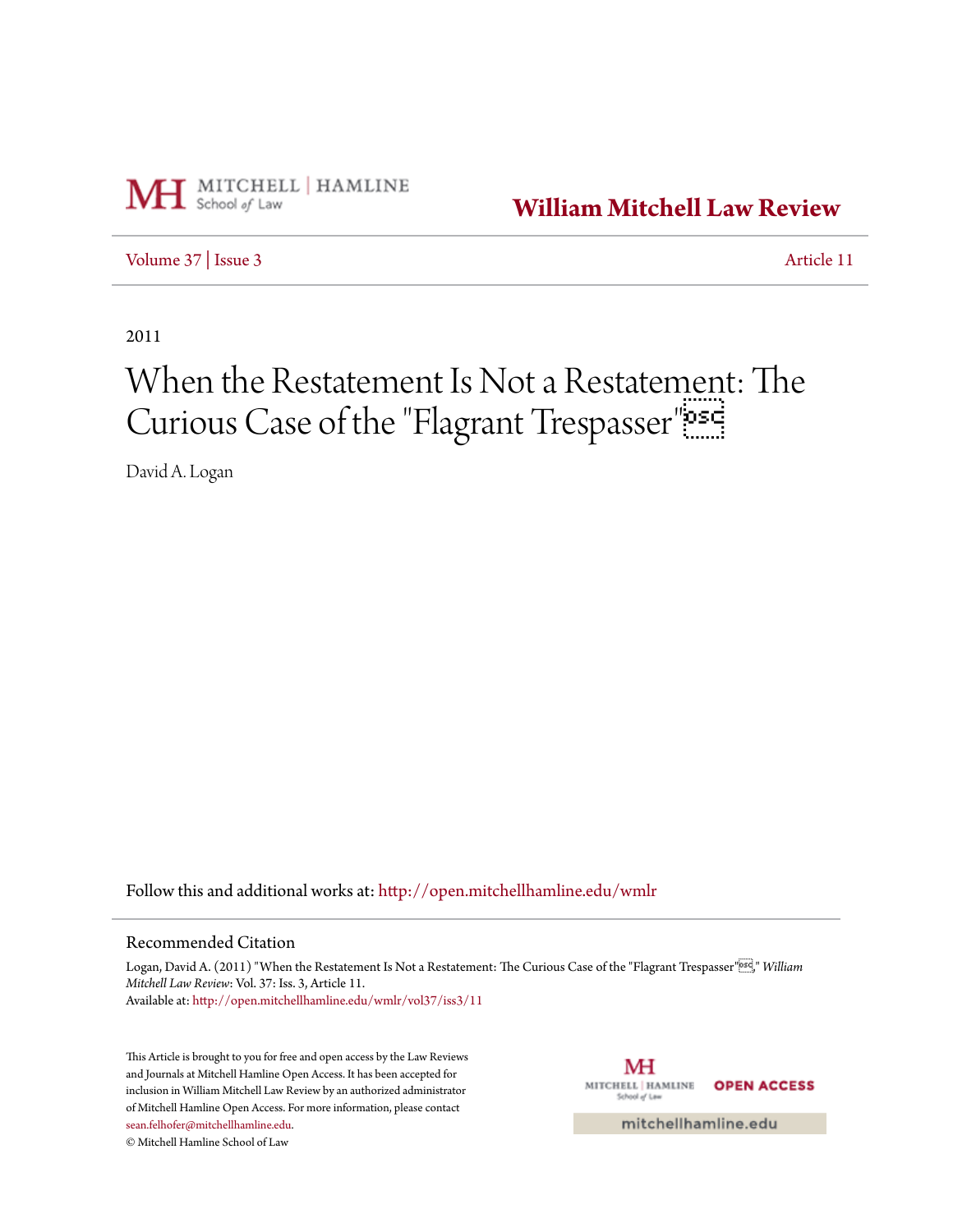

**[William Mitchell Law Review](http://open.mitchellhamline.edu/wmlr?utm_source=open.mitchellhamline.edu%2Fwmlr%2Fvol37%2Fiss3%2F11&utm_medium=PDF&utm_campaign=PDFCoverPages)**

[Volume 37](http://open.mitchellhamline.edu/wmlr/vol37?utm_source=open.mitchellhamline.edu%2Fwmlr%2Fvol37%2Fiss3%2F11&utm_medium=PDF&utm_campaign=PDFCoverPages) | [Issue 3](http://open.mitchellhamline.edu/wmlr/vol37/iss3?utm_source=open.mitchellhamline.edu%2Fwmlr%2Fvol37%2Fiss3%2F11&utm_medium=PDF&utm_campaign=PDFCoverPages) [Article 11](http://open.mitchellhamline.edu/wmlr/vol37/iss3/11?utm_source=open.mitchellhamline.edu%2Fwmlr%2Fvol37%2Fiss3%2F11&utm_medium=PDF&utm_campaign=PDFCoverPages)

2011

# When the Restatement Is Not a Restatement: The Curious Case of the "Flagrant Trespasser"

David A. Logan

Follow this and additional works at: [http://open.mitchellhamline.edu/wmlr](http://open.mitchellhamline.edu/wmlr?utm_source=open.mitchellhamline.edu%2Fwmlr%2Fvol37%2Fiss3%2F11&utm_medium=PDF&utm_campaign=PDFCoverPages)

## Recommended Citation

Logan, David A. (2011) "When the Restatement Is Not a Restatement: The Curious Case of the "Flagrant Trespasser"<sup>892</sup>," William *Mitchell Law Review*: Vol. 37: Iss. 3, Article 11. Available at: [http://open.mitchellhamline.edu/wmlr/vol37/iss3/11](http://open.mitchellhamline.edu/wmlr/vol37/iss3/11?utm_source=open.mitchellhamline.edu%2Fwmlr%2Fvol37%2Fiss3%2F11&utm_medium=PDF&utm_campaign=PDFCoverPages)

This Article is brought to you for free and open access by the Law Reviews and Journals at Mitchell Hamline Open Access. It has been accepted for inclusion in William Mitchell Law Review by an authorized administrator of Mitchell Hamline Open Access. For more information, please contact [sean.felhofer@mitchellhamline.edu](mailto:sean.felhofer@mitchellhamline.edu).

© Mitchell Hamline School of Law

МH MITCHELL | HAMLINE **OPEN ACCESS** 

mitchellhamline.edu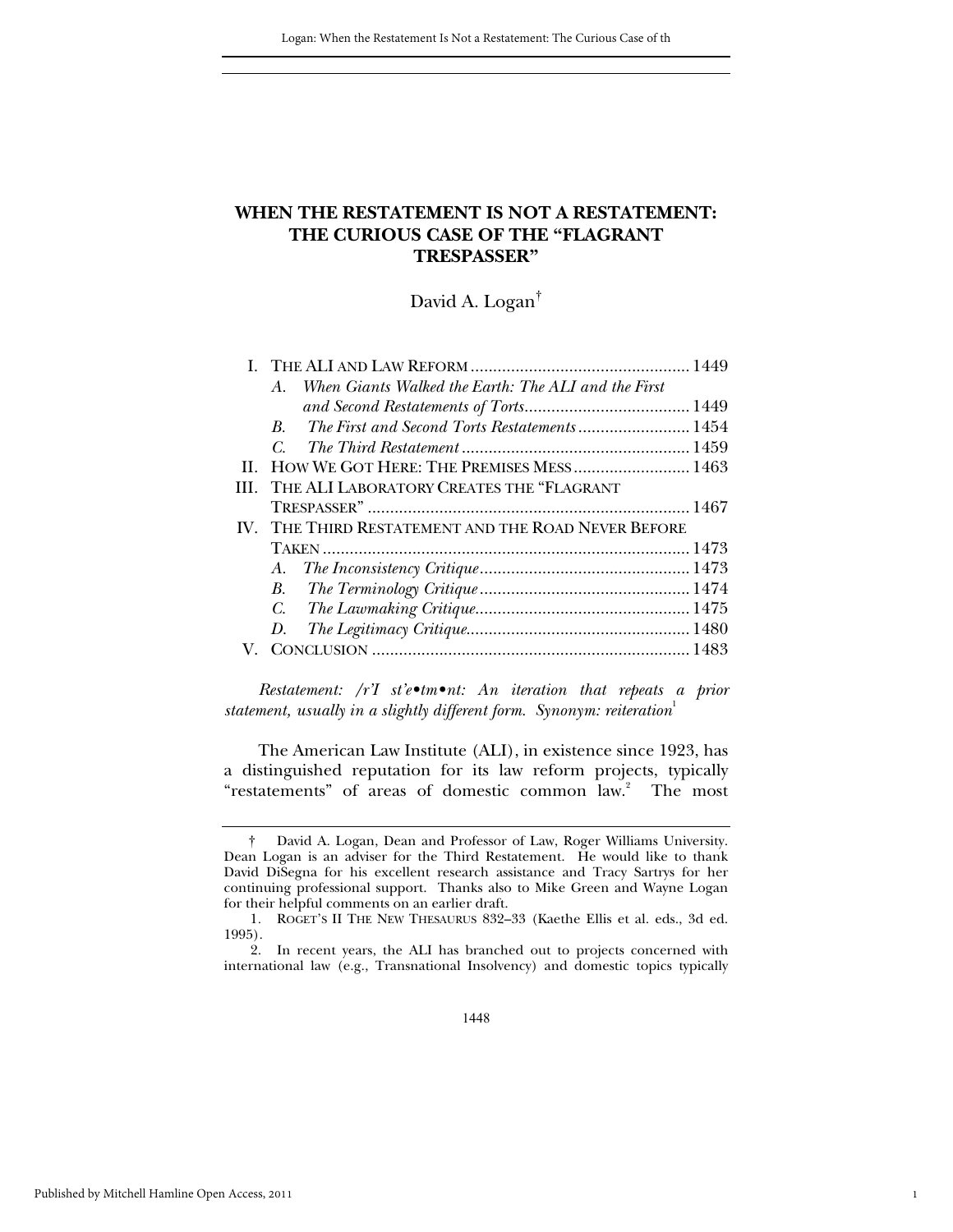## **WHEN THE RESTATEMENT IS NOT A RESTATEMENT: THE CURIOUS CASE OF THE "FLAGRANT TRESPASSER"**

David A. Logan†

|   | When Giants Walked the Earth: The ALI and the First<br>$A_{-}$ |  |
|---|----------------------------------------------------------------|--|
|   |                                                                |  |
|   | The First and Second Torts Restatements 1454<br>B.             |  |
|   | $C_{\cdot}$                                                    |  |
|   | II. HOW WE GOT HERE: THE PREMISES MESS 1463                    |  |
| Ш | THE ALI LABORATORY CREATES THE "FLAGRANT                       |  |
|   |                                                                |  |
|   | IV. THE THIRD RESTATEMENT AND THE ROAD NEVER BEFORE            |  |
|   |                                                                |  |
|   |                                                                |  |
|   | $B_{\cdot}$                                                    |  |
|   |                                                                |  |
|   | D.                                                             |  |
|   |                                                                |  |
|   |                                                                |  |

*Restatement: /r'I st'e•tm•nt: An iteration that repeats a prior statement, usually in a slightly different form. Synonym: reiteration*<sup>1</sup>

The American Law Institute (ALI), in existence since 1923, has a distinguished reputation for its law reform projects, typically "restatements" of areas of domestic common law.<sup>2</sup> The most

1

 <sup>†</sup> David A. Logan, Dean and Professor of Law, Roger Williams University. Dean Logan is an adviser for the Third Restatement. He would like to thank David DiSegna for his excellent research assistance and Tracy Sartrys for her continuing professional support. Thanks also to Mike Green and Wayne Logan for their helpful comments on an earlier draft.

<sup>1</sup>*.* ROGET'S II THE NEW THESAURUS 832–33 (Kaethe Ellis et al. eds., 3d ed. 1995).

 <sup>2.</sup> In recent years, the ALI has branched out to projects concerned with international law (e.g., Transnational Insolvency) and domestic topics typically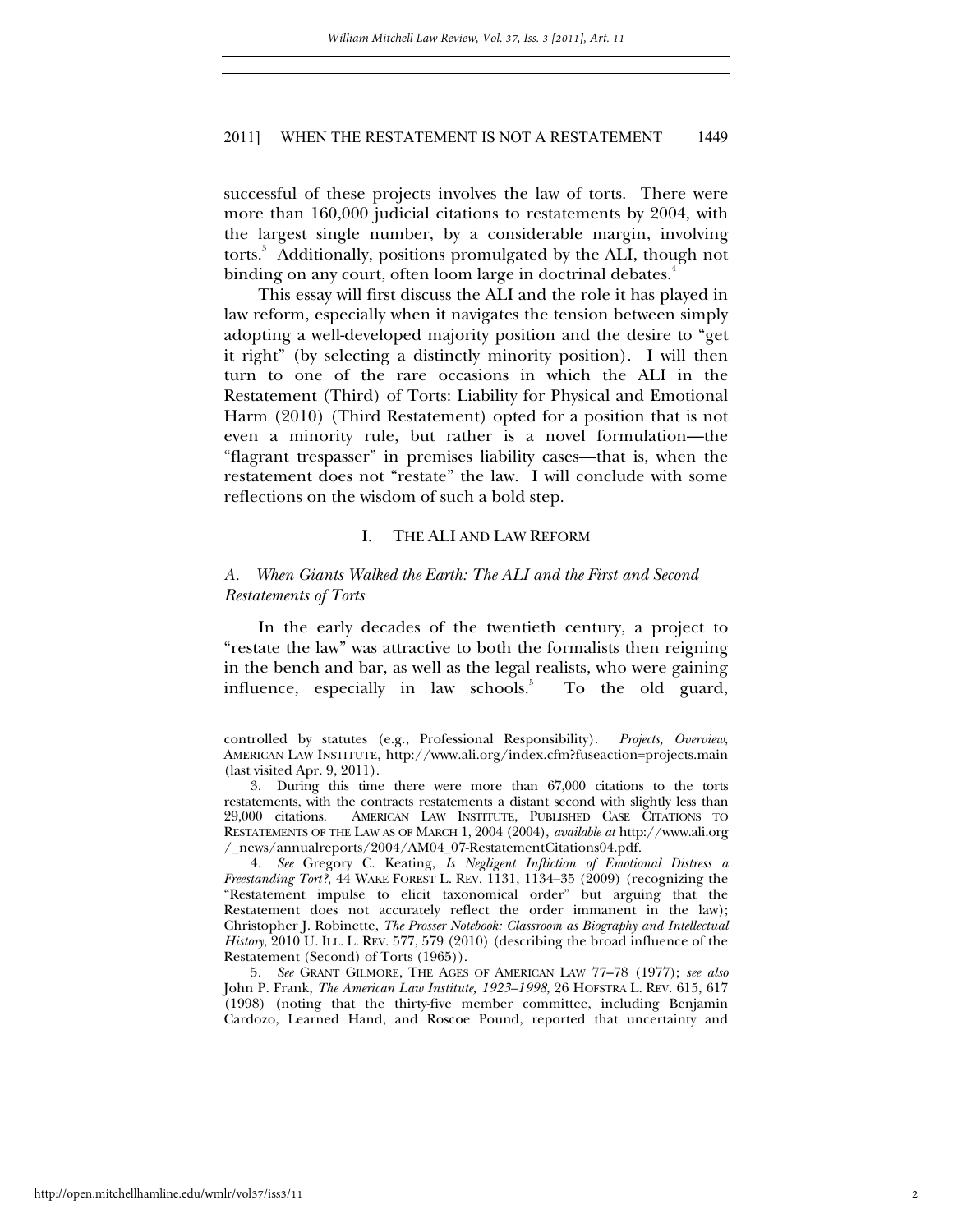successful of these projects involves the law of torts. There were more than 160,000 judicial citations to restatements by 2004, with the largest single number, by a considerable margin, involving torts.<sup>3</sup> Additionally, positions promulgated by the ALI, though not binding on any court, often loom large in doctrinal debates.<sup>4</sup>

This essay will first discuss the ALI and the role it has played in law reform, especially when it navigates the tension between simply adopting a well-developed majority position and the desire to "get it right" (by selecting a distinctly minority position). I will then turn to one of the rare occasions in which the ALI in the Restatement (Third) of Torts: Liability for Physical and Emotional Harm (2010) (Third Restatement) opted for a position that is not even a minority rule, but rather is a novel formulation—the "flagrant trespasser" in premises liability cases—that is, when the restatement does not "restate" the law. I will conclude with some reflections on the wisdom of such a bold step.

#### I. THE ALI AND LAW REFORM

## *A. When Giants Walked the Earth: The ALI and the First and Second Restatements of Torts*

In the early decades of the twentieth century, a project to "restate the law" was attractive to both the formalists then reigning in the bench and bar, as well as the legal realists, who were gaining influence, especially in law schools.<sup>5</sup> To the old guard,

controlled by statutes (e.g., Professional Responsibility). *Projects, Overview*, AMERICAN LAW INSTITUTE, http://www.ali.org/index.cfm?fuseaction=projects.main (last visited Apr. 9, 2011).

 <sup>3.</sup> During this time there were more than 67,000 citations to the torts restatements, with the contracts restatements a distant second with slightly less than 29,000 citations. AMERICAN LAW INSTITUTE, PUBLISHED CASE CITATIONS TO RESTATEMENTS OF THE LAW AS OF MARCH 1, 2004 (2004), *available at* http://www.ali.org /\_news/annualreports/2004/AM04\_07-RestatementCitations04.pdf.

<sup>4</sup>*. See* Gregory C. Keating, *Is Negligent Infliction of Emotional Distress a Freestanding Tort?*, 44 WAKE FOREST L. REV. 1131, 1134–35 (2009) (recognizing the "Restatement impulse to elicit taxonomical order" but arguing that the Restatement does not accurately reflect the order immanent in the law); Christopher J. Robinette, *The Prosser Notebook: Classroom as Biography and Intellectual History*, 2010 U. ILL. L. REV. 577, 579 (2010) (describing the broad influence of the Restatement (Second) of Torts (1965)).

<sup>5</sup>*. See* GRANT GILMORE, THE AGES OF AMERICAN LAW 77–78 (1977); *see also* John P. Frank, *The American Law Institute, 1923–1998*, 26 HOFSTRA L. REV. 615, 617 (1998) (noting that the thirty-five member committee, including Benjamin Cardozo, Learned Hand, and Roscoe Pound, reported that uncertainty and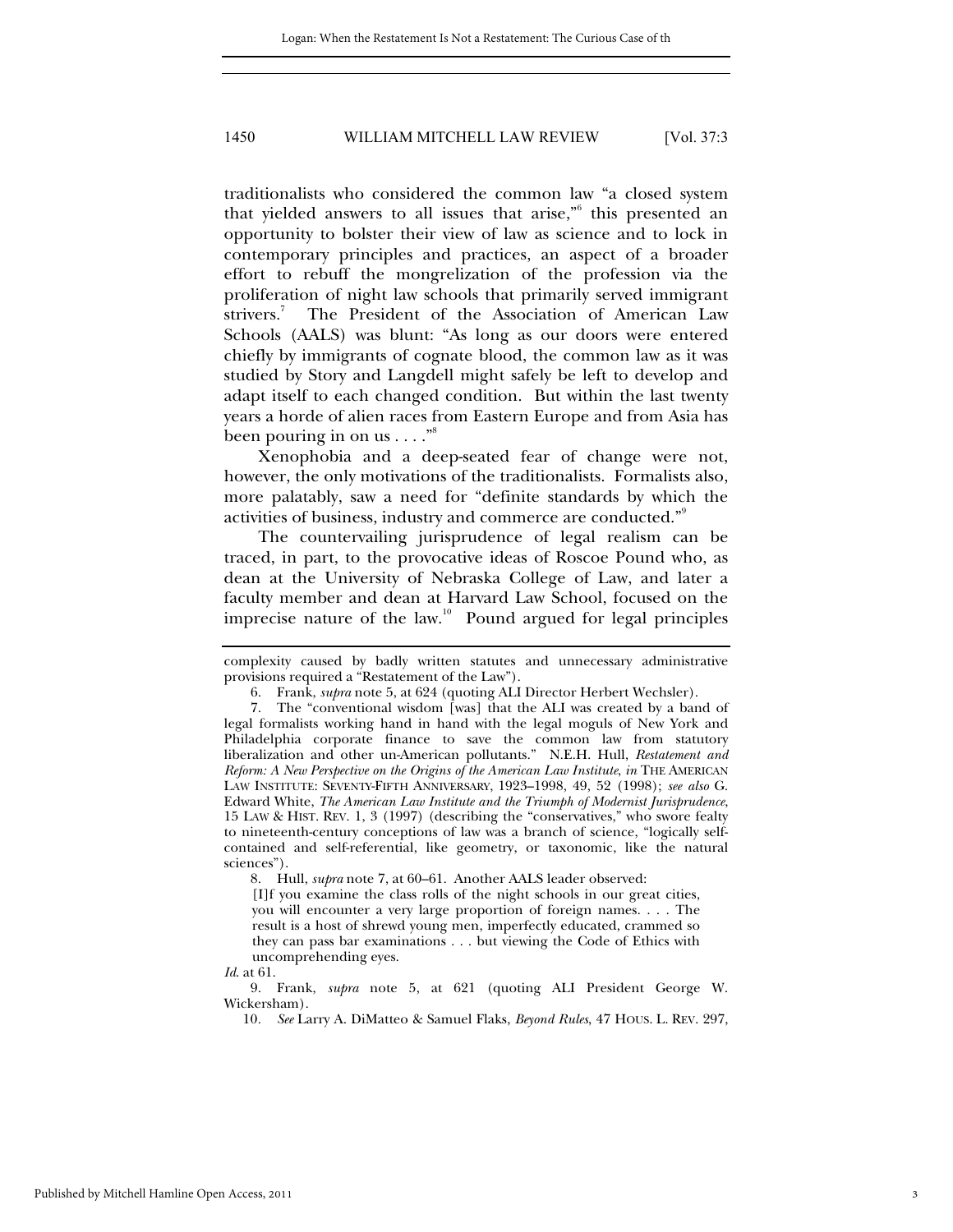traditionalists who considered the common law "a closed system that yielded answers to all issues that arise,"<sup>6</sup> this presented an opportunity to bolster their view of law as science and to lock in contemporary principles and practices, an aspect of a broader effort to rebuff the mongrelization of the profession via the proliferation of night law schools that primarily served immigrant strivers.<sup>7</sup> The President of the Association of American Law Schools (AALS) was blunt: "As long as our doors were entered chiefly by immigrants of cognate blood, the common law as it was studied by Story and Langdell might safely be left to develop and adapt itself to each changed condition. But within the last twenty years a horde of alien races from Eastern Europe and from Asia has been pouring in on us  $\dots$ ."

Xenophobia and a deep-seated fear of change were not, however, the only motivations of the traditionalists. Formalists also, more palatably, saw a need for "definite standards by which the activities of business, industry and commerce are conducted."<sup>9</sup>

The countervailing jurisprudence of legal realism can be traced, in part, to the provocative ideas of Roscoe Pound who, as dean at the University of Nebraska College of Law, and later a faculty member and dean at Harvard Law School, focused on the imprecise nature of the law.<sup>10</sup> Pound argued for legal principles

8. Hull, *supra* note 7, at 60–61. Another AALS leader observed:

[I]f you examine the class rolls of the night schools in our great cities, you will encounter a very large proportion of foreign names. . . . The result is a host of shrewd young men, imperfectly educated, crammed so they can pass bar examinations . . . but viewing the Code of Ethics with uncomprehending eyes.

*Id*. at 61.

 9. Frank, *supra* note 5, at 621 (quoting ALI President George W. Wickersham).

complexity caused by badly written statutes and unnecessary administrative provisions required a "Restatement of the Law").

 <sup>6.</sup> Frank, *supra* note 5, at 624 (quoting ALI Director Herbert Wechsler).

 <sup>7.</sup> The "conventional wisdom [was] that the ALI was created by a band of legal formalists working hand in hand with the legal moguls of New York and Philadelphia corporate finance to save the common law from statutory liberalization and other un-American pollutants." N.E.H. Hull, *Restatement and Reform: A New Perspective on the Origins of the American Law Institute*, *in* THE AMERICAN LAW INSTITUTE: SEVENTY-FIFTH ANNIVERSARY, 1923–1998, 49, 52 (1998); *see also* G. Edward White, *The American Law Institute and the Triumph of Modernist Jurisprudence*, 15 LAW & HIST. REV. 1, 3 (1997) (describing the "conservatives," who swore fealty to nineteenth-century conceptions of law was a branch of science, "logically selfcontained and self-referential, like geometry, or taxonomic, like the natural sciences").

<sup>10</sup>*. See* Larry A. DiMatteo & Samuel Flaks, *Beyond Rules*, 47 HOUS. L. REV. 297,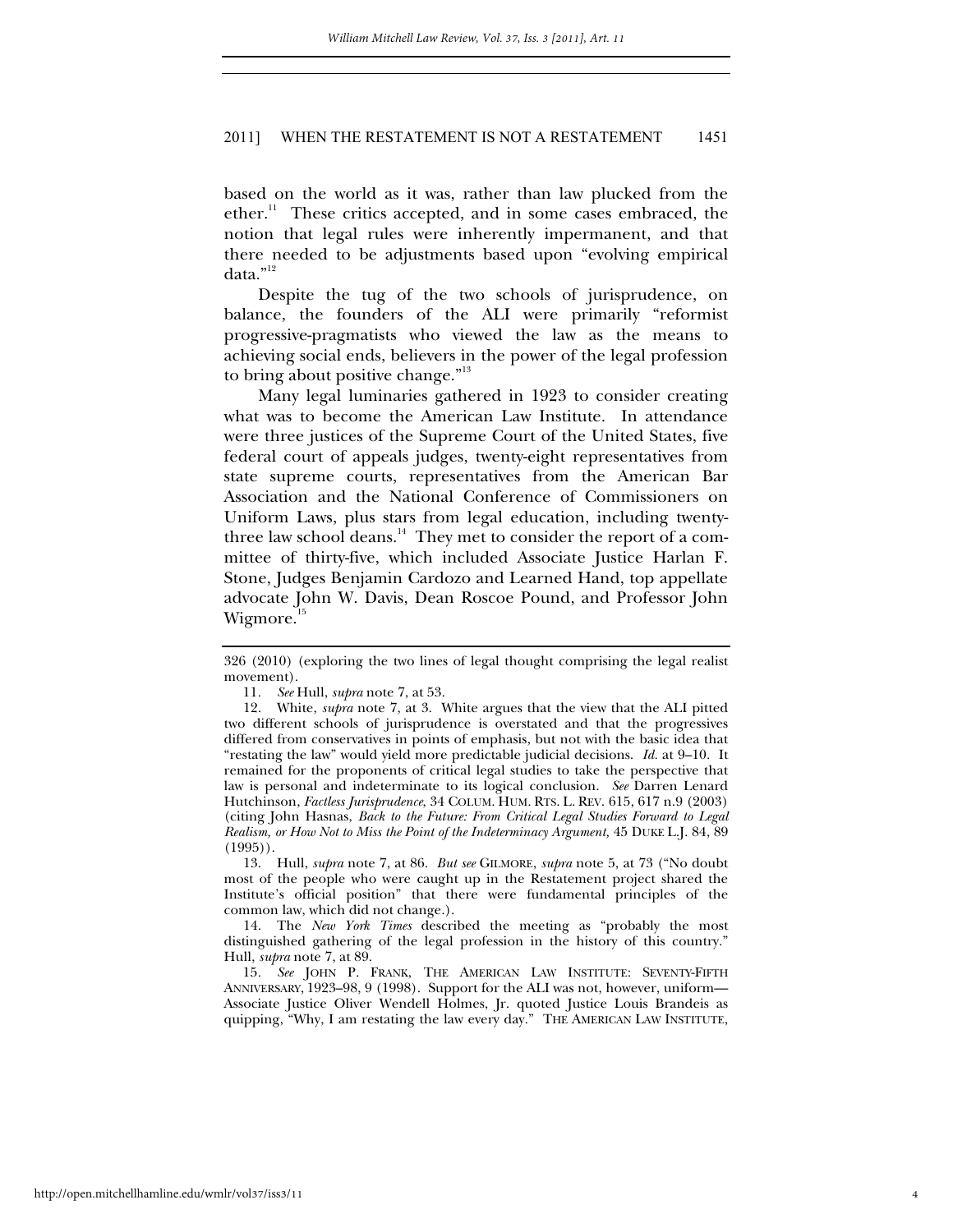based on the world as it was, rather than law plucked from the  $\text{ether.}^{\text{II}}$  These critics accepted, and in some cases embraced, the notion that legal rules were inherently impermanent, and that there needed to be adjustments based upon "evolving empirical data."<sup>12</sup>

Despite the tug of the two schools of jurisprudence, on balance, the founders of the ALI were primarily "reformist progressive-pragmatists who viewed the law as the means to achieving social ends, believers in the power of the legal profession to bring about positive change."<sup>13</sup>

Many legal luminaries gathered in 1923 to consider creating what was to become the American Law Institute. In attendance were three justices of the Supreme Court of the United States, five federal court of appeals judges, twenty-eight representatives from state supreme courts, representatives from the American Bar Association and the National Conference of Commissioners on Uniform Laws, plus stars from legal education, including twentythree law school deans.<sup>14</sup> They met to consider the report of a committee of thirty-five, which included Associate Justice Harlan F. Stone, Judges Benjamin Cardozo and Learned Hand, top appellate advocate John W. Davis, Dean Roscoe Pound, and Professor John Wigmore.<sup>15</sup>

 13. Hull, *supra* note 7, at 86. *But see* GILMORE, *supra* note 5, at 73 ("No doubt most of the people who were caught up in the Restatement project shared the Institute's official position" that there were fundamental principles of the common law, which did not change.).

 14. The *New York Times* described the meeting as "probably the most distinguished gathering of the legal profession in the history of this country." Hull, *supra* note 7, at 89.

15*. See* JOHN P. FRANK, THE AMERICAN LAW INSTITUTE: SEVENTY-FIFTH ANNIVERSARY, 1923–98, 9 (1998). Support for the ALI was not, however, uniform— Associate Justice Oliver Wendell Holmes, Jr. quoted Justice Louis Brandeis as quipping, "Why, I am restating the law every day." THE AMERICAN LAW INSTITUTE,

<sup>326 (2010) (</sup>exploring the two lines of legal thought comprising the legal realist movement).

<sup>11</sup>*. See* Hull, *supra* note 7, at 53.

 <sup>12.</sup> White, *supra* note 7, at 3. White argues that the view that the ALI pitted two different schools of jurisprudence is overstated and that the progressives differed from conservatives in points of emphasis, but not with the basic idea that "restating the law" would yield more predictable judicial decisions. *Id.* at 9–10. It remained for the proponents of critical legal studies to take the perspective that law is personal and indeterminate to its logical conclusion. *See* Darren Lenard Hutchinson, *Factless Jurisprudence*, 34 COLUM. HUM. RTS. L. REV. 615, 617 n.9 (2003) (citing John Hasnas, *Back to the Future: From Critical Legal Studies Forward to Legal Realism, or How Not to Miss the Point of the Indeterminacy Argument,* 45 DUKE L.J. 84, 89  $(1995)$ .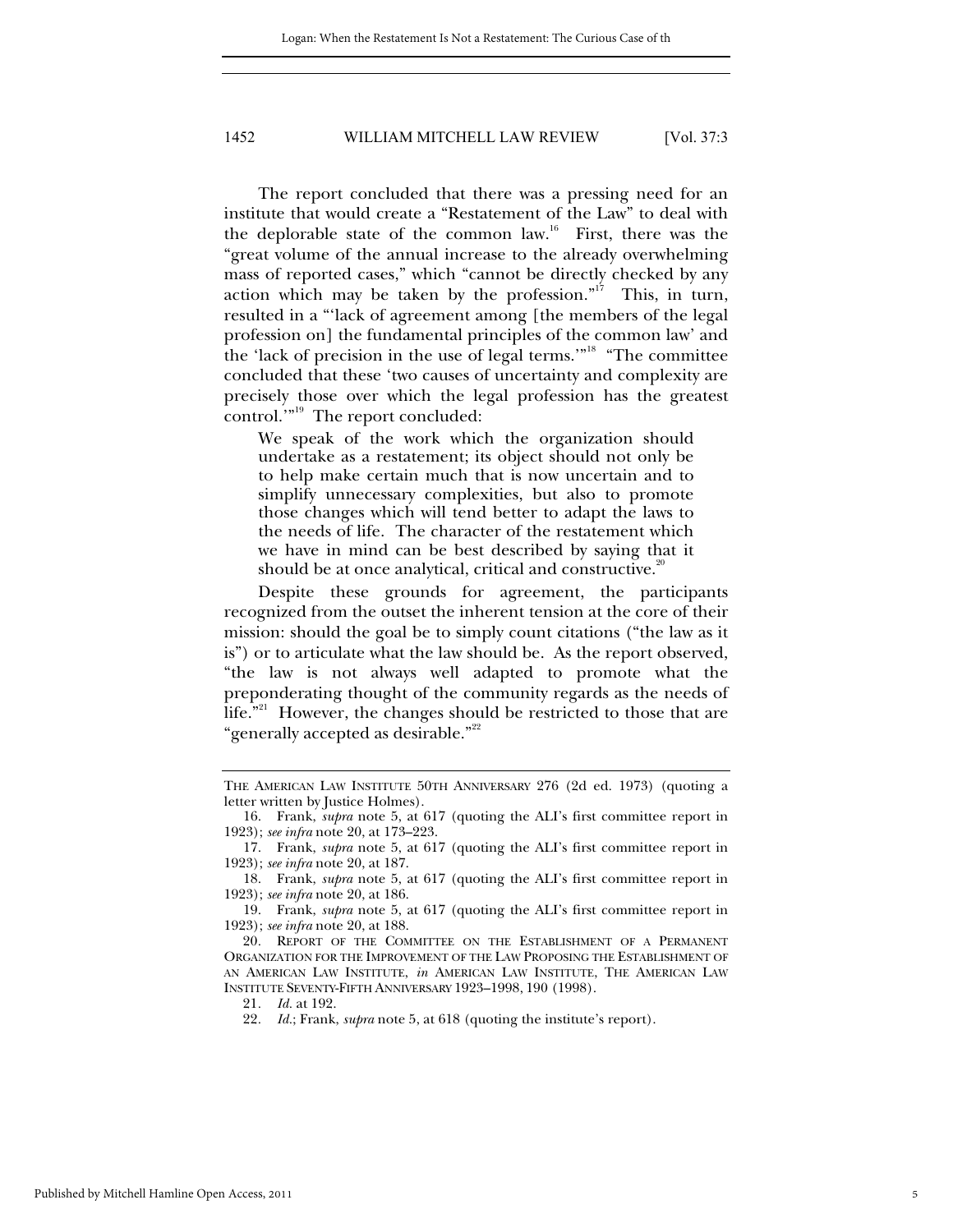The report concluded that there was a pressing need for an institute that would create a "Restatement of the Law" to deal with the deplorable state of the common law.<sup>16</sup> First, there was the "great volume of the annual increase to the already overwhelming mass of reported cases," which "cannot be directly checked by any action which may be taken by the profession."<sup>17</sup> This, in turn, resulted in a "'lack of agreement among [the members of the legal profession on] the fundamental principles of the common law' and the 'lack of precision in the use of legal terms.'"18 "The committee concluded that these 'two causes of uncertainty and complexity are precisely those over which the legal profession has the greatest control.'"19 The report concluded:

We speak of the work which the organization should undertake as a restatement; its object should not only be to help make certain much that is now uncertain and to simplify unnecessary complexities, but also to promote those changes which will tend better to adapt the laws to the needs of life. The character of the restatement which we have in mind can be best described by saying that it should be at once analytical, critical and constructive.<sup>20</sup>

Despite these grounds for agreement, the participants recognized from the outset the inherent tension at the core of their mission: should the goal be to simply count citations ("the law as it is") or to articulate what the law should be. As the report observed, "the law is not always well adapted to promote what the preponderating thought of the community regards as the needs of life."<sup>21</sup> However, the changes should be restricted to those that are "generally accepted as desirable."<sup>22</sup>

 19. Frank, *supra* note 5, at 617 (quoting the ALI's first committee report in 1923); *see infra* note 20, at 188.

20*.* REPORT OF THE COMMITTEE ON THE ESTABLISHMENT OF A PERMANENT ORGANIZATION FOR THE IMPROVEMENT OF THE LAW PROPOSING THE ESTABLISHMENT OF AN AMERICAN LAW INSTITUTE, *in* AMERICAN LAW INSTITUTE, THE AMERICAN LAW INSTITUTE SEVENTY-FIFTH ANNIVERSARY 1923–1998, 190 (1998).

21*. Id.* at 192.

THE AMERICAN LAW INSTITUTE 50TH ANNIVERSARY 276 (2d ed. 1973) (quoting a letter written by Justice Holmes).

 <sup>16.</sup> Frank, *supra* note 5, at 617 (quoting the ALI's first committee report in 1923); *see infra* note 20, at 173–223.

 <sup>17.</sup> Frank, *supra* note 5, at 617 (quoting the ALI's first committee report in 1923); *see infra* note 20, at 187.

 <sup>18.</sup> Frank, *supra* note 5, at 617 (quoting the ALI's first committee report in 1923); *see infra* note 20, at 186.

<sup>22</sup>*. Id.*; Frank, *supra* note 5, at 618 (quoting the institute's report).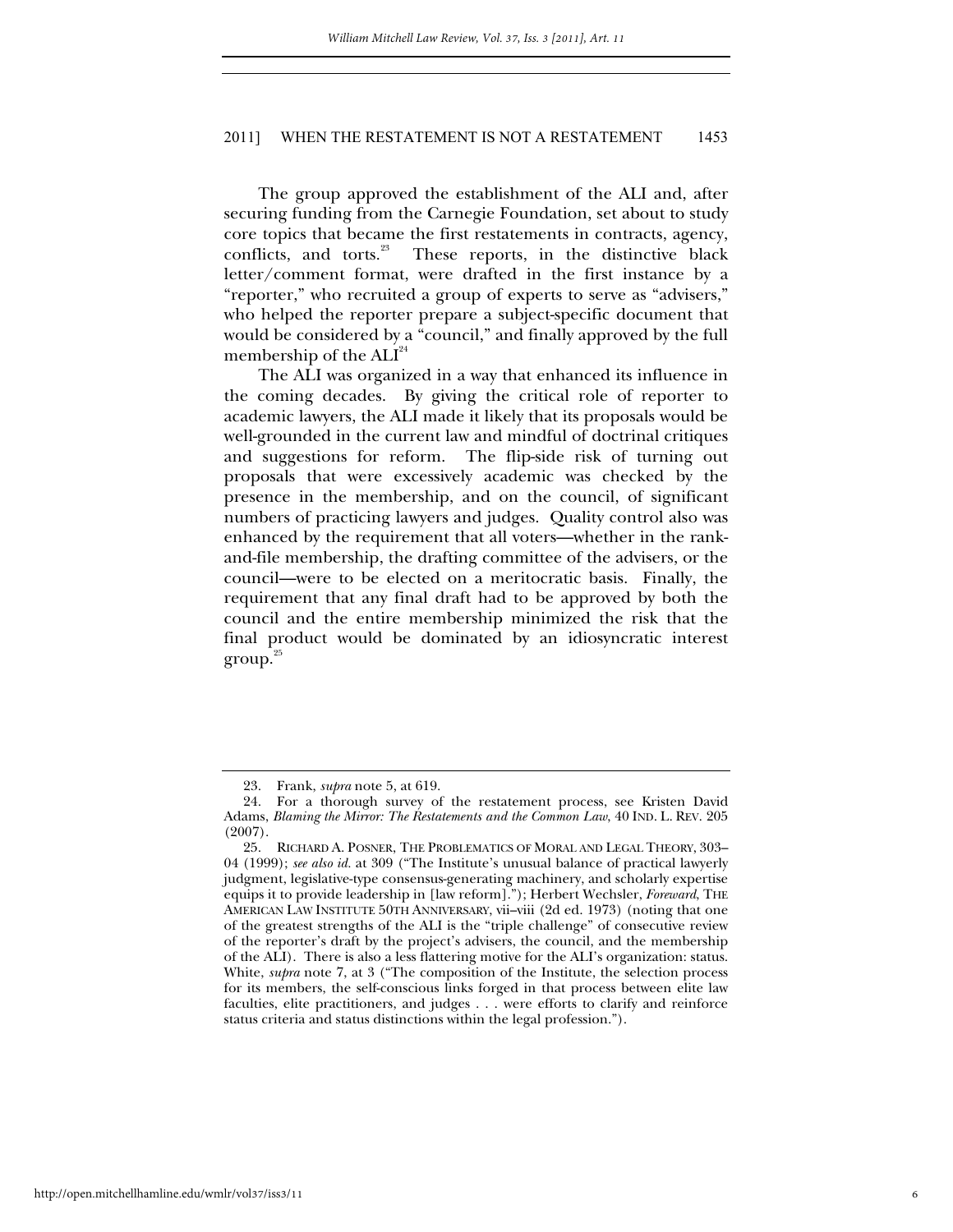The group approved the establishment of the ALI and, after securing funding from the Carnegie Foundation, set about to study core topics that became the first restatements in contracts, agency, conflicts, and torts.<sup>23</sup> These reports, in the distinctive black letter/comment format, were drafted in the first instance by a "reporter," who recruited a group of experts to serve as "advisers," who helped the reporter prepare a subject-specific document that would be considered by a "council," and finally approved by the full membership of the  $\mathrm{ALI}^\text{24}$ 

The ALI was organized in a way that enhanced its influence in the coming decades. By giving the critical role of reporter to academic lawyers, the ALI made it likely that its proposals would be well-grounded in the current law and mindful of doctrinal critiques and suggestions for reform. The flip-side risk of turning out proposals that were excessively academic was checked by the presence in the membership, and on the council, of significant numbers of practicing lawyers and judges. Quality control also was enhanced by the requirement that all voters—whether in the rankand-file membership, the drafting committee of the advisers, or the council—were to be elected on a meritocratic basis. Finally, the requirement that any final draft had to be approved by both the council and the entire membership minimized the risk that the final product would be dominated by an idiosyncratic interest  $\text{group.}^{25}$ 

 <sup>23.</sup> Frank, *supra* note 5, at 619.

 <sup>24.</sup> For a thorough survey of the restatement process, see Kristen David Adams, *Blaming the Mirror: The Restatements and the Common Law*, 40 IND. L. REV. 205 (2007).

 <sup>25.</sup> RICHARD A. POSNER, THE PROBLEMATICS OF MORAL AND LEGAL THEORY, 303– 04 (1999); *see also id.* at 309 ("The Institute's unusual balance of practical lawyerly judgment, legislative-type consensus-generating machinery, and scholarly expertise equips it to provide leadership in [law reform]."); Herbert Wechsler, *Foreward*, THE AMERICAN LAW INSTITUTE 50TH ANNIVERSARY, vii–viii (2d ed. 1973) (noting that one of the greatest strengths of the ALI is the "triple challenge" of consecutive review of the reporter's draft by the project's advisers, the council, and the membership of the ALI). There is also a less flattering motive for the ALI's organization: status. White, *supra* note 7, at 3 ("The composition of the Institute, the selection process for its members, the self-conscious links forged in that process between elite law faculties, elite practitioners, and judges . . . were efforts to clarify and reinforce status criteria and status distinctions within the legal profession.").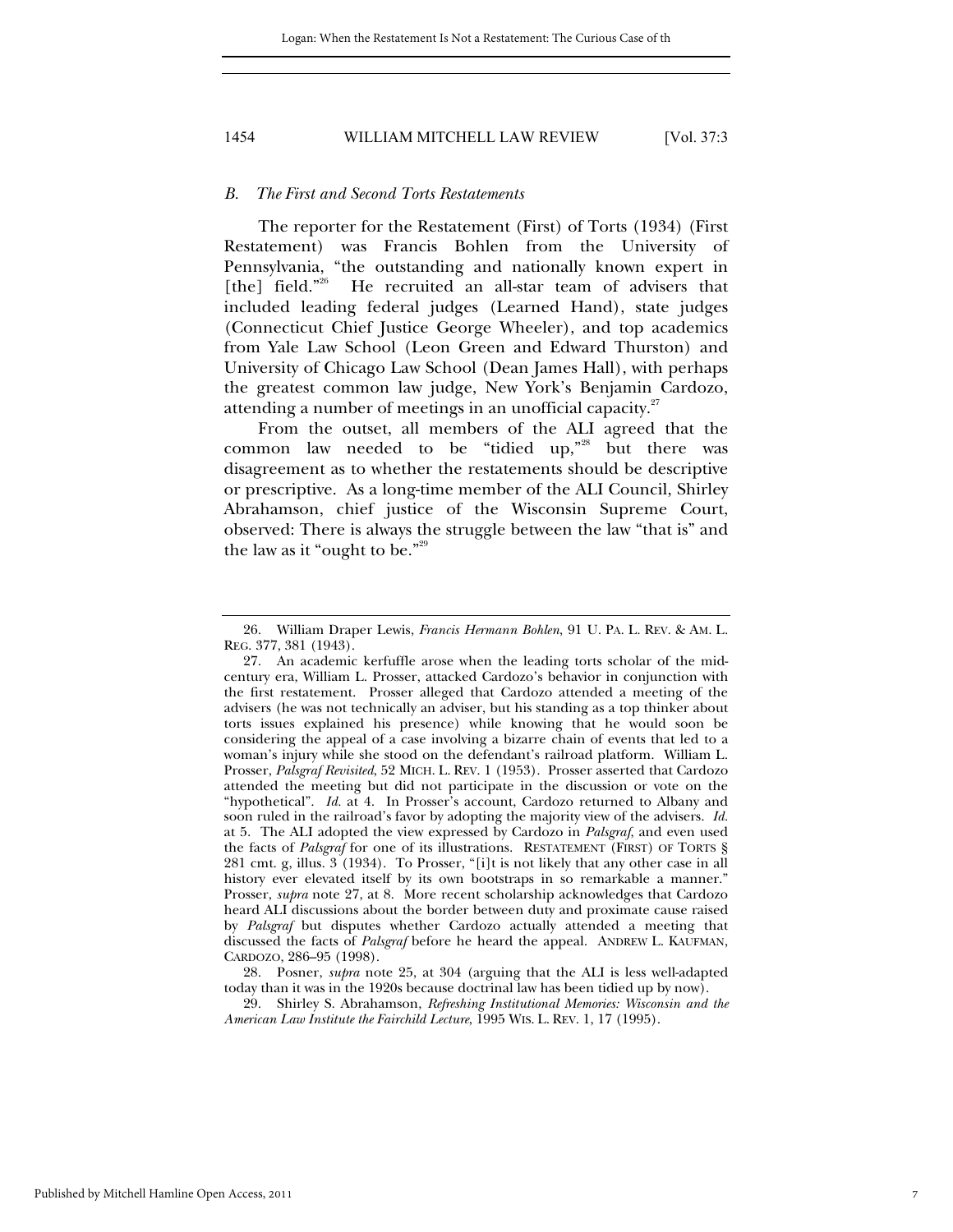#### *B. The First and Second Torts Restatements*

The reporter for the Restatement (First) of Torts (1934) (First Restatement) was Francis Bohlen from the University of Pennsylvania, "the outstanding and nationally known expert in [the] field."<sup>26</sup> He recruited an all-star team of advisers that included leading federal judges (Learned Hand), state judges (Connecticut Chief Justice George Wheeler), and top academics from Yale Law School (Leon Green and Edward Thurston) and University of Chicago Law School (Dean James Hall), with perhaps the greatest common law judge, New York's Benjamin Cardozo, attending a number of meetings in an unofficial capacity.<sup>27</sup>

From the outset, all members of the ALI agreed that the common law needed to be "tidied up,"28 but there was disagreement as to whether the restatements should be descriptive or prescriptive. As a long-time member of the ALI Council, Shirley Abrahamson, chief justice of the Wisconsin Supreme Court, observed: There is always the struggle between the law "that is" and the law as it "ought to be." $29$ 

 28. Posner, *supra* note 25, at 304 (arguing that the ALI is less well-adapted today than it was in the 1920s because doctrinal law has been tidied up by now).

 29. Shirley S. Abrahamson, *Refreshing Institutional Memories: Wisconsin and the American Law Institute the Fairchild Lecture*, 1995 WIS. L. REV. 1, 17 (1995).

 <sup>26.</sup> William Draper Lewis, *Francis Hermann Bohlen*, 91 U. PA. L. REV. & AM. L. REG. 377, 381 (1943).

 <sup>27.</sup> An academic kerfuffle arose when the leading torts scholar of the midcentury era, William L. Prosser, attacked Cardozo's behavior in conjunction with the first restatement. Prosser alleged that Cardozo attended a meeting of the advisers (he was not technically an adviser, but his standing as a top thinker about torts issues explained his presence) while knowing that he would soon be considering the appeal of a case involving a bizarre chain of events that led to a woman's injury while she stood on the defendant's railroad platform. William L. Prosser, *Palsgraf Revisited*, 52 MICH. L. REV. 1 (1953). Prosser asserted that Cardozo attended the meeting but did not participate in the discussion or vote on the "hypothetical". *Id.* at 4. In Prosser's account, Cardozo returned to Albany and soon ruled in the railroad's favor by adopting the majority view of the advisers. *Id.* at 5. The ALI adopted the view expressed by Cardozo in *Palsgraf*, and even used the facts of *Palsgraf* for one of its illustrations. RESTATEMENT (FIRST) OF TORTS § 281 cmt. g, illus. 3 (1934). To Prosser, "[i]t is not likely that any other case in all history ever elevated itself by its own bootstraps in so remarkable a manner." Prosser, *supra* note 27, at 8. More recent scholarship acknowledges that Cardozo heard ALI discussions about the border between duty and proximate cause raised by *Palsgraf* but disputes whether Cardozo actually attended a meeting that discussed the facts of *Palsgraf* before he heard the appeal. ANDREW L. KAUFMAN, CARDOZO, 286–95 (1998).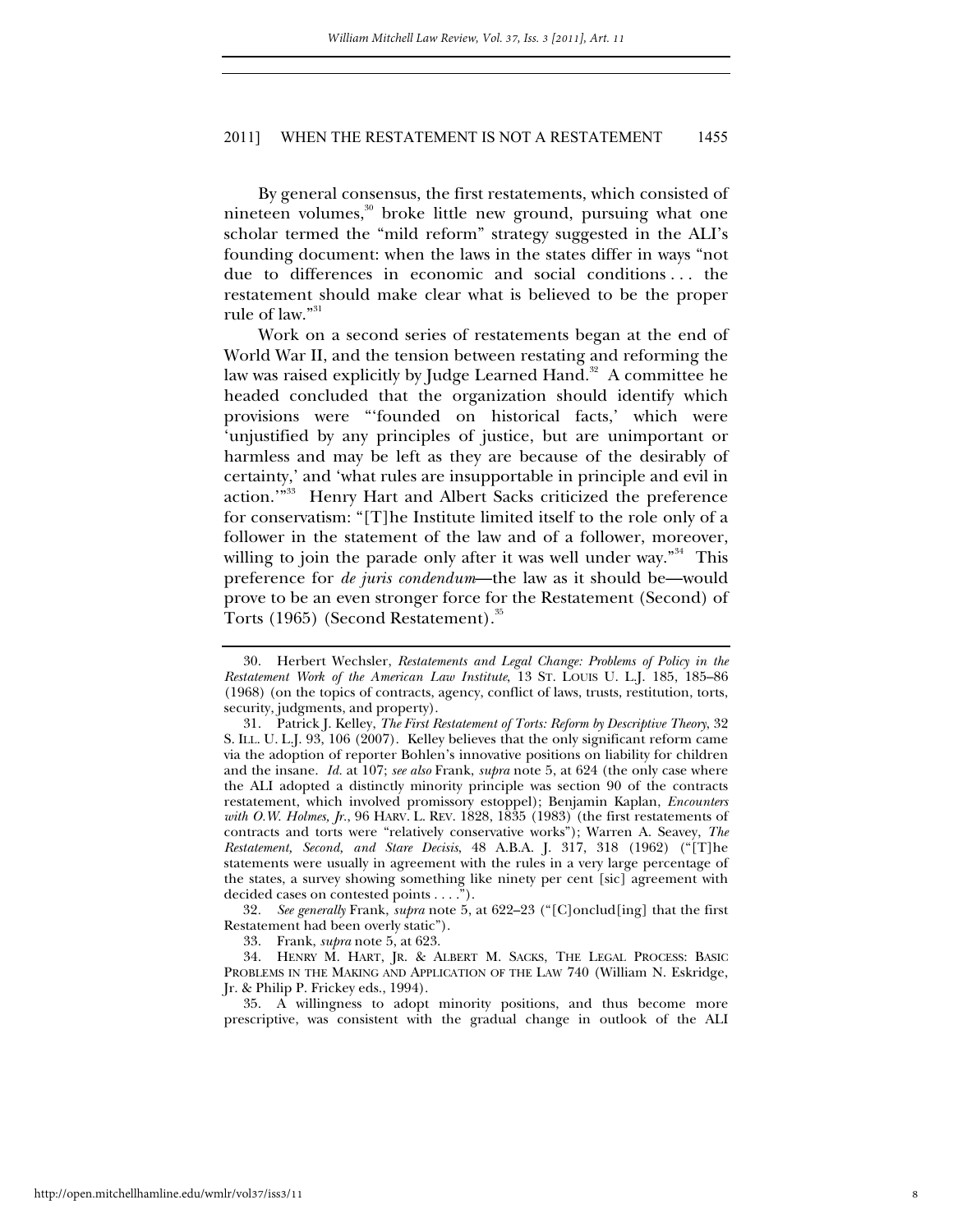By general consensus, the first restatements, which consisted of nineteen volumes,<sup>30</sup> broke little new ground, pursuing what one scholar termed the "mild reform" strategy suggested in the ALI's founding document: when the laws in the states differ in ways "not due to differences in economic and social conditions . . . the restatement should make clear what is believed to be the proper rule of law."31

Work on a second series of restatements began at the end of World War II, and the tension between restating and reforming the law was raised explicitly by Judge Learned Hand.<sup>32</sup> A committee he headed concluded that the organization should identify which provisions were "'founded on historical facts,' which were 'unjustified by any principles of justice, but are unimportant or harmless and may be left as they are because of the desirably of certainty,' and 'what rules are insupportable in principle and evil in action.'"33 Henry Hart and Albert Sacks criticized the preference for conservatism: "[T]he Institute limited itself to the role only of a follower in the statement of the law and of a follower, moreover, willing to join the parade only after it was well under way."<sup>34</sup> This preference for *de juris condendum*—the law as it should be—would prove to be an even stronger force for the Restatement (Second) of Torts (1965) (Second Restatement).<sup>35</sup>

32*. See generally* Frank, *supra* note 5, at 622–23 ("[C]onclud[ing] that the first Restatement had been overly static").

33. Frank, *supra* note 5, at 623.

 35. A willingness to adopt minority positions, and thus become more prescriptive, was consistent with the gradual change in outlook of the ALI

 <sup>30.</sup> Herbert Wechsler, *Restatements and Legal Change: Problems of Policy in the Restatement Work of the American Law Institute*, 13 ST. LOUIS U. L.J. 185, 185–86 (1968) (on the topics of contracts, agency, conflict of laws, trusts, restitution, torts, security, judgments, and property).

 <sup>31.</sup> Patrick J. Kelley, *The First Restatement of Torts: Reform by Descriptive Theory*, 32 S. ILL. U. L.J. 93, 106 (2007). Kelley believes that the only significant reform came via the adoption of reporter Bohlen's innovative positions on liability for children and the insane. *Id.* at 107; *see also* Frank, *supra* note 5, at 624 (the only case where the ALI adopted a distinctly minority principle was section 90 of the contracts restatement, which involved promissory estoppel); Benjamin Kaplan, *Encounters with O.W. Holmes, Jr.*, 96 HARV. L. REV. 1828, 1835 (1983) (the first restatements of contracts and torts were "relatively conservative works"); Warren A. Seavey, *The Restatement, Second, and Stare Decisis*, 48 A.B.A. J. 317, 318 (1962) ("[T]he statements were usually in agreement with the rules in a very large percentage of the states, a survey showing something like ninety per cent [sic] agreement with decided cases on contested points . . . .").

 <sup>34.</sup> HENRY M. HART, JR. & ALBERT M. SACKS, THE LEGAL PROCESS: BASIC PROBLEMS IN THE MAKING AND APPLICATION OF THE LAW 740 (William N. Eskridge, Jr. & Philip P. Frickey eds., 1994).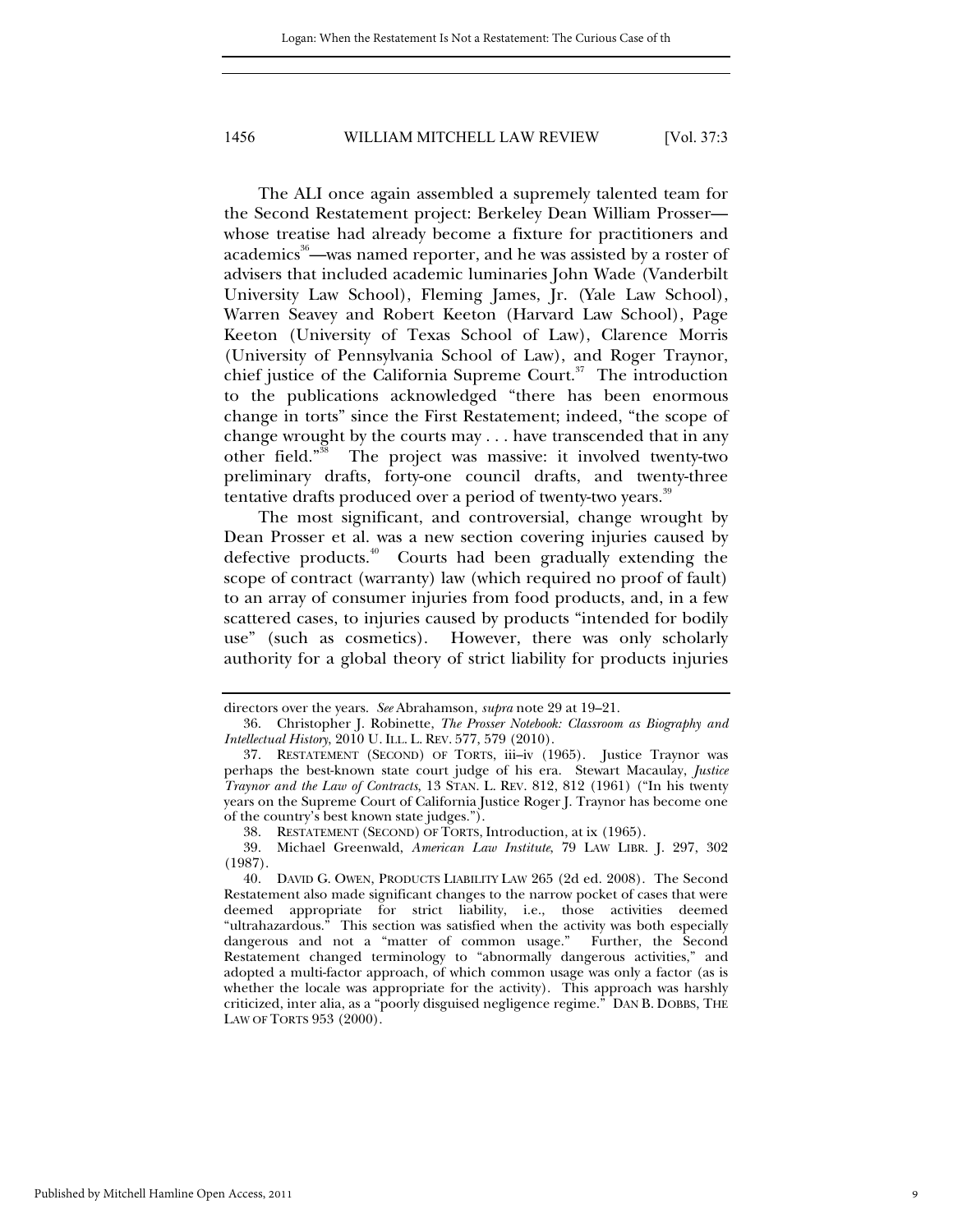The ALI once again assembled a supremely talented team for the Second Restatement project: Berkeley Dean William Prosser whose treatise had already become a fixture for practitioners and academics<sup>36</sup>—was named reporter, and he was assisted by a roster of advisers that included academic luminaries John Wade (Vanderbilt University Law School), Fleming James, Jr. (Yale Law School), Warren Seavey and Robert Keeton (Harvard Law School), Page Keeton (University of Texas School of Law), Clarence Morris (University of Pennsylvania School of Law), and Roger Traynor, chief justice of the California Supreme Court. $37$  The introduction to the publications acknowledged "there has been enormous change in torts" since the First Restatement; indeed, "the scope of change wrought by the courts may . . . have transcended that in any other field."<sup>38</sup> The project was massive: it involved twenty-two preliminary drafts, forty-one council drafts, and twenty-three tentative drafts produced over a period of twenty-two years.<sup>39</sup>

The most significant, and controversial, change wrought by Dean Prosser et al. was a new section covering injuries caused by defective products.<sup>40</sup> Courts had been gradually extending the scope of contract (warranty) law (which required no proof of fault) to an array of consumer injuries from food products, and, in a few scattered cases, to injuries caused by products "intended for bodily use" (such as cosmetics). However, there was only scholarly authority for a global theory of strict liability for products injuries

directors over the years. *See* Abrahamson, *supra* note 29 at 19–21.

 <sup>36.</sup> Christopher J. Robinette, *The Prosser Notebook: Classroom as Biography and Intellectual History*, 2010 U. ILL. L. REV. 577, 579 (2010).

 <sup>37.</sup> RESTATEMENT (SECOND) OF TORTS, iii–iv (1965). Justice Traynor was perhaps the best-known state court judge of his era. Stewart Macaulay, *Justice Traynor and the Law of Contracts*, 13 STAN. L. REV. 812, 812 (1961) ("In his twenty years on the Supreme Court of California Justice Roger J. Traynor has become one of the country's best known state judges.").

 <sup>38.</sup> RESTATEMENT (SECOND) OF TORTS, Introduction, at ix (1965).

 <sup>39.</sup> Michael Greenwald, *American Law Institute*, 79 LAW LIBR. J. 297, 302 (1987).

 <sup>40.</sup> DAVID G. OWEN, PRODUCTS LIABILITY LAW 265 (2d ed. 2008). The Second Restatement also made significant changes to the narrow pocket of cases that were deemed appropriate for strict liability, i.e., those activities deemed "ultrahazardous." This section was satisfied when the activity was both especially dangerous and not a "matter of common usage." Further, the Second Restatement changed terminology to "abnormally dangerous activities," and adopted a multi-factor approach, of which common usage was only a factor (as is whether the locale was appropriate for the activity). This approach was harshly criticized, inter alia, as a "poorly disguised negligence regime." DAN B. DOBBS, THE LAW OF TORTS 953 (2000).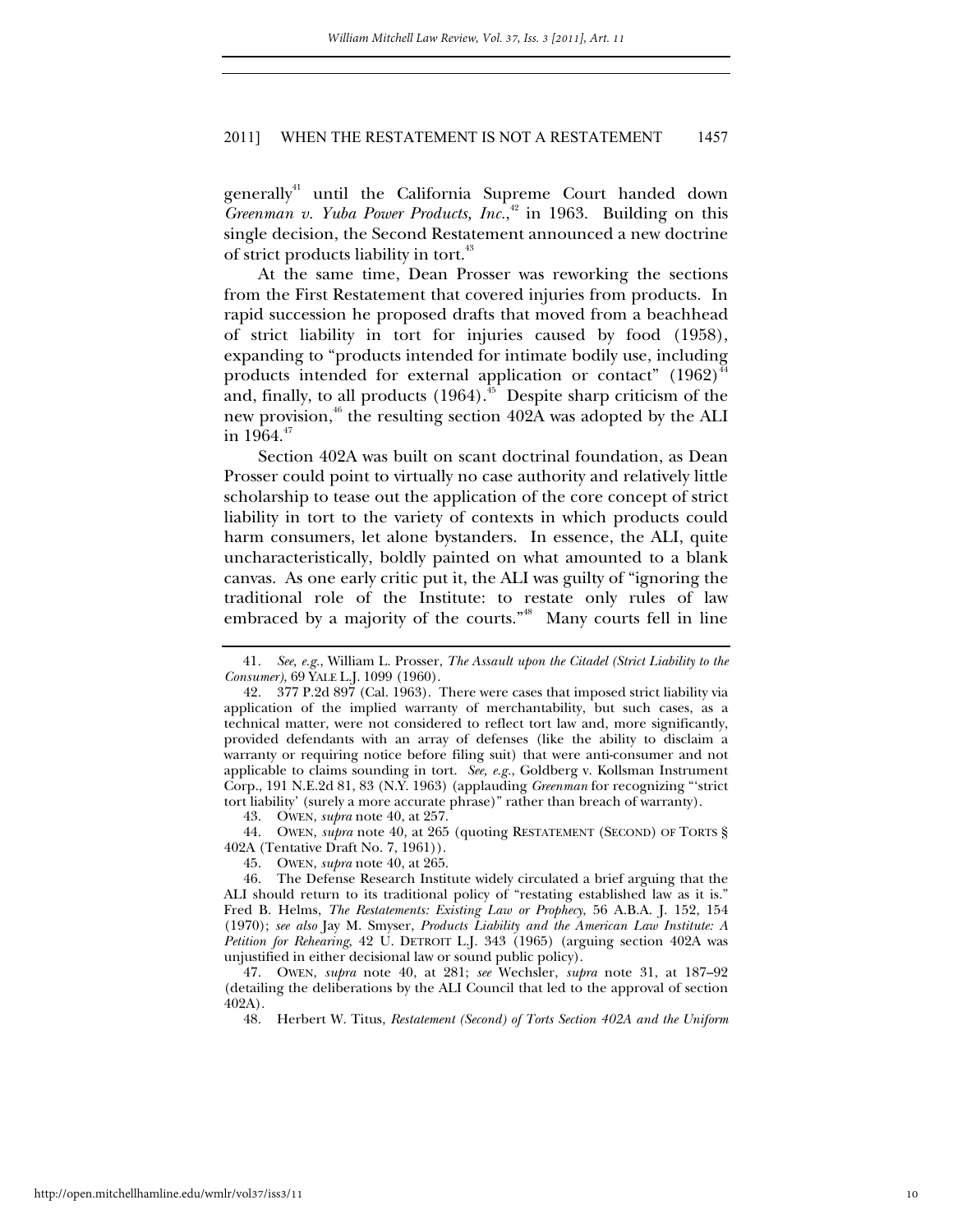generally<sup>41</sup> until the California Supreme Court handed down *Greenman v. Yuba Power Products, Inc.*, 42 in 1963. Building on this single decision, the Second Restatement announced a new doctrine of strict products liability in tort.<sup>43</sup>

At the same time, Dean Prosser was reworking the sections from the First Restatement that covered injuries from products. In rapid succession he proposed drafts that moved from a beachhead of strict liability in tort for injuries caused by food (1958), expanding to "products intended for intimate bodily use, including products intended for external application or contact"  $(1962)^4$ and, finally, to all products  $(1964)$ <sup>45</sup> Despite sharp criticism of the new provision, $46$ <sup>th</sup> the resulting section 402A was adopted by the ALI in  $1964.^{47}$ 

Section 402A was built on scant doctrinal foundation, as Dean Prosser could point to virtually no case authority and relatively little scholarship to tease out the application of the core concept of strict liability in tort to the variety of contexts in which products could harm consumers, let alone bystanders. In essence, the ALI, quite uncharacteristically, boldly painted on what amounted to a blank canvas. As one early critic put it, the ALI was guilty of "ignoring the traditional role of the Institute: to restate only rules of law embraced by a majority of the courts."<sup>48</sup> Many courts fell in line

43. OWEN, *supra* note 40, at 257.

 44. OWEN, *supra* note 40, at 265 (quoting RESTATEMENT (SECOND) OF TORTS § 402A (Tentative Draft No. 7, 1961)).

45. OWEN, *supra* note 40, at 265.

<sup>41</sup>*. See, e.g.*, William L. Prosser, *The Assault upon the Citadel (Strict Liability to the Consumer)*, 69 YALE L.J. 1099 (1960).

 <sup>42. 377</sup> P.2d 897 (Cal. 1963). There were cases that imposed strict liability via application of the implied warranty of merchantability, but such cases, as a technical matter, were not considered to reflect tort law and, more significantly, provided defendants with an array of defenses (like the ability to disclaim a warranty or requiring notice before filing suit) that were anti-consumer and not applicable to claims sounding in tort. *See, e.g.*, Goldberg v. Kollsman Instrument Corp., 191 N.E.2d 81, 83 (N.Y. 1963) (applauding *Greenman* for recognizing "'strict tort liability' (surely a more accurate phrase)" rather than breach of warranty).

 <sup>46.</sup> The Defense Research Institute widely circulated a brief arguing that the ALI should return to its traditional policy of "restating established law as it is." Fred B. Helms, *The Restatements: Existing Law or Prophecy*, 56 A.B.A. J. 152, 154 (1970); *see also* Jay M. Smyser, *Products Liability and the American Law Institute: A Petition for Rehearing*, 42 U. DETROIT L.J. 343 (1965) (arguing section 402A was unjustified in either decisional law or sound public policy).

 <sup>47.</sup> OWEN, *supra* note 40, at 281; *see* Wechsler, *supra* note 31, at 187–92 (detailing the deliberations by the ALI Council that led to the approval of section 402A).

 <sup>48.</sup> Herbert W. Titus, *Restatement (Second) of Torts Section 402A and the Uniform*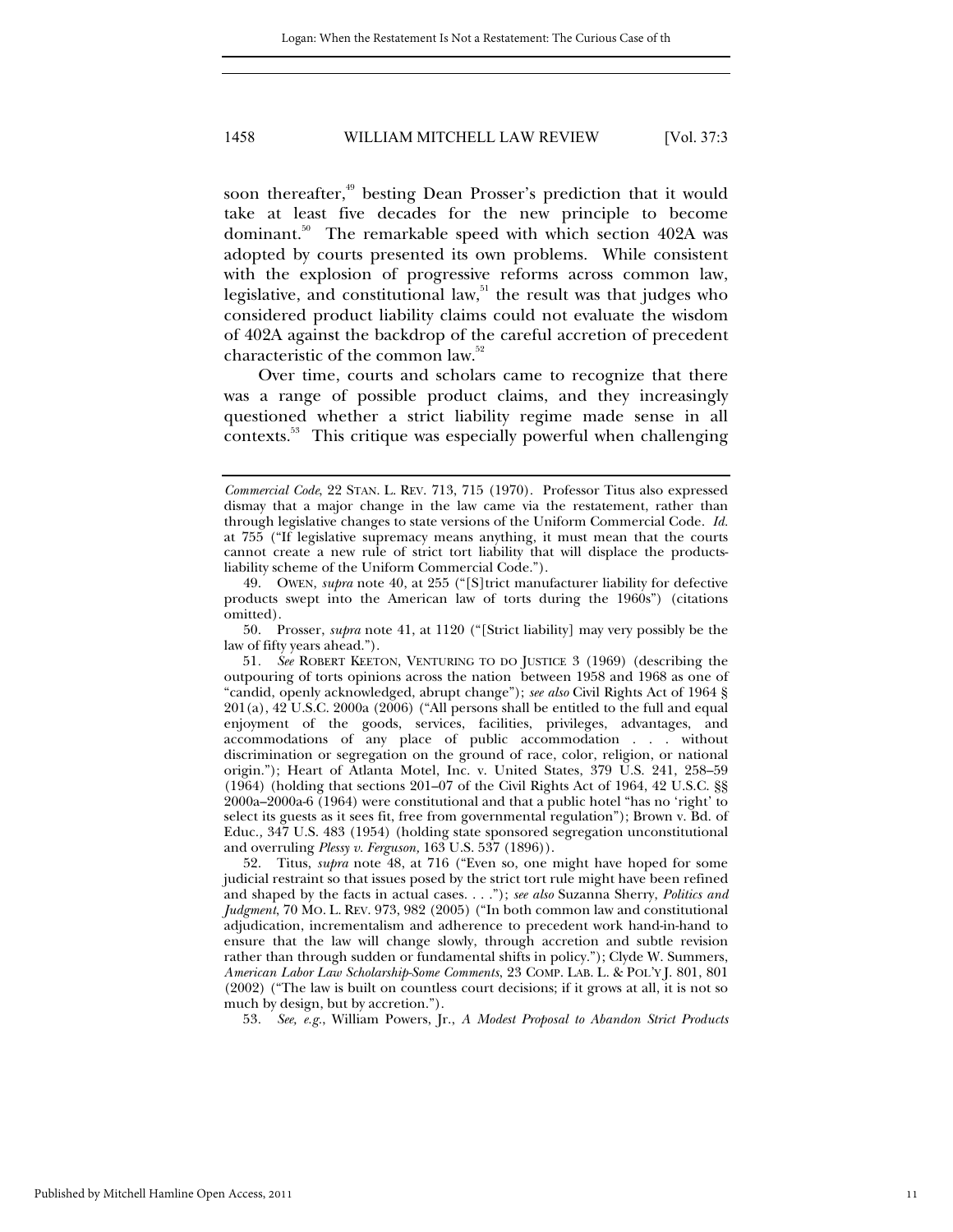soon thereafter,<sup>49</sup> besting Dean Prosser's prediction that it would take at least five decades for the new principle to become dominant.<sup>50</sup> The remarkable speed with which section 402A was adopted by courts presented its own problems. While consistent with the explosion of progressive reforms across common law, legislative, and constitutional law, $51$  the result was that judges who considered product liability claims could not evaluate the wisdom of 402A against the backdrop of the careful accretion of precedent characteristic of the common law.<sup>52</sup>

Over time, courts and scholars came to recognize that there was a range of possible product claims, and they increasingly questioned whether a strict liability regime made sense in all contexts.53 This critique was especially powerful when challenging

53*. See, e.g.*, William Powers, Jr., *A Modest Proposal to Abandon Strict Products* 

*Commercial Code*, 22 STAN. L. REV. 713, 715 (1970). Professor Titus also expressed dismay that a major change in the law came via the restatement, rather than through legislative changes to state versions of the Uniform Commercial Code. *Id.*  at 755 ("If legislative supremacy means anything, it must mean that the courts cannot create a new rule of strict tort liability that will displace the productsliability scheme of the Uniform Commercial Code.").

 <sup>49.</sup> OWEN, *supra* note 40, at 255 ("[S]trict manufacturer liability for defective products swept into the American law of torts during the 1960s") (citations omitted).

 <sup>50.</sup> Prosser, *supra* note 41, at 1120 ("[Strict liability] may very possibly be the law of fifty years ahead.").

<sup>51</sup>*. See* ROBERT KEETON, VENTURING TO DO JUSTICE 3 (1969) (describing the outpouring of torts opinions across the nation between 1958 and 1968 as one of "candid, openly acknowledged, abrupt change"); *see also* Civil Rights Act of 1964 § 201(a), 42 U.S.C. 2000a (2006) ("All persons shall be entitled to the full and equal enjoyment of the goods, services, facilities, privileges, advantages, and accommodations of any place of public accommodation . . . without discrimination or segregation on the ground of race, color, religion, or national origin."); Heart of Atlanta Motel, Inc. v. United States, 379 U.S. 241, 258–59 (1964) (holding that sections 201–07 of the Civil Rights Act of 1964, 42 U.S.C. §§ 2000a–2000a-6 (1964) were constitutional and that a public hotel "has no 'right' to select its guests as it sees fit, free from governmental regulation"); Brown v. Bd. of Educ.*,* 347 U.S. 483 (1954) (holding state sponsored segregation unconstitutional and overruling *Plessy v. Ferguson,* 163 U.S. 537 (1896)).

 <sup>52.</sup> Titus, *supra* note 48, at 716 ("Even so, one might have hoped for some judicial restraint so that issues posed by the strict tort rule might have been refined and shaped by the facts in actual cases. . . ."); *see also* Suzanna Sherry, *Politics and Judgment*, 70 MO. L. REV. 973, 982 (2005) ("In both common law and constitutional adjudication, incrementalism and adherence to precedent work hand-in-hand to ensure that the law will change slowly, through accretion and subtle revision rather than through sudden or fundamental shifts in policy."); Clyde W. Summers, *American Labor Law Scholarship-Some Comments*, 23 COMP. LAB. L. & POL'Y J. 801, 801 (2002) ("The law is built on countless court decisions; if it grows at all, it is not so much by design, but by accretion.").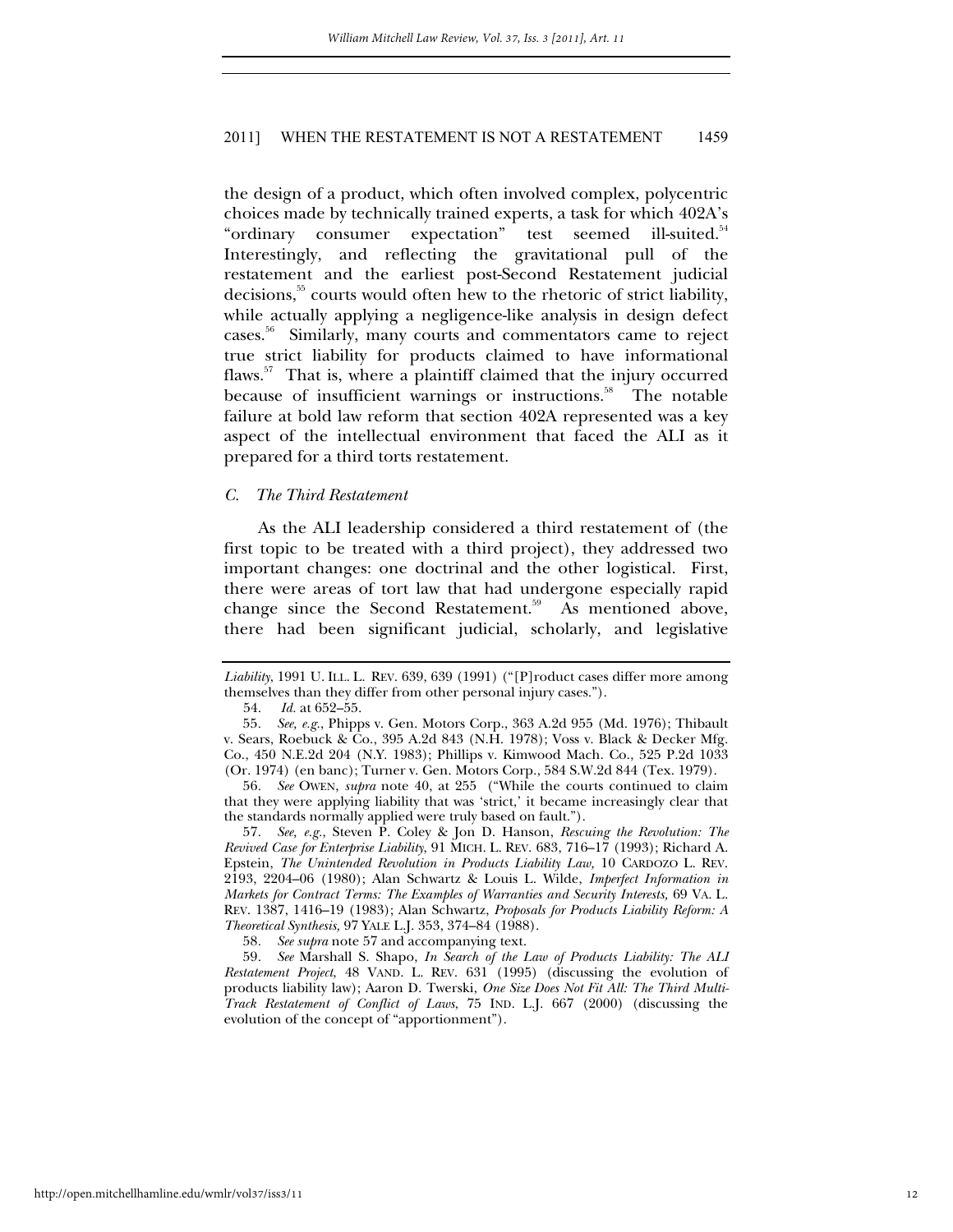the design of a product, which often involved complex, polycentric choices made by technically trained experts, a task for which 402A's "ordinary consumer expectation" test seemed ill-suited.<sup>54</sup> Interestingly, and reflecting the gravitational pull of the restatement and the earliest post-Second Restatement judicial decisions,<sup>55</sup> courts would often hew to the rhetoric of strict liability, while actually applying a negligence-like analysis in design defect cases.56 Similarly, many courts and commentators came to reject true strict liability for products claimed to have informational flaws.<sup>57</sup> That is, where a plaintiff claimed that the injury occurred because of insufficient warnings or instructions.<sup>58</sup> The notable failure at bold law reform that section 402A represented was a key aspect of the intellectual environment that faced the ALI as it prepared for a third torts restatement.

#### *C. The Third Restatement*

As the ALI leadership considered a third restatement of (the first topic to be treated with a third project), they addressed two important changes: one doctrinal and the other logistical. First, there were areas of tort law that had undergone especially rapid change since the Second Restatement.<sup>59</sup> As mentioned above, there had been significant judicial, scholarly, and legislative

54. *Id.* at 652–55.

56*. See* OWEN, *supra* note 40, at 255 ("While the courts continued to claim that they were applying liability that was 'strict,' it became increasingly clear that the standards normally applied were truly based on fault.").

57*. See, e.g.*, Steven P. Coley & Jon D. Hanson, *Rescuing the Revolution: The Revived Case for Enterprise Liability*, 91 MICH. L. REV. 683, 716–17 (1993); Richard A. Epstein, *The Unintended Revolution in Products Liability Law,* 10 CARDOZO L. REV. 2193, 2204–06 (1980); Alan Schwartz & Louis L. Wilde, *Imperfect Information in Markets for Contract Terms: The Examples of Warranties and Security Interests,* 69 VA. L. REV. 1387, 1416–19 (1983); Alan Schwartz, *Proposals for Products Liability Reform: A Theoretical Synthesis,* 97 YALE L.J. 353, 374–84 (1988).

58*. See supra* note 57 and accompanying text.

59*. See* Marshall S. Shapo, *In Search of the Law of Products Liability: The ALI Restatement Project*, 48 VAND. L. REV. 631 (1995) (discussing the evolution of products liability law); Aaron D. Twerski, *One Size Does Not Fit All: The Third Multi-Track Restatement of Conflict of Laws*, 75 IND. L.J. 667 (2000) (discussing the evolution of the concept of "apportionment").

*Liability*, 1991 U. ILL. L. REV. 639, 639 (1991) ("[P]roduct cases differ more among themselves than they differ from other personal injury cases.").

<sup>55</sup>*. See, e.g.*, Phipps v. Gen. Motors Corp., 363 A.2d 955 (Md. 1976); Thibault v. Sears, Roebuck & Co., 395 A.2d 843 (N.H. 1978); Voss v. Black & Decker Mfg. Co., 450 N.E.2d 204 (N.Y. 1983); Phillips v. Kimwood Mach. Co., 525 P.2d 1033 (Or. 1974) (en banc); Turner v. Gen. Motors Corp., 584 S.W.2d 844 (Tex. 1979).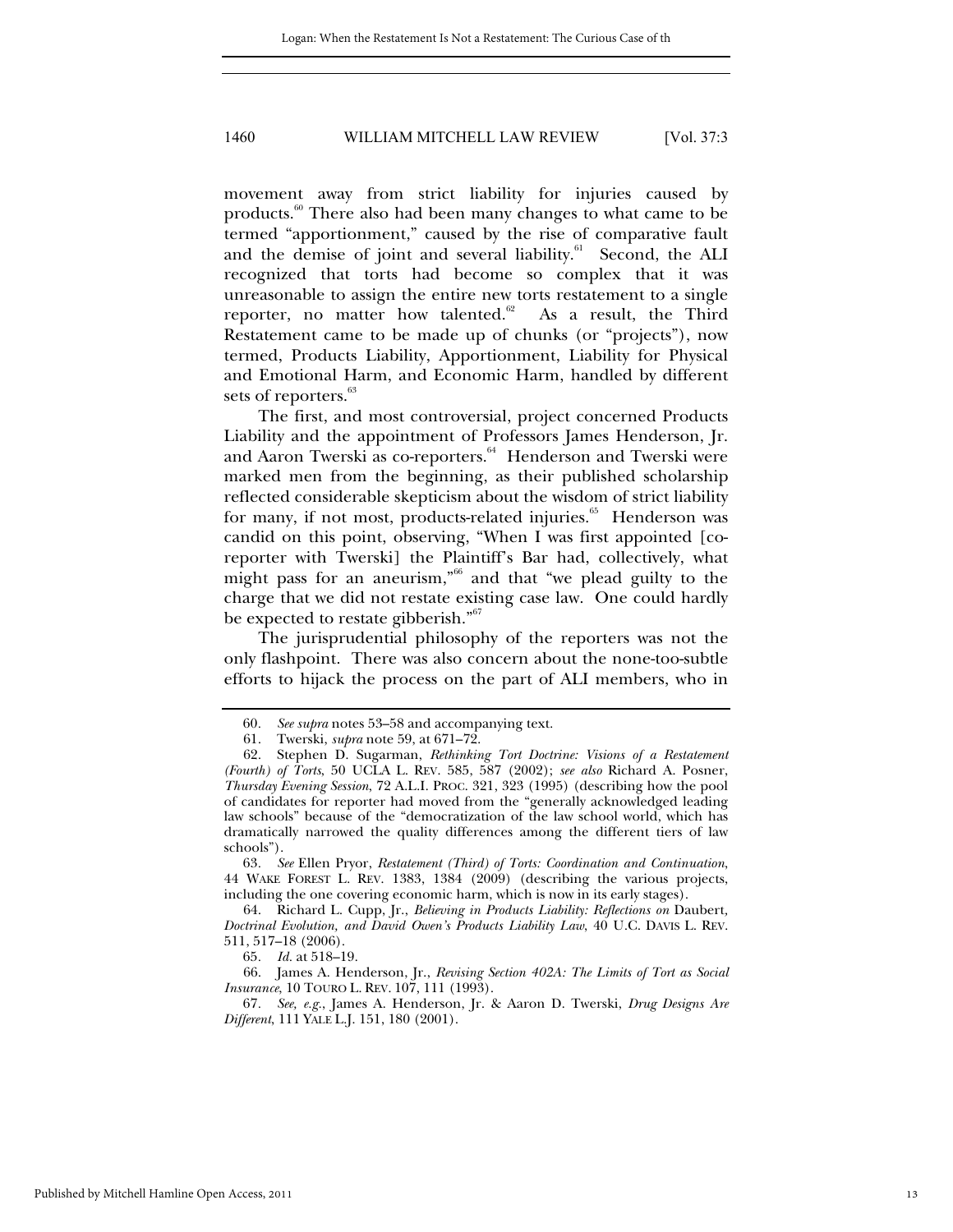movement away from strict liability for injuries caused by products.60 There also had been many changes to what came to be termed "apportionment," caused by the rise of comparative fault and the demise of joint and several liability.<sup>61</sup> Second, the ALI recognized that torts had become so complex that it was unreasonable to assign the entire new torts restatement to a single reporter, no matter how talented.<sup>62</sup> As a result, the Third Restatement came to be made up of chunks (or "projects"), now termed, Products Liability, Apportionment, Liability for Physical and Emotional Harm, and Economic Harm, handled by different sets of reporters.<sup>63</sup>

The first, and most controversial, project concerned Products Liability and the appointment of Professors James Henderson, Jr. and Aaron Twerski as co-reporters.<sup>64</sup> Henderson and Twerski were marked men from the beginning, as their published scholarship reflected considerable skepticism about the wisdom of strict liability for many, if not most, products-related injuries.<sup>65</sup> Henderson was candid on this point, observing, "When I was first appointed [coreporter with Twerski] the Plaintiff's Bar had, collectively, what might pass for an aneurism,"66 and that "we plead guilty to the charge that we did not restate existing case law. One could hardly be expected to restate gibberish."<sup>67</sup>

The jurisprudential philosophy of the reporters was not the only flashpoint. There was also concern about the none-too-subtle efforts to hijack the process on the part of ALI members, who in

63*. See* Ellen Pryor, *Restatement (Third) of Torts: Coordination and Continuation*, 44 WAKE FOREST L. REV. 1383, 1384 (2009) (describing the various projects, including the one covering economic harm, which is now in its early stages).

 64. Richard L. Cupp, Jr., *Believing in Products Liability: Reflections on* Daubert*, Doctrinal Evolution, and David Owen's Products Liability Law*, 40 U.C. DAVIS L. REV. 511, 517–18 (2006).

65*. Id.* at 518–19.

 66. James A. Henderson, Jr., *Revising Section 402A: The Limits of Tort as Social Insurance*, 10 TOURO L. REV. 107, 111 (1993).

67*. See, e.g.*, James A. Henderson, Jr. & Aaron D. Twerski, *Drug Designs Are Different*, 111 YALE L.J. 151, 180 (2001).

<sup>60</sup>*. See supra* notes 53–58 and accompanying text.

 <sup>61.</sup> Twerski, *supra* note 59, at 671–72.

 <sup>62.</sup> Stephen D. Sugarman, *Rethinking Tort Doctrine: Visions of a Restatement (Fourth) of Torts*, 50 UCLA L. REV. 585, 587 (2002); *see also* Richard A. Posner, *Thursday Evening Session*, 72 A.L.I. PROC. 321, 323 (1995) (describing how the pool of candidates for reporter had moved from the "generally acknowledged leading law schools" because of the "democratization of the law school world, which has dramatically narrowed the quality differences among the different tiers of law schools").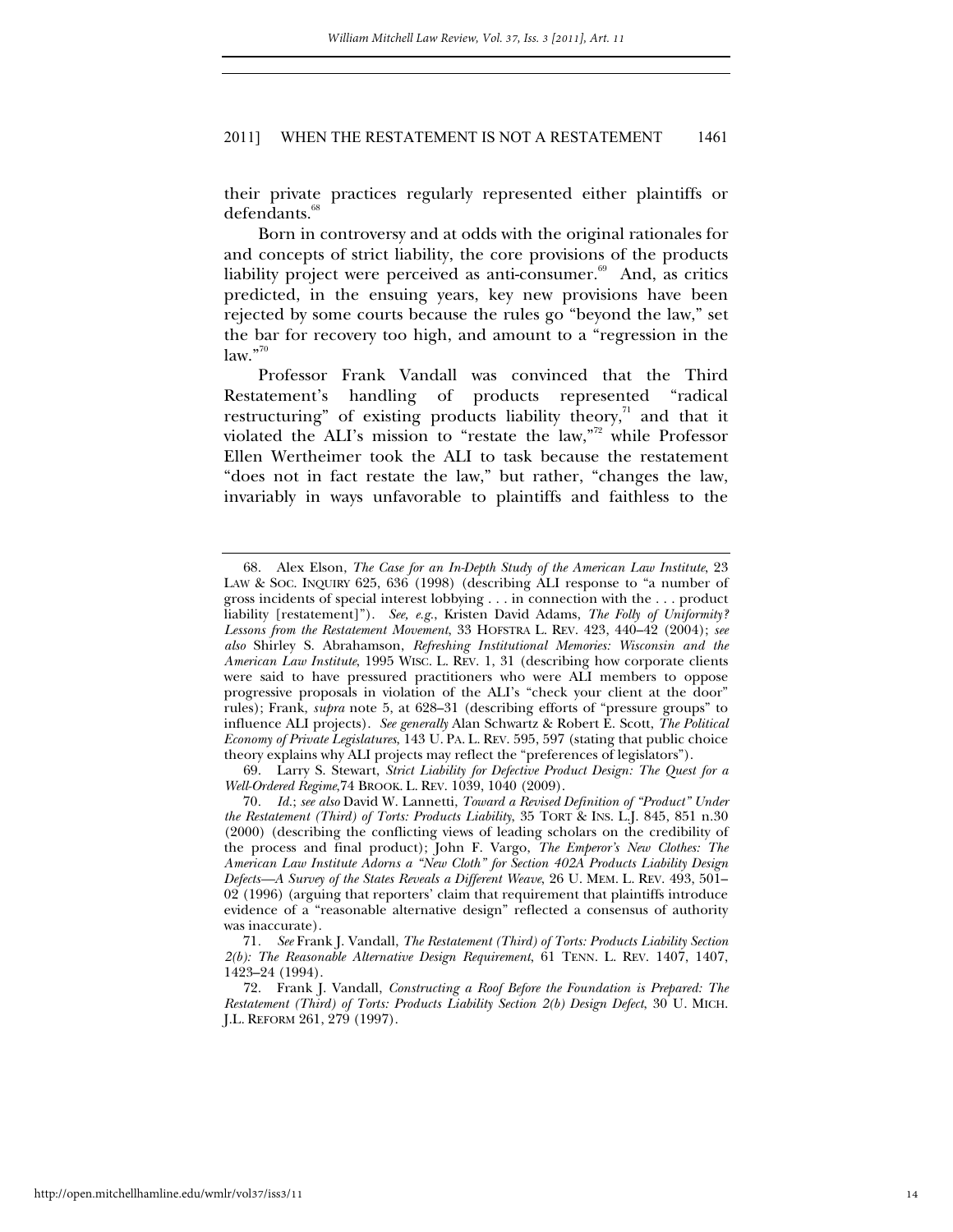their private practices regularly represented either plaintiffs or defendants.<sup>6</sup>

Born in controversy and at odds with the original rationales for and concepts of strict liability, the core provisions of the products liability project were perceived as anti-consumer.<sup>69</sup> And, as critics predicted, in the ensuing years, key new provisions have been rejected by some courts because the rules go "beyond the law," set the bar for recovery too high, and amount to a "regression in the  $law.$ "<sup>70</sup>

Professor Frank Vandall was convinced that the Third Restatement's handling of products represented "radical restructuring" of existing products liability theory, $\lambda$ <sup>1</sup> and that it violated the ALI's mission to "restate the law,"<sup>72</sup> while Professor Ellen Wertheimer took the ALI to task because the restatement "does not in fact restate the law," but rather, "changes the law, invariably in ways unfavorable to plaintiffs and faithless to the

 <sup>68.</sup> Alex Elson, *The Case for an In-Depth Study of the American Law Institute*, 23 LAW & SOC. INQUIRY 625, 636 (1998) (describing ALI response to "a number of gross incidents of special interest lobbying . . . in connection with the . . . product liability [restatement]"). *See, e.g.*, Kristen David Adams, *The Folly of Uniformity? Lessons from the Restatement Movement*, 33 HOFSTRA L. REV. 423, 440–42 (2004); *see also* Shirley S. Abrahamson, *Refreshing Institutional Memories: Wisconsin and the American Law Institute*, 1995 WISC. L. REV. 1, 31 (describing how corporate clients were said to have pressured practitioners who were ALI members to oppose progressive proposals in violation of the ALI's "check your client at the door" rules); Frank, *supra* note 5, at 628–31 (describing efforts of "pressure groups" to influence ALI projects). *See generally* Alan Schwartz & Robert E. Scott, *The Political Economy of Private Legislatures*, 143 U. PA. L. REV. 595, 597 (stating that public choice theory explains why ALI projects may reflect the "preferences of legislators").

 <sup>69.</sup> Larry S. Stewart, *Strict Liability for Defective Product Design: The Quest for a Well-Ordered Regime*,74 BROOK. L. REV. 1039, 1040 (2009).

<sup>70</sup>*. Id.*; *see also* David W. Lannetti, *Toward a Revised Definition of "Product" Under the Restatement (Third) of Torts: Products Liability*, 35 TORT & INS. L.J. 845, 851 n.30 (2000) (describing the conflicting views of leading scholars on the credibility of the process and final product); John F. Vargo, *The Emperor's New Clothes: The American Law Institute Adorns a "New Cloth" for Section 402A Products Liability Design Defects—A Survey of the States Reveals a Different Weave*, 26 U. MEM. L. REV. 493, 501– 02 (1996) (arguing that reporters' claim that requirement that plaintiffs introduce evidence of a "reasonable alternative design" reflected a consensus of authority was inaccurate).

<sup>71</sup>*. See* Frank J. Vandall, *The Restatement (Third) of Torts: Products Liability Section 2(b): The Reasonable Alternative Design Requirement*, 61 TENN. L. REV. 1407, 1407, 1423–24 (1994).

 <sup>72.</sup> Frank J. Vandall, *Constructing a Roof Before the Foundation is Prepared: The Restatement (Third) of Torts: Products Liability Section 2(b) Design Defect*, 30 U. MICH. J.L. REFORM 261, 279 (1997).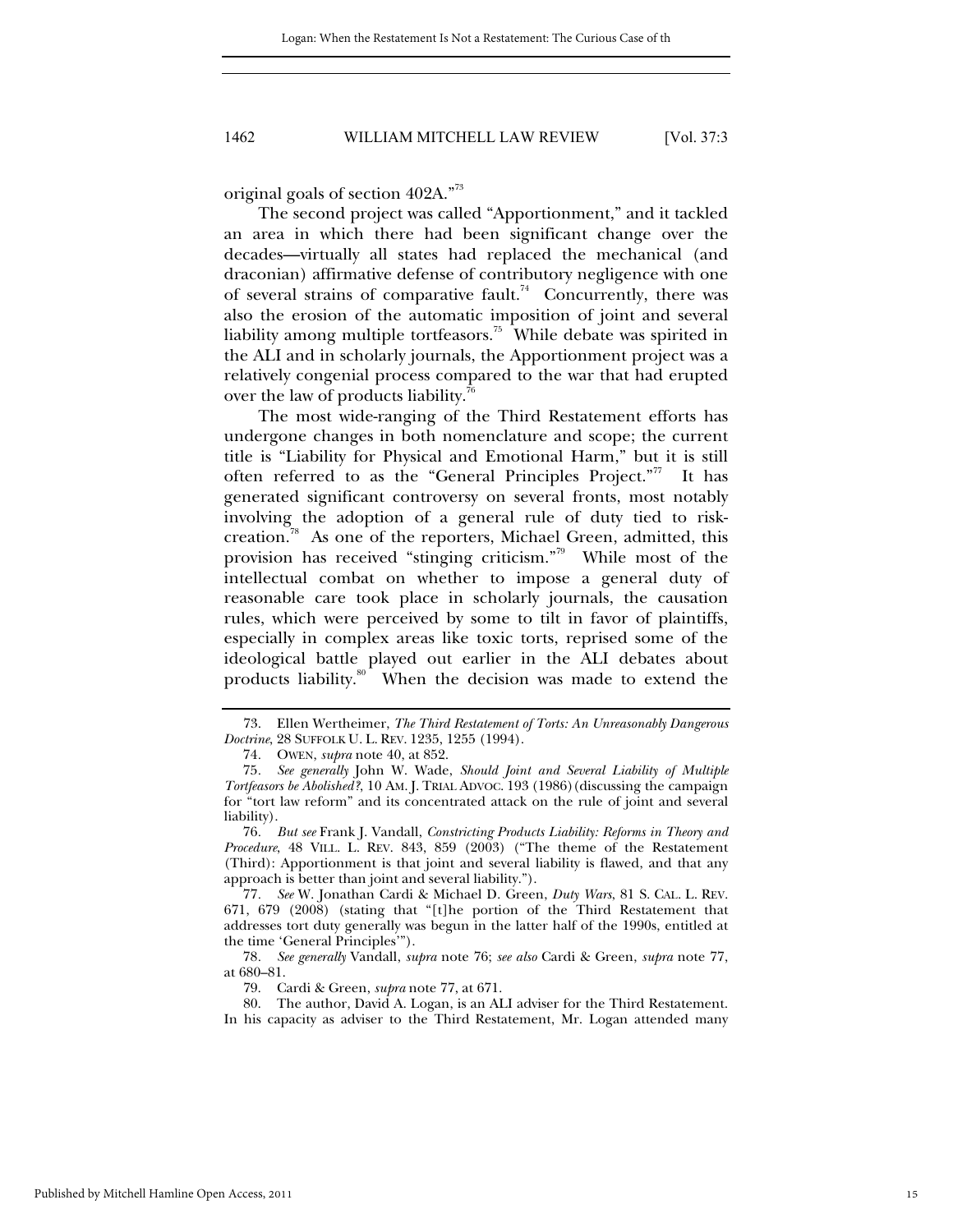original goals of section 402A."<sup>73</sup>

The second project was called "Apportionment," and it tackled an area in which there had been significant change over the decades—virtually all states had replaced the mechanical (and draconian) affirmative defense of contributory negligence with one of several strains of comparative fault.<sup>74</sup> Concurrently, there was also the erosion of the automatic imposition of joint and several liability among multiple tortfeasors.<sup>75</sup> While debate was spirited in the ALI and in scholarly journals, the Apportionment project was a relatively congenial process compared to the war that had erupted over the law of products liability.<sup>76</sup>

The most wide-ranging of the Third Restatement efforts has undergone changes in both nomenclature and scope; the current title is "Liability for Physical and Emotional Harm," but it is still often referred to as the "General Principles Project."<sup>77</sup> It has generated significant controversy on several fronts, most notably involving the adoption of a general rule of duty tied to riskcreation.78 As one of the reporters, Michael Green, admitted, this provision has received "stinging criticism."79 While most of the intellectual combat on whether to impose a general duty of reasonable care took place in scholarly journals, the causation rules, which were perceived by some to tilt in favor of plaintiffs, especially in complex areas like toxic torts, reprised some of the ideological battle played out earlier in the ALI debates about products liability.<sup>80</sup> When the decision was made to extend the

 <sup>73.</sup> Ellen Wertheimer, *The Third Restatement of Torts: An Unreasonably Dangerous Doctrine*, 28 SUFFOLK U. L. REV. 1235, 1255 (1994).

<sup>74</sup>*.* OWEN, *supra* note 40, at 852.

<sup>75</sup>*. See generally* John W. Wade, *Should Joint and Several Liability of Multiple Tortfeasors be Abolished?*, 10 AM. J. TRIAL ADVOC. 193 (1986)(discussing the campaign for "tort law reform" and its concentrated attack on the rule of joint and several liability).

<sup>76</sup>*. But see* Frank J. Vandall, *Constricting Products Liability: Reforms in Theory and Procedure*, 48 VILL. L. REV. 843, 859 (2003) ("The theme of the Restatement (Third): Apportionment is that joint and several liability is flawed, and that any approach is better than joint and several liability.").

<sup>77</sup>*. See* W. Jonathan Cardi & Michael D. Green, *Duty Wars*, 81 S. CAL. L. REV. 671, 679 (2008) (stating that "[t]he portion of the Third Restatement that addresses tort duty generally was begun in the latter half of the 1990s, entitled at the time 'General Principles'").

<sup>78</sup>*. See generally* Vandall, *supra* note 76; *see also* Cardi & Green, *supra* note 77, at 680–81.

 <sup>79.</sup> Cardi & Green, *supra* note 77, at 671.

 <sup>80.</sup> The author, David A. Logan, is an ALI adviser for the Third Restatement. In his capacity as adviser to the Third Restatement, Mr. Logan attended many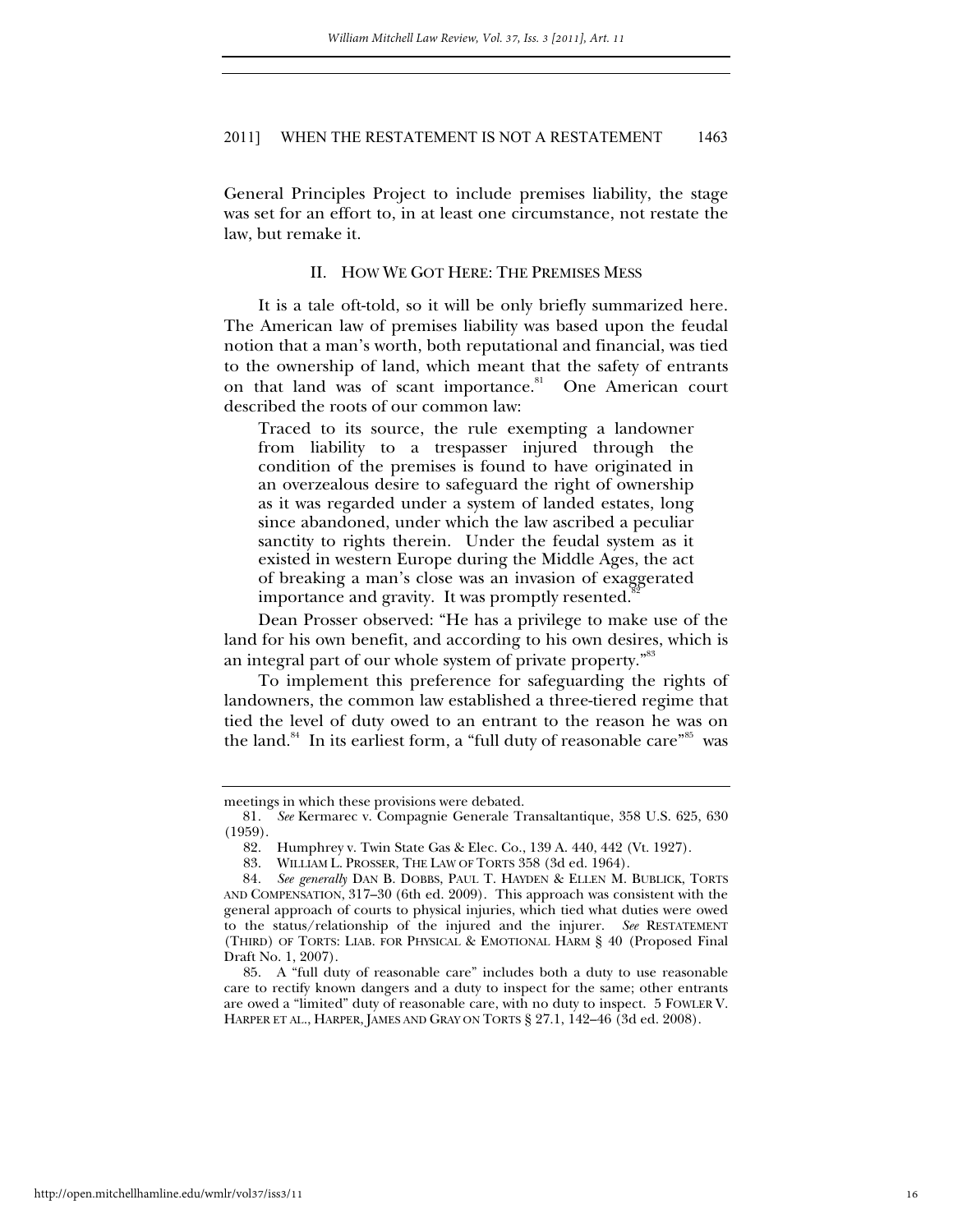General Principles Project to include premises liability, the stage was set for an effort to, in at least one circumstance, not restate the law, but remake it.

## II. HOW WE GOT HERE: THE PREMISES MESS

It is a tale oft-told, so it will be only briefly summarized here. The American law of premises liability was based upon the feudal notion that a man's worth, both reputational and financial, was tied to the ownership of land, which meant that the safety of entrants on that land was of scant importance.<sup>81</sup> One American court described the roots of our common law:

Traced to its source, the rule exempting a landowner from liability to a trespasser injured through the condition of the premises is found to have originated in an overzealous desire to safeguard the right of ownership as it was regarded under a system of landed estates, long since abandoned, under which the law ascribed a peculiar sanctity to rights therein. Under the feudal system as it existed in western Europe during the Middle Ages, the act of breaking a man's close was an invasion of exaggerated importance and gravity. It was promptly resented.<sup>8</sup>

Dean Prosser observed: "He has a privilege to make use of the land for his own benefit, and according to his own desires, which is an integral part of our whole system of private property."<sup>83</sup>

To implement this preference for safeguarding the rights of landowners, the common law established a three-tiered regime that tied the level of duty owed to an entrant to the reason he was on the land.<sup>84</sup> In its earliest form, a "full duty of reasonable care"<sup>85</sup> was

meetings in which these provisions were debated.

<sup>81</sup>*. See* Kermarec v. Compagnie Generale Transaltantique, 358 U.S. 625, 630 (1959).

 <sup>82.</sup> Humphrey v. Twin State Gas & Elec. Co., 139 A. 440, 442 (Vt. 1927).

 <sup>83.</sup> WILLIAM L. PROSSER, THE LAW OF TORTS 358 (3d ed. 1964).

<sup>84</sup>*. See generally* DAN B. DOBBS, PAUL T. HAYDEN & ELLEN M. BUBLICK, TORTS AND COMPENSATION, 317–30 (6th ed. 2009). This approach was consistent with the general approach of courts to physical injuries, which tied what duties were owed to the status/relationship of the injured and the injurer. *See* RESTATEMENT (THIRD) OF TORTS: LIAB. FOR PHYSICAL & EMOTIONAL HARM § 40 (Proposed Final Draft No. 1, 2007).

 <sup>85.</sup> A "full duty of reasonable care" includes both a duty to use reasonable care to rectify known dangers and a duty to inspect for the same; other entrants are owed a "limited" duty of reasonable care, with no duty to inspect. 5 FOWLER V. HARPER ET AL., HARPER, JAMES AND GRAY ON TORTS § 27.1, 142–46 (3d ed. 2008).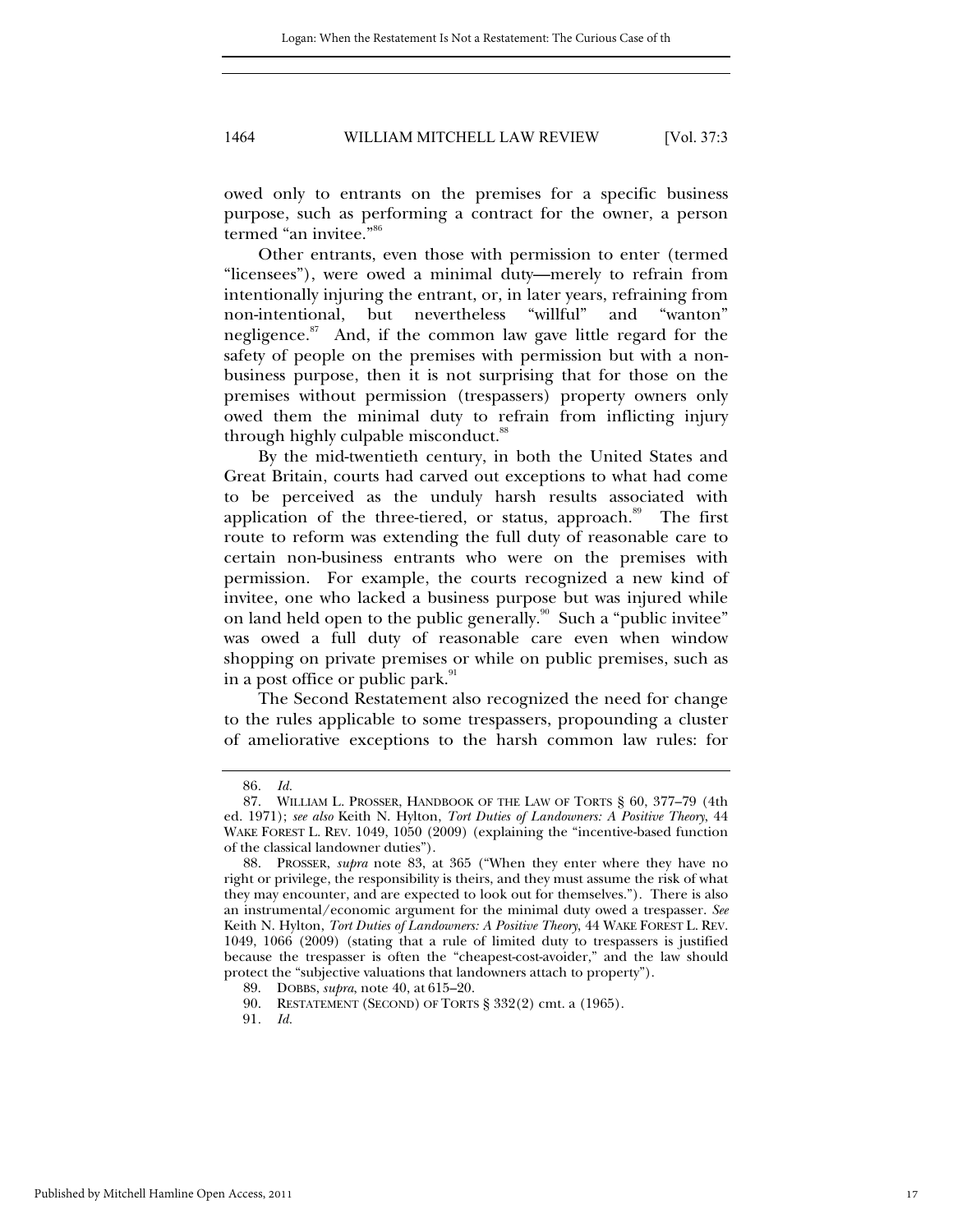owed only to entrants on the premises for a specific business purpose, such as performing a contract for the owner, a person termed "an invitee."86

Other entrants, even those with permission to enter (termed "licensees"), were owed a minimal duty—merely to refrain from intentionally injuring the entrant, or, in later years, refraining from non-intentional, but nevertheless "willful" and "wanton" negligence. $87$  And, if the common law gave little regard for the safety of people on the premises with permission but with a nonbusiness purpose, then it is not surprising that for those on the premises without permission (trespassers) property owners only owed them the minimal duty to refrain from inflicting injury through highly culpable misconduct.<sup>88</sup>

By the mid-twentieth century, in both the United States and Great Britain, courts had carved out exceptions to what had come to be perceived as the unduly harsh results associated with application of the three-tiered, or status, approach.<sup>89</sup> The first route to reform was extending the full duty of reasonable care to certain non-business entrants who were on the premises with permission. For example, the courts recognized a new kind of invitee, one who lacked a business purpose but was injured while on land held open to the public generally.<sup>90</sup> Such a "public invitee" was owed a full duty of reasonable care even when window shopping on private premises or while on public premises, such as in a post office or public park. $^{91}$ 

The Second Restatement also recognized the need for change to the rules applicable to some trespassers, propounding a cluster of ameliorative exceptions to the harsh common law rules: for

<sup>86</sup>*. Id.*

 <sup>87.</sup> WILLIAM L. PROSSER, HANDBOOK OF THE LAW OF TORTS § 60, 377–79 (4th ed. 1971); *see also* Keith N. Hylton, *Tort Duties of Landowners: A Positive Theory*, 44 WAKE FOREST L. REV. 1049, 1050 (2009) (explaining the "incentive-based function of the classical landowner duties").

 <sup>88.</sup> PROSSER, *supra* note 83, at 365 ("When they enter where they have no right or privilege, the responsibility is theirs, and they must assume the risk of what they may encounter, and are expected to look out for themselves."). There is also an instrumental/economic argument for the minimal duty owed a trespasser. *See* Keith N. Hylton, *Tort Duties of Landowners: A Positive Theory*, 44 WAKE FOREST L. REV. 1049, 1066 (2009) (stating that a rule of limited duty to trespassers is justified because the trespasser is often the "cheapest-cost-avoider," and the law should protect the "subjective valuations that landowners attach to property").

 <sup>89.</sup> DOBBS, *supra*, note 40, at 615–20.

 <sup>90.</sup> RESTATEMENT (SECOND) OF TORTS § 332(2) cmt. a (1965).

<sup>91</sup>*. Id.*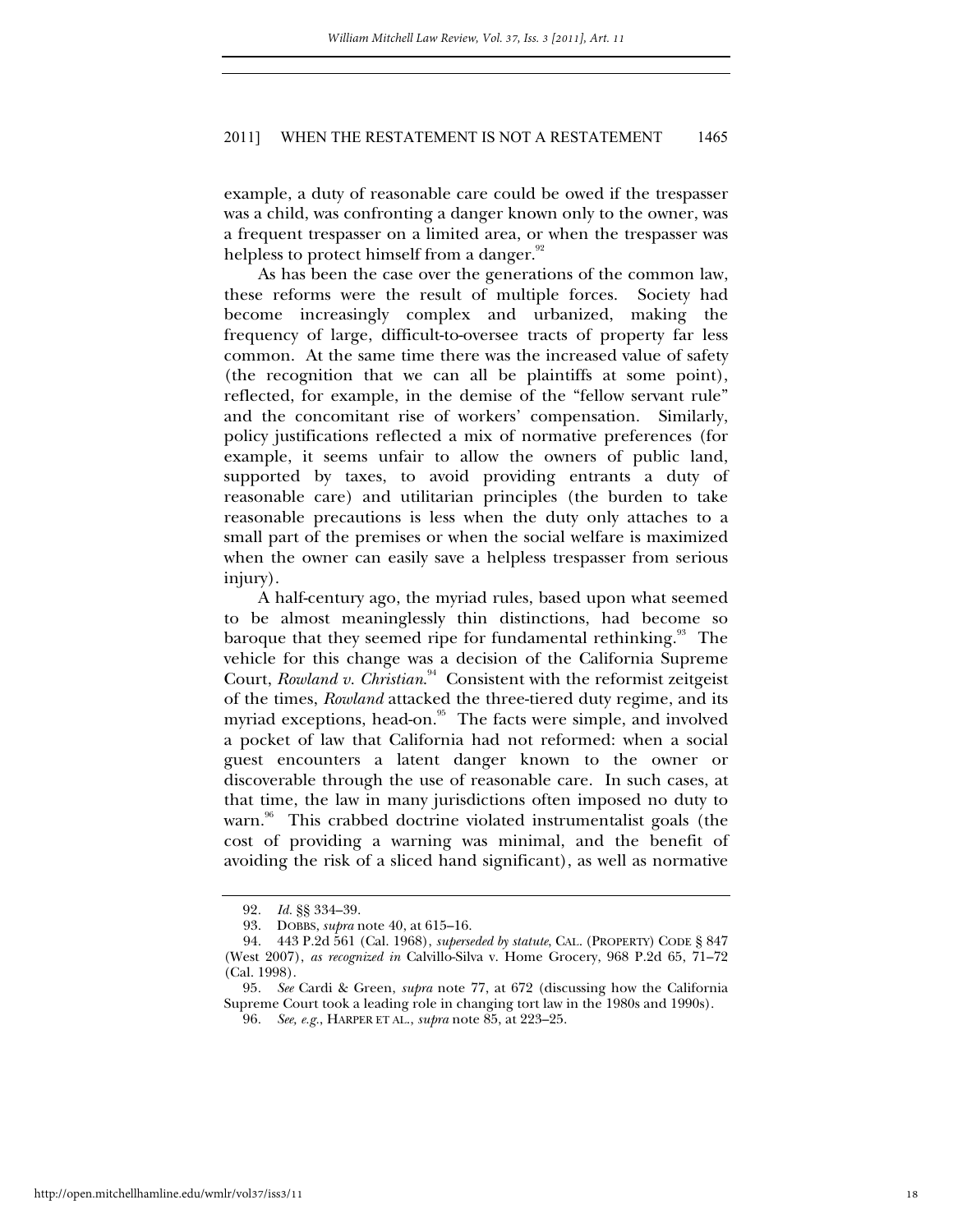example, a duty of reasonable care could be owed if the trespasser was a child, was confronting a danger known only to the owner, was a frequent trespasser on a limited area, or when the trespasser was helpless to protect himself from a danger.<sup>92</sup>

As has been the case over the generations of the common law, these reforms were the result of multiple forces. Society had become increasingly complex and urbanized, making the frequency of large, difficult-to-oversee tracts of property far less common. At the same time there was the increased value of safety (the recognition that we can all be plaintiffs at some point), reflected, for example, in the demise of the "fellow servant rule" and the concomitant rise of workers' compensation. Similarly, policy justifications reflected a mix of normative preferences (for example, it seems unfair to allow the owners of public land, supported by taxes, to avoid providing entrants a duty of reasonable care) and utilitarian principles (the burden to take reasonable precautions is less when the duty only attaches to a small part of the premises or when the social welfare is maximized when the owner can easily save a helpless trespasser from serious injury).

A half-century ago, the myriad rules, based upon what seemed to be almost meaninglessly thin distinctions, had become so baroque that they seemed ripe for fundamental rethinking.<sup>93</sup> The vehicle for this change was a decision of the California Supreme Court, *Rowland v. Christian*. 94 Consistent with the reformist zeitgeist of the times, *Rowland* attacked the three-tiered duty regime, and its myriad exceptions, head-on.<sup>95</sup> The facts were simple, and involved a pocket of law that California had not reformed: when a social guest encounters a latent danger known to the owner or discoverable through the use of reasonable care. In such cases, at that time, the law in many jurisdictions often imposed no duty to warn.<sup>96</sup> This crabbed doctrine violated instrumentalist goals (the cost of providing a warning was minimal, and the benefit of avoiding the risk of a sliced hand significant), as well as normative

<sup>92</sup>*. Id.* §§ 334–39.

 <sup>93.</sup> DOBBS, *supra* note 40, at 615–16.

 <sup>94. 443</sup> P.2d 561 (Cal. 1968), *superseded by statute*, CAL. (PROPERTY) CODE § 847 (West 2007), *as recognized in* Calvillo-Silva v. Home Grocery, 968 P.2d 65, 71–72 (Cal. 1998).

<sup>95</sup>*. See* Cardi & Green, *supra* note 77, at 672 (discussing how the California Supreme Court took a leading role in changing tort law in the 1980s and 1990s).

<sup>96</sup>*. See, e.g.*, HARPER ET AL., *supra* note 85, at 223–25.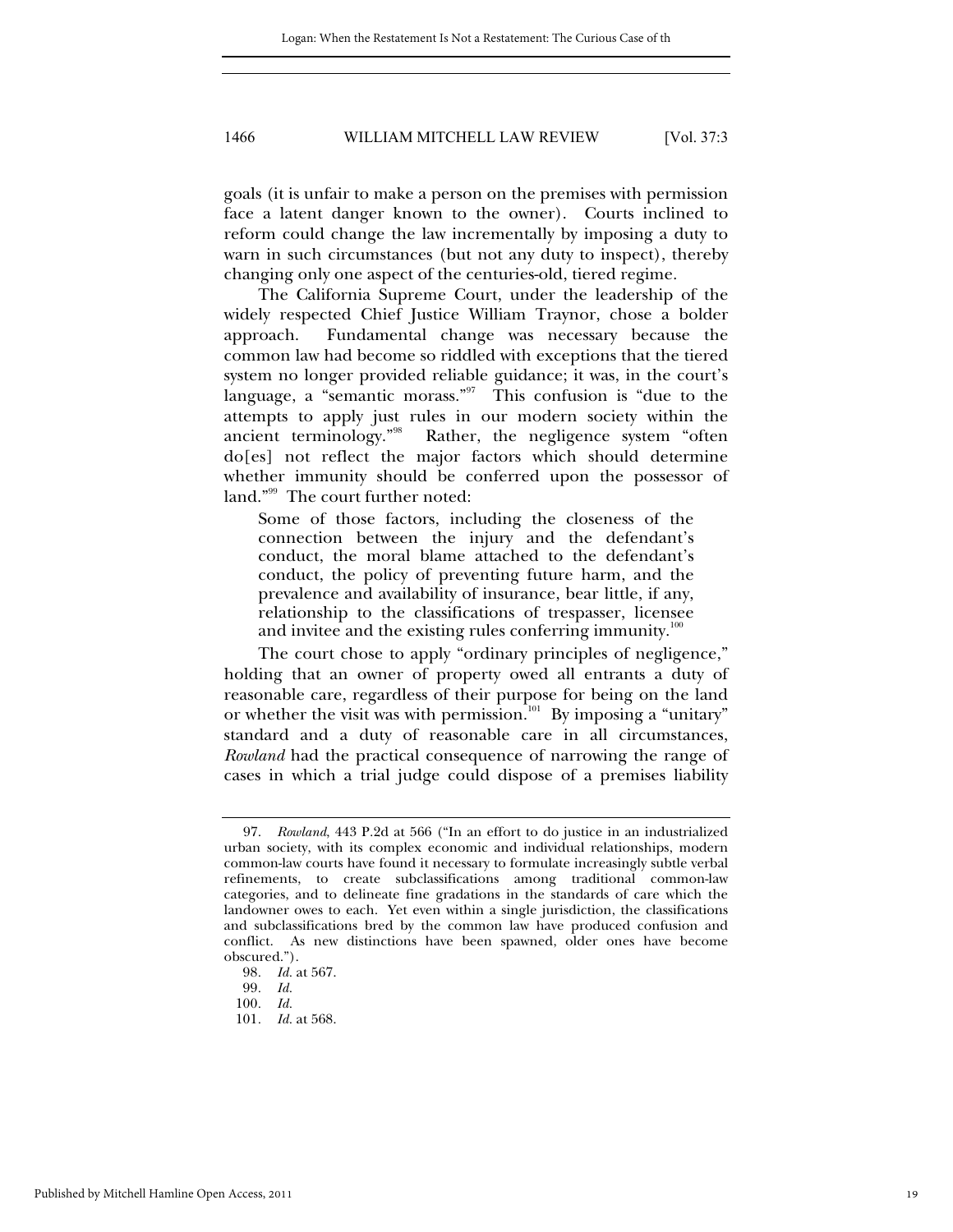goals (it is unfair to make a person on the premises with permission face a latent danger known to the owner). Courts inclined to reform could change the law incrementally by imposing a duty to warn in such circumstances (but not any duty to inspect), thereby changing only one aspect of the centuries-old, tiered regime.

The California Supreme Court, under the leadership of the widely respected Chief Justice William Traynor, chose a bolder approach. Fundamental change was necessary because the common law had become so riddled with exceptions that the tiered system no longer provided reliable guidance; it was, in the court's language, a "semantic morass." This confusion is "due to the attempts to apply just rules in our modern society within the ancient terminology."98 Rather, the negligence system "often do[es] not reflect the major factors which should determine whether immunity should be conferred upon the possessor of land."<sup>99</sup> The court further noted:

Some of those factors, including the closeness of the connection between the injury and the defendant's conduct, the moral blame attached to the defendant's conduct, the policy of preventing future harm, and the prevalence and availability of insurance, bear little, if any, relationship to the classifications of trespasser, licensee and invitee and the existing rules conferring immunity.<sup>11</sup>

The court chose to apply "ordinary principles of negligence," holding that an owner of property owed all entrants a duty of reasonable care, regardless of their purpose for being on the land or whether the visit was with permission.<sup>101</sup> By imposing a "unitary" standard and a duty of reasonable care in all circumstances, *Rowland* had the practical consequence of narrowing the range of cases in which a trial judge could dispose of a premises liability

 <sup>97.</sup> *Rowland*, 443 P.2d at 566 ("In an effort to do justice in an industrialized urban society, with its complex economic and individual relationships, modern common-law courts have found it necessary to formulate increasingly subtle verbal refinements, to create subclassifications among traditional common-law categories, and to delineate fine gradations in the standards of care which the landowner owes to each. Yet even within a single jurisdiction, the classifications and subclassifications bred by the common law have produced confusion and conflict. As new distinctions have been spawned, older ones have become obscured.").

<sup>98</sup>*. Id.* at 567.

<sup>99</sup>*. Id.*

<sup>100</sup>*. Id.*

<sup>101</sup>*. Id.* at 568.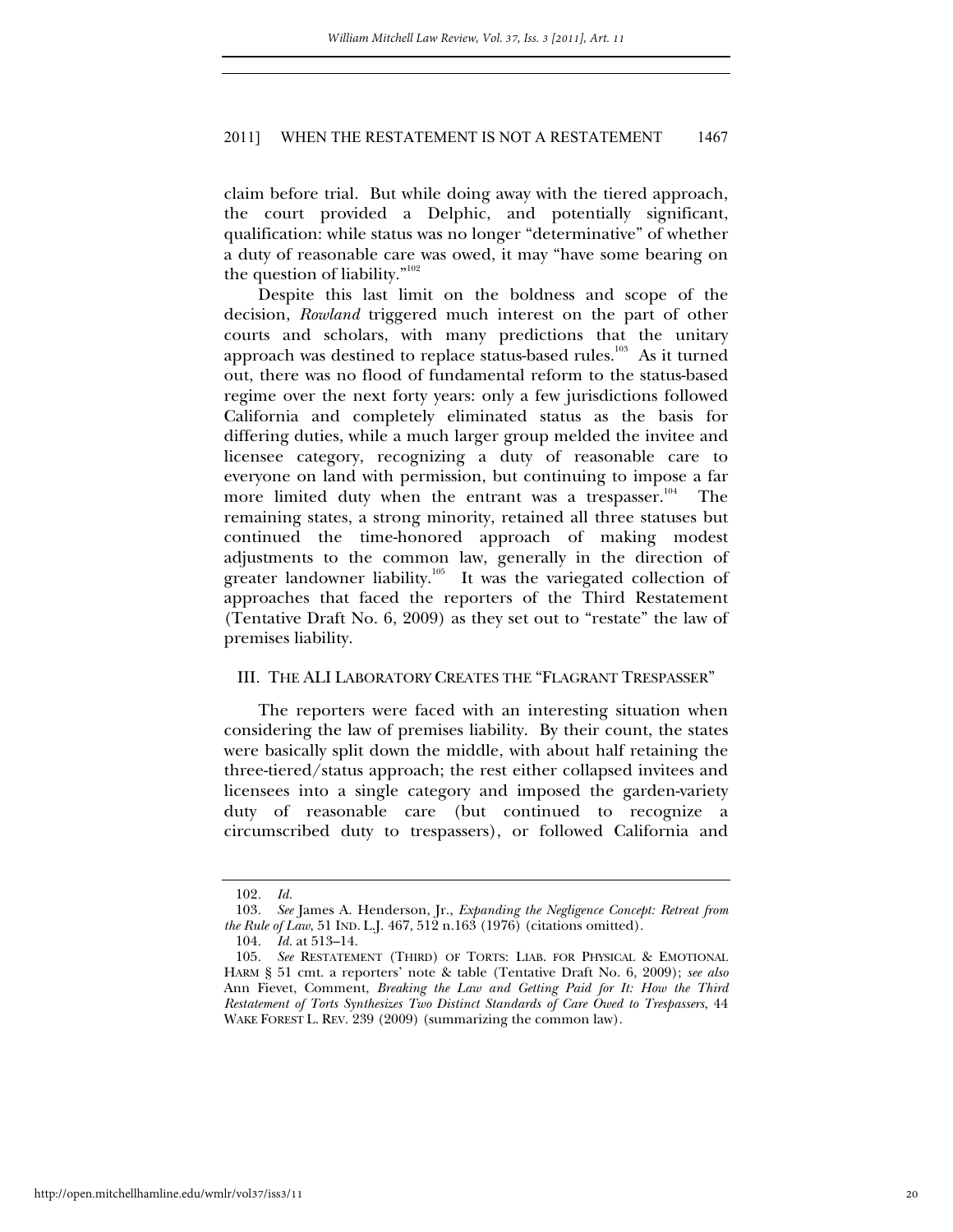claim before trial. But while doing away with the tiered approach, the court provided a Delphic, and potentially significant, qualification: while status was no longer "determinative" of whether a duty of reasonable care was owed, it may "have some bearing on the question of liability." $102$ 

Despite this last limit on the boldness and scope of the decision, *Rowland* triggered much interest on the part of other courts and scholars, with many predictions that the unitary approach was destined to replace status-based rules.<sup>103</sup> As it turned out, there was no flood of fundamental reform to the status-based regime over the next forty years: only a few jurisdictions followed California and completely eliminated status as the basis for differing duties, while a much larger group melded the invitee and licensee category, recognizing a duty of reasonable care to everyone on land with permission, but continuing to impose a far more limited duty when the entrant was a trespasser.<sup>104</sup> The remaining states, a strong minority, retained all three statuses but continued the time-honored approach of making modest adjustments to the common law, generally in the direction of greater landowner liability.<sup>105</sup> It was the variegated collection of approaches that faced the reporters of the Third Restatement (Tentative Draft No. 6, 2009) as they set out to "restate" the law of premises liability.

#### III. THE ALI LABORATORY CREATES THE "FLAGRANT TRESPASSER"

The reporters were faced with an interesting situation when considering the law of premises liability. By their count, the states were basically split down the middle, with about half retaining the three-tiered/status approach; the rest either collapsed invitees and licensees into a single category and imposed the garden-variety duty of reasonable care (but continued to recognize a circumscribed duty to trespassers), or followed California and

<sup>102</sup>*. Id.*

<sup>103</sup>*. See* James A. Henderson, Jr., *Expanding the Negligence Concept: Retreat from the Rule of Law*, 51 IND. L.J. 467, 512 n.163 (1976) (citations omitted).

<sup>104</sup>*. Id.* at 513–14.

<sup>105</sup>*. See* RESTATEMENT (THIRD) OF TORTS: LIAB. FOR PHYSICAL & EMOTIONAL HARM § 51 cmt. a reporters' note & table (Tentative Draft No. 6, 2009); *see also* Ann Fievet, Comment, *Breaking the Law and Getting Paid for It: How the Third Restatement of Torts Synthesizes Two Distinct Standards of Care Owed to Trespassers*, 44 WAKE FOREST L. REV. 239 (2009) (summarizing the common law).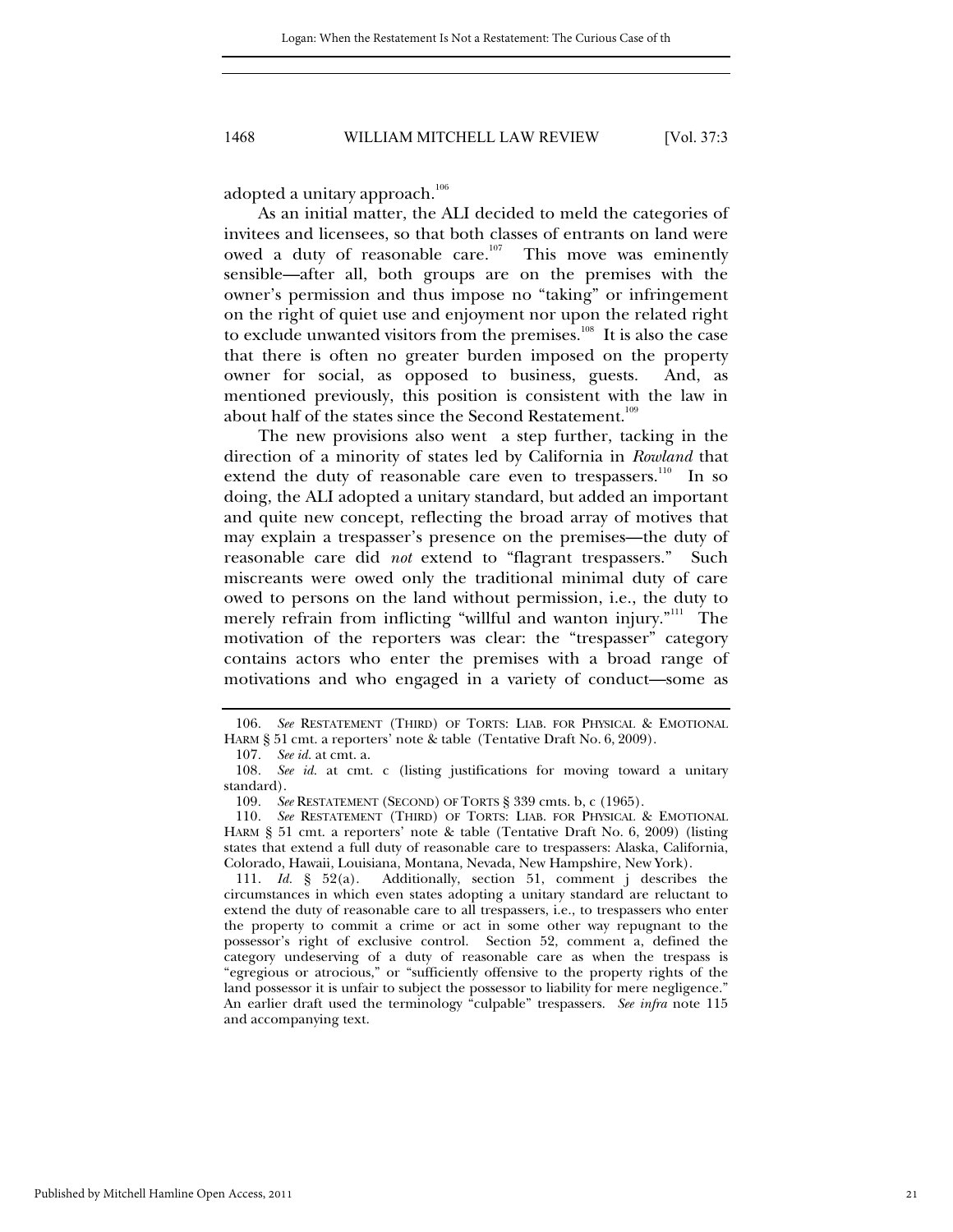adopted a unitary approach.<sup>106</sup>

As an initial matter, the ALI decided to meld the categories of invitees and licensees, so that both classes of entrants on land were owed a duty of reasonable care.<sup>107</sup> This move was eminently sensible—after all, both groups are on the premises with the owner's permission and thus impose no "taking" or infringement on the right of quiet use and enjoyment nor upon the related right to exclude unwanted visitors from the premises.<sup>108</sup> It is also the case that there is often no greater burden imposed on the property owner for social, as opposed to business, guests. And, as mentioned previously, this position is consistent with the law in about half of the states since the Second Restatement.<sup>109</sup>

The new provisions also went a step further, tacking in the direction of a minority of states led by California in *Rowland* that extend the duty of reasonable care even to trespassers.<sup>110</sup> In so doing, the ALI adopted a unitary standard, but added an important and quite new concept, reflecting the broad array of motives that may explain a trespasser's presence on the premises—the duty of reasonable care did *not* extend to "flagrant trespassers." Such miscreants were owed only the traditional minimal duty of care owed to persons on the land without permission, i.e., the duty to merely refrain from inflicting "willful and wanton injury."<sup>111</sup> The motivation of the reporters was clear: the "trespasser" category contains actors who enter the premises with a broad range of motivations and who engaged in a variety of conduct—some as

 111. *Id.* § 52(a). Additionally, section 51, comment j describes the circumstances in which even states adopting a unitary standard are reluctant to extend the duty of reasonable care to all trespassers, i.e., to trespassers who enter the property to commit a crime or act in some other way repugnant to the possessor's right of exclusive control. Section 52, comment a, defined the category undeserving of a duty of reasonable care as when the trespass is "egregious or atrocious," or "sufficiently offensive to the property rights of the land possessor it is unfair to subject the possessor to liability for mere negligence." An earlier draft used the terminology "culpable" trespassers. *See infra* note 115 and accompanying text.

<sup>106</sup>*. See* RESTATEMENT (THIRD) OF TORTS: LIAB. FOR PHYSICAL & EMOTIONAL HARM § 51 cmt. a reporters' note & table (Tentative Draft No. 6, 2009).

<sup>107</sup>*. See id.* at cmt. a.

<sup>108</sup>*. See id.* at cmt. c (listing justifications for moving toward a unitary standard).

<sup>109</sup>*. See* RESTATEMENT (SECOND) OF TORTS § 339 cmts. b, c (1965).

<sup>110</sup>*. See* RESTATEMENT (THIRD) OF TORTS: LIAB. FOR PHYSICAL & EMOTIONAL HARM § 51 cmt. a reporters' note & table (Tentative Draft No. 6, 2009) (listing states that extend a full duty of reasonable care to trespassers: Alaska, California, Colorado, Hawaii, Louisiana, Montana, Nevada, New Hampshire, New York).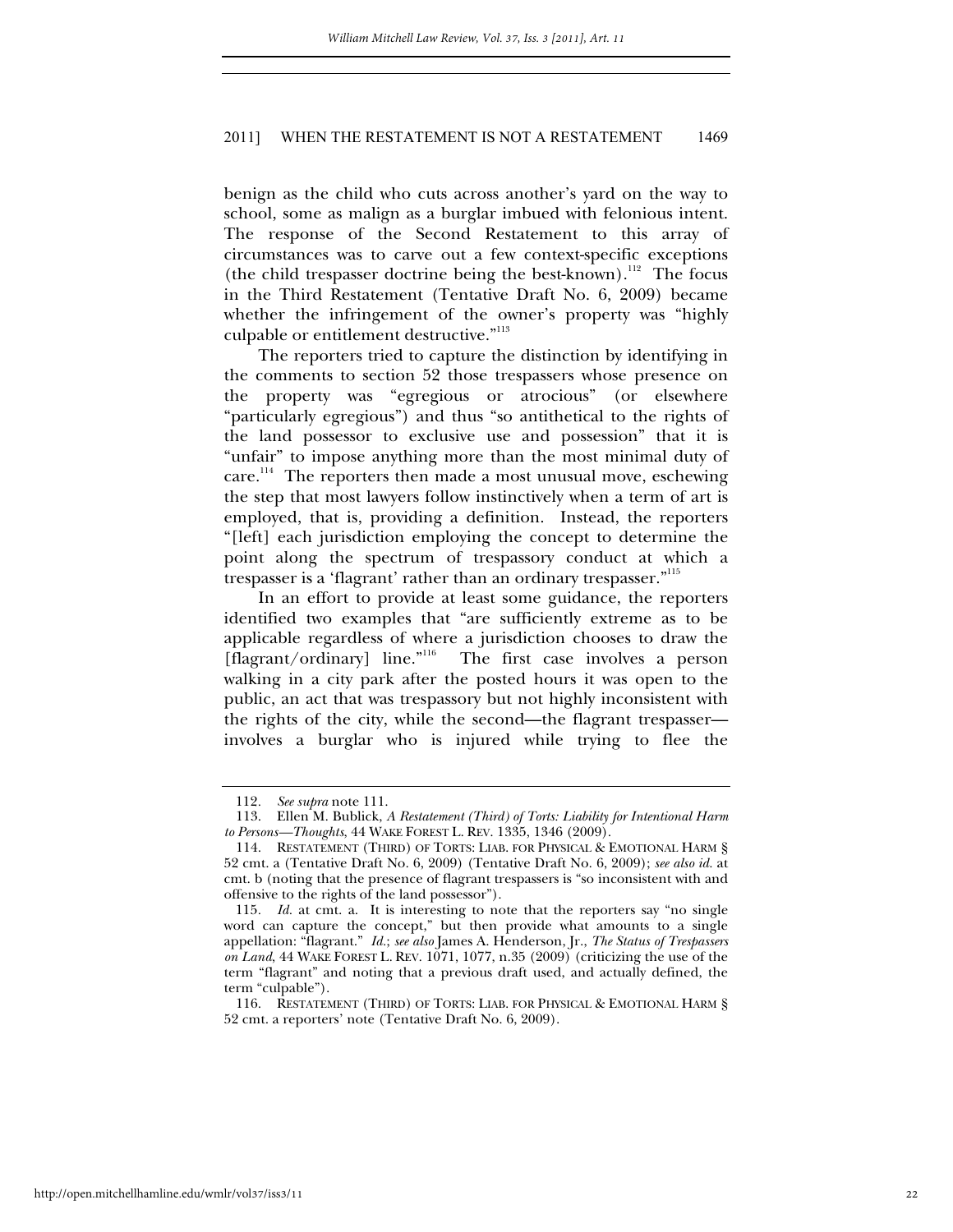benign as the child who cuts across another's yard on the way to school, some as malign as a burglar imbued with felonious intent. The response of the Second Restatement to this array of circumstances was to carve out a few context-specific exceptions (the child trespasser doctrine being the best-known).<sup>112</sup> The focus in the Third Restatement (Tentative Draft No. 6, 2009) became whether the infringement of the owner's property was "highly culpable or entitlement destructive."<sup>113</sup>

The reporters tried to capture the distinction by identifying in the comments to section 52 those trespassers whose presence on the property was "egregious or atrocious" (or elsewhere "particularly egregious") and thus "so antithetical to the rights of the land possessor to exclusive use and possession" that it is "unfair" to impose anything more than the most minimal duty of care.<sup>114</sup> The reporters then made a most unusual move, eschewing the step that most lawyers follow instinctively when a term of art is employed, that is, providing a definition. Instead, the reporters "[left] each jurisdiction employing the concept to determine the point along the spectrum of trespassory conduct at which a trespasser is a 'flagrant' rather than an ordinary trespasser."<sup>115</sup>

In an effort to provide at least some guidance, the reporters identified two examples that "are sufficiently extreme as to be applicable regardless of where a jurisdiction chooses to draw the [flagrant/ordinary] line."<sup>116</sup> The first case involves a person walking in a city park after the posted hours it was open to the public, an act that was trespassory but not highly inconsistent with the rights of the city, while the second—the flagrant trespasser involves a burglar who is injured while trying to flee the

<sup>112</sup>*. See supra* note 111.

 <sup>113.</sup> Ellen M. Bublick, *A Restatement (Third) of Torts: Liability for Intentional Harm to Persons—Thoughts*, 44 WAKE FOREST L. REV. 1335, 1346 (2009).

 <sup>114.</sup> RESTATEMENT (THIRD) OF TORTS: LIAB. FOR PHYSICAL & EMOTIONAL HARM § 52 cmt. a (Tentative Draft No. 6, 2009) (Tentative Draft No. 6, 2009); *see also id.* at cmt. b (noting that the presence of flagrant trespassers is "so inconsistent with and offensive to the rights of the land possessor").

<sup>115</sup>*. Id.* at cmt. a. It is interesting to note that the reporters say "no single word can capture the concept," but then provide what amounts to a single appellation: "flagrant." *Id.*; *see also* James A. Henderson, Jr., *The Status of Trespassers on Land*, 44 WAKE FOREST L. REV. 1071, 1077, n.35 (2009) (criticizing the use of the term "flagrant" and noting that a previous draft used, and actually defined, the term "culpable").

 <sup>116.</sup> RESTATEMENT (THIRD) OF TORTS: LIAB. FOR PHYSICAL & EMOTIONAL HARM § 52 cmt. a reporters' note (Tentative Draft No. 6, 2009).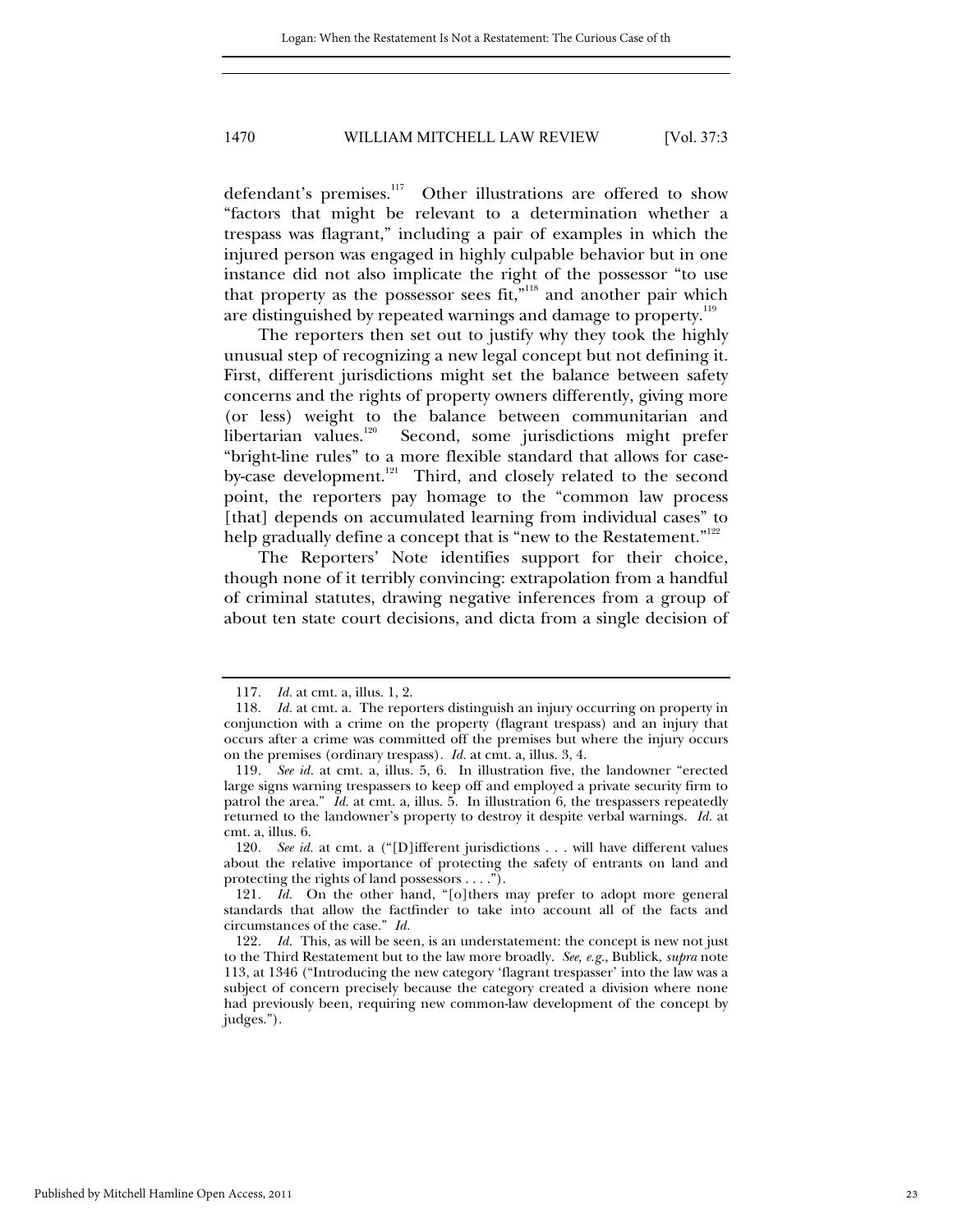defendant's premises.<sup>117</sup> Other illustrations are offered to show "factors that might be relevant to a determination whether a trespass was flagrant," including a pair of examples in which the injured person was engaged in highly culpable behavior but in one instance did not also implicate the right of the possessor "to use that property as the possessor sees fit,"<sup>118</sup> and another pair which are distinguished by repeated warnings and damage to property.<sup>119</sup>

The reporters then set out to justify why they took the highly unusual step of recognizing a new legal concept but not defining it. First, different jurisdictions might set the balance between safety concerns and the rights of property owners differently, giving more (or less) weight to the balance between communitarian and libertarian values.120 Second, some jurisdictions might prefer "bright-line rules" to a more flexible standard that allows for caseby-case development.<sup>121</sup> Third, and closely related to the second point, the reporters pay homage to the "common law process [that] depends on accumulated learning from individual cases" to help gradually define a concept that is "new to the Restatement."<sup>122</sup>

The Reporters' Note identifies support for their choice, though none of it terribly convincing: extrapolation from a handful of criminal statutes, drawing negative inferences from a group of about ten state court decisions, and dicta from a single decision of

120*. See id.* at cmt. a ("[D]ifferent jurisdictions . . . will have different values about the relative importance of protecting the safety of entrants on land and protecting the rights of land possessors . . . .").

<sup>117</sup>*. Id.* at cmt. a, illus. 1, 2.

<sup>118</sup>*. Id.* at cmt. a. The reporters distinguish an injury occurring on property in conjunction with a crime on the property (flagrant trespass) and an injury that occurs after a crime was committed off the premises but where the injury occurs on the premises (ordinary trespass). *Id.* at cmt. a, illus. 3, 4.

<sup>119</sup>*. See id.* at cmt. a, illus. 5, 6. In illustration five, the landowner "erected large signs warning trespassers to keep off and employed a private security firm to patrol the area." *Id.* at cmt. a, illus. 5. In illustration 6, the trespassers repeatedly returned to the landowner's property to destroy it despite verbal warnings. *Id.* at cmt. a, illus. 6.

<sup>121</sup>*. Id.* On the other hand, "[o]thers may prefer to adopt more general standards that allow the factfinder to take into account all of the facts and circumstances of the case." *Id.*

<sup>122</sup>*. Id.* This, as will be seen, is an understatement: the concept is new not just to the Third Restatement but to the law more broadly. *See, e.g.*, Bublick, *supra* note 113, at 1346 ("Introducing the new category 'flagrant trespasser' into the law was a subject of concern precisely because the category created a division where none had previously been, requiring new common-law development of the concept by judges.").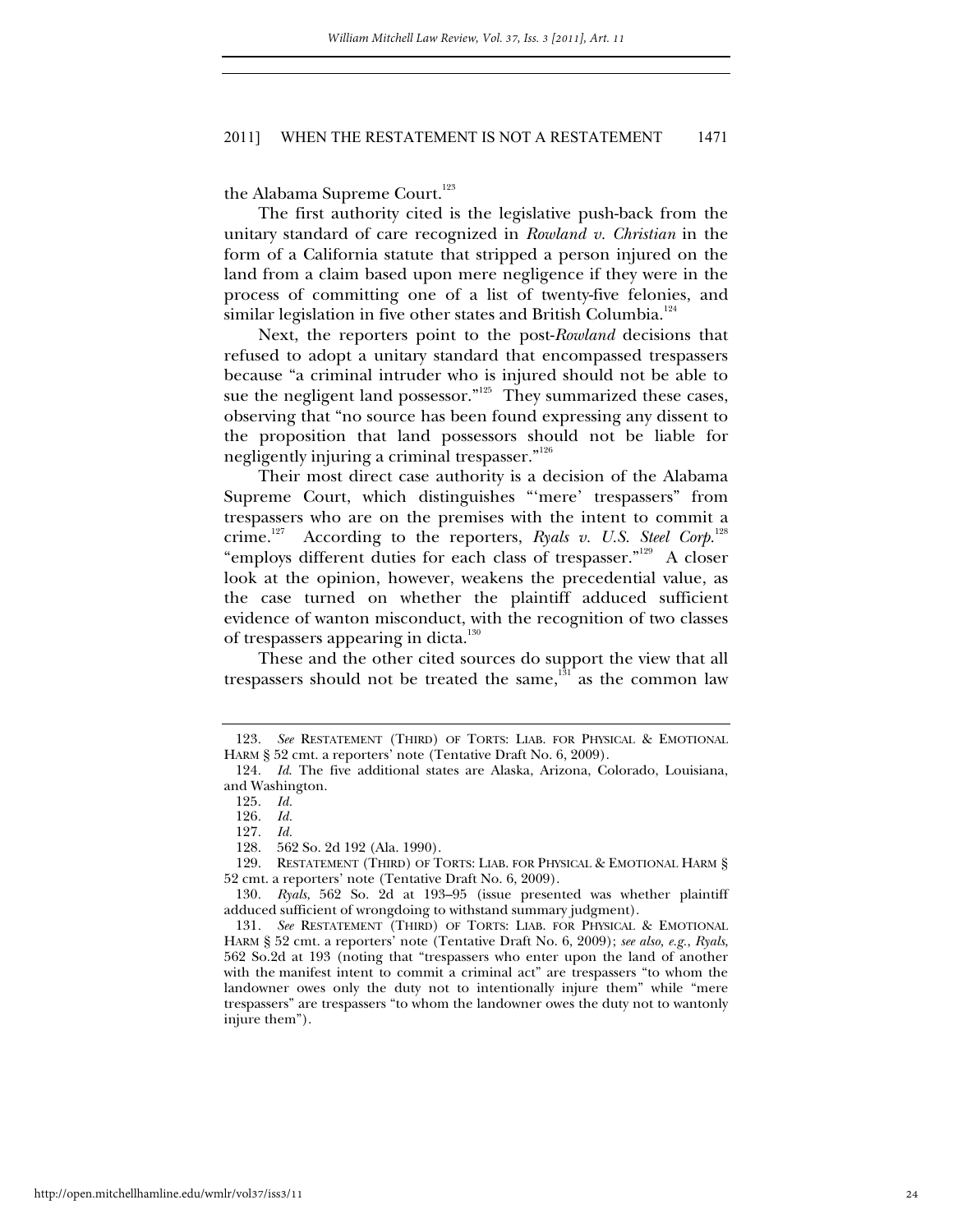the Alabama Supreme Court.<sup>123</sup>

The first authority cited is the legislative push-back from the unitary standard of care recognized in *Rowland v. Christian* in the form of a California statute that stripped a person injured on the land from a claim based upon mere negligence if they were in the process of committing one of a list of twenty-five felonies, and similar legislation in five other states and British Columbia.<sup>124</sup>

Next, the reporters point to the post-*Rowland* decisions that refused to adopt a unitary standard that encompassed trespassers because "a criminal intruder who is injured should not be able to sue the negligent land possessor."<sup>125</sup> They summarized these cases, observing that "no source has been found expressing any dissent to the proposition that land possessors should not be liable for negligently injuring a criminal trespasser."<sup>126</sup>

Their most direct case authority is a decision of the Alabama Supreme Court, which distinguishes "'mere' trespassers" from trespassers who are on the premises with the intent to commit a crime.<sup>127</sup> According to the reporters, *Ryals v. U.S. Steel Corp.*<sup>128</sup> "employs different duties for each class of trespasser."129 A closer look at the opinion, however, weakens the precedential value, as the case turned on whether the plaintiff adduced sufficient evidence of wanton misconduct, with the recognition of two classes of trespassers appearing in dicta. $130$ 

These and the other cited sources do support the view that all trespassers should not be treated the same, $131$  as the common law

<sup>123</sup>*. See* RESTATEMENT (THIRD) OF TORTS: LIAB. FOR PHYSICAL & EMOTIONAL HARM § 52 cmt. a reporters' note (Tentative Draft No. 6, 2009).

<sup>124</sup>*. Id*. The five additional states are Alaska, Arizona, Colorado, Louisiana, and Washington.

<sup>125</sup>*. Id.* 

<sup>126</sup>*. Id.*

<sup>127</sup>*. Id.* 

 <sup>128. 562</sup> So. 2d 192 (Ala. 1990).

 <sup>129.</sup> RESTATEMENT (THIRD) OF TORTS: LIAB. FOR PHYSICAL & EMOTIONAL HARM § 52 cmt. a reporters' note (Tentative Draft No. 6, 2009).

<sup>130</sup>*. Ryals*, 562 So. 2d at 193–95 (issue presented was whether plaintiff adduced sufficient of wrongdoing to withstand summary judgment).

<sup>131</sup>*. See* RESTATEMENT (THIRD) OF TORTS: LIAB. FOR PHYSICAL & EMOTIONAL HARM § 52 cmt. a reporters' note (Tentative Draft No. 6, 2009); *see also, e.g.*, *Ryals*, 562 So.2d at 193 (noting that "trespassers who enter upon the land of another with the manifest intent to commit a criminal act" are trespassers "to whom the landowner owes only the duty not to intentionally injure them" while "mere trespassers" are trespassers "to whom the landowner owes the duty not to wantonly injure them").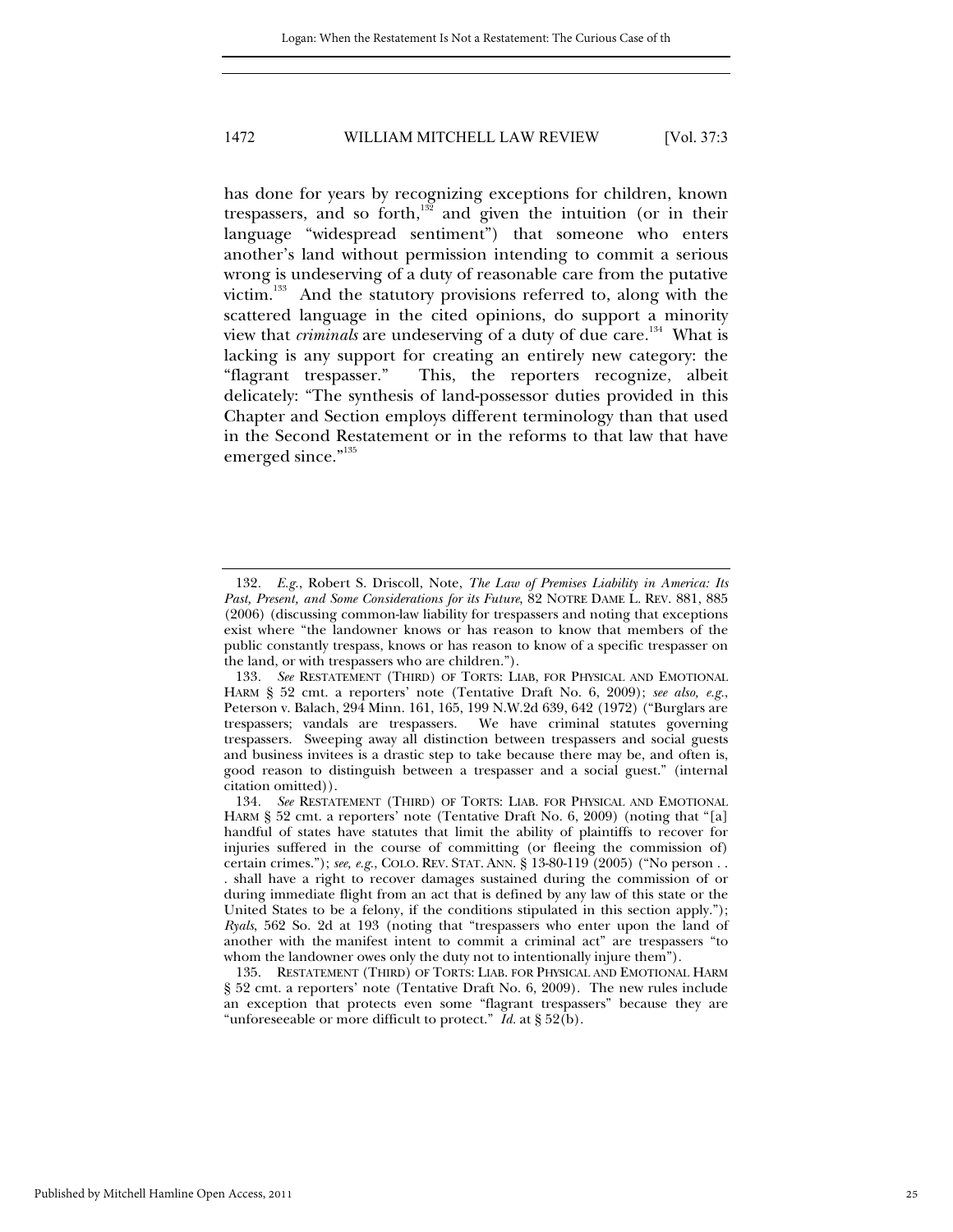has done for years by recognizing exceptions for children, known trespassers, and so forth, $132$  and given the intuition (or in their language "widespread sentiment") that someone who enters another's land without permission intending to commit a serious wrong is undeserving of a duty of reasonable care from the putative victim.133 And the statutory provisions referred to, along with the scattered language in the cited opinions, do support a minority view that *criminals* are undeserving of a duty of due care.<sup>134</sup> What is lacking is any support for creating an entirely new category: the "flagrant trespasser." This, the reporters recognize, albeit delicately: "The synthesis of land-possessor duties provided in this Chapter and Section employs different terminology than that used in the Second Restatement or in the reforms to that law that have emerged since."<sup>135</sup>

<sup>132</sup>*. E.g.*, Robert S. Driscoll, Note, *The Law of Premises Liability in America: Its Past, Present, and Some Considerations for its Future*, 82 NOTRE DAME L. REV. 881, 885 (2006) (discussing common-law liability for trespassers and noting that exceptions exist where "the landowner knows or has reason to know that members of the public constantly trespass, knows or has reason to know of a specific trespasser on the land, or with trespassers who are children.").

<sup>133</sup>*. See* RESTATEMENT (THIRD) OF TORTS: LIAB, FOR PHYSICAL AND EMOTIONAL HARM § 52 cmt. a reporters' note (Tentative Draft No. 6, 2009); *see also, e.g.*, Peterson v. Balach, 294 Minn. 161, 165, 199 N.W.2d 639, 642 (1972) ("Burglars are trespassers; vandals are trespassers. We have criminal statutes governing trespassers. Sweeping away all distinction between trespassers and social guests and business invitees is a drastic step to take because there may be, and often is, good reason to distinguish between a trespasser and a social guest." (internal citation omitted)).

<sup>134</sup>*. See* RESTATEMENT (THIRD) OF TORTS: LIAB. FOR PHYSICAL AND EMOTIONAL HARM § 52 cmt. a reporters' note (Tentative Draft No. 6, 2009) (noting that "[a] handful of states have statutes that limit the ability of plaintiffs to recover for injuries suffered in the course of committing (or fleeing the commission of) certain crimes."); *see, e.g.*, COLO. REV. STAT. ANN. § 13-80-119 (2005) ("No person . . . shall have a right to recover damages sustained during the commission of or during immediate flight from an act that is defined by any law of this state or the United States to be a felony, if the conditions stipulated in this section apply."); *Ryals*, 562 So. 2d at 193 (noting that "trespassers who enter upon the land of another with the manifest intent to commit a criminal act" are trespassers "to whom the landowner owes only the duty not to intentionally injure them").

 <sup>135.</sup> RESTATEMENT (THIRD) OF TORTS: LIAB. FOR PHYSICAL AND EMOTIONAL HARM § 52 cmt. a reporters' note (Tentative Draft No. 6, 2009). The new rules include an exception that protects even some "flagrant trespassers" because they are "unforeseeable or more difficult to protect." *Id.* at § 52(b).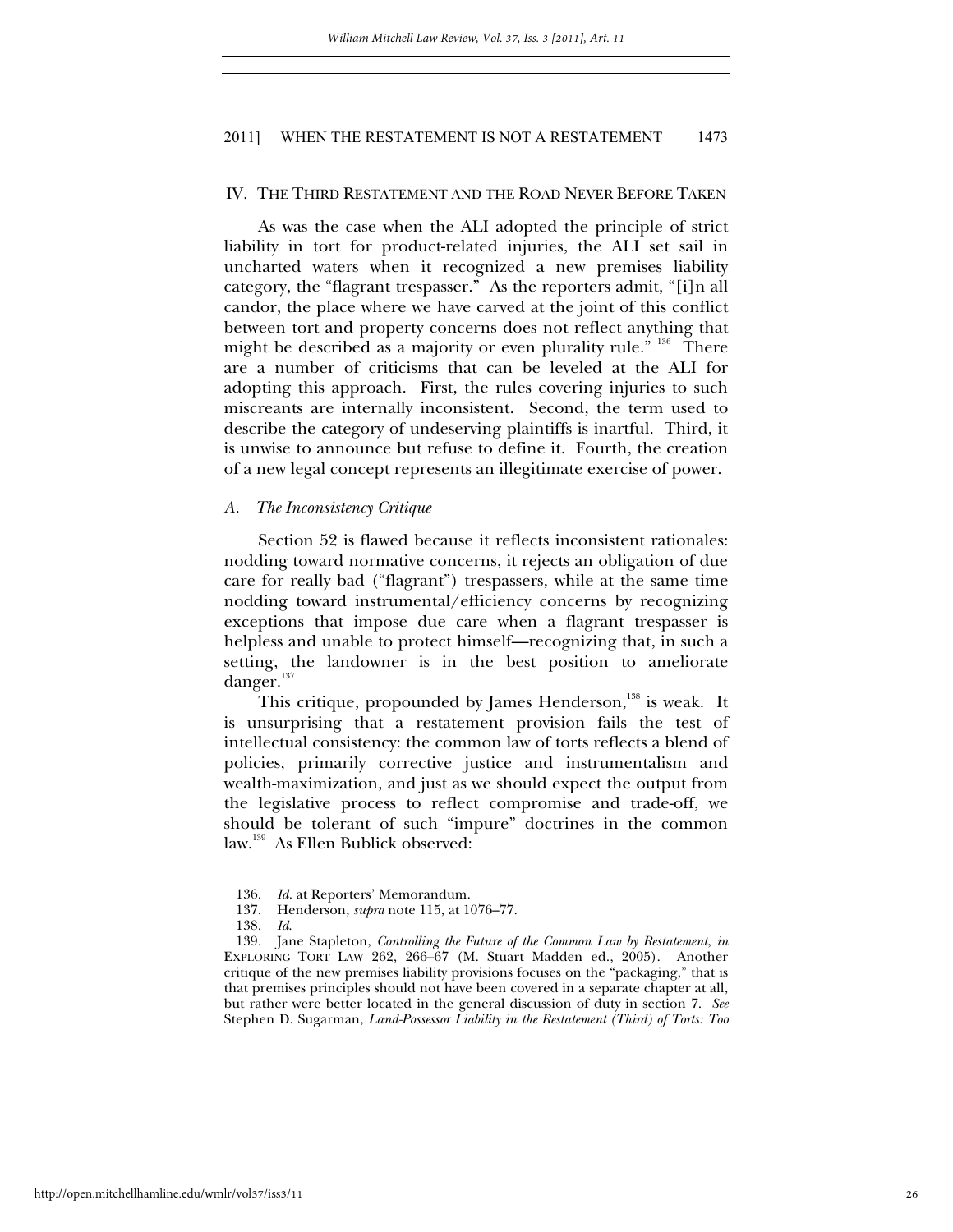#### IV. THE THIRD RESTATEMENT AND THE ROAD NEVER BEFORE TAKEN

As was the case when the ALI adopted the principle of strict liability in tort for product-related injuries, the ALI set sail in uncharted waters when it recognized a new premises liability category, the "flagrant trespasser." As the reporters admit, "[i]n all candor, the place where we have carved at the joint of this conflict between tort and property concerns does not reflect anything that might be described as a majority or even plurality rule.<sup>" 136</sup> There are a number of criticisms that can be leveled at the ALI for adopting this approach. First, the rules covering injuries to such miscreants are internally inconsistent. Second, the term used to describe the category of undeserving plaintiffs is inartful. Third, it is unwise to announce but refuse to define it. Fourth, the creation of a new legal concept represents an illegitimate exercise of power.

#### *A. The Inconsistency Critique*

Section 52 is flawed because it reflects inconsistent rationales: nodding toward normative concerns, it rejects an obligation of due care for really bad ("flagrant") trespassers, while at the same time nodding toward instrumental/efficiency concerns by recognizing exceptions that impose due care when a flagrant trespasser is helpless and unable to protect himself—recognizing that, in such a setting, the landowner is in the best position to ameliorate danger.<sup>137</sup>

This critique, propounded by James Henderson,<sup>138</sup> is weak. It is unsurprising that a restatement provision fails the test of intellectual consistency: the common law of torts reflects a blend of policies, primarily corrective justice and instrumentalism and wealth-maximization, and just as we should expect the output from the legislative process to reflect compromise and trade-off, we should be tolerant of such "impure" doctrines in the common law.139 As Ellen Bublick observed:

 <sup>136.</sup> *Id.* at Reporters' Memorandum.

 <sup>137.</sup> Henderson, *supra* note 115, at 1076–77.

 <sup>138.</sup> *Id*.

 <sup>139.</sup> Jane Stapleton, *Controlling the Future of the Common Law by Restatement*, *in* EXPLORING TORT LAW 262, 266–67 (M. Stuart Madden ed., 2005). Another critique of the new premises liability provisions focuses on the "packaging," that is that premises principles should not have been covered in a separate chapter at all, but rather were better located in the general discussion of duty in section 7. *See* Stephen D. Sugarman, *Land-Possessor Liability in the Restatement (Third) of Torts: Too*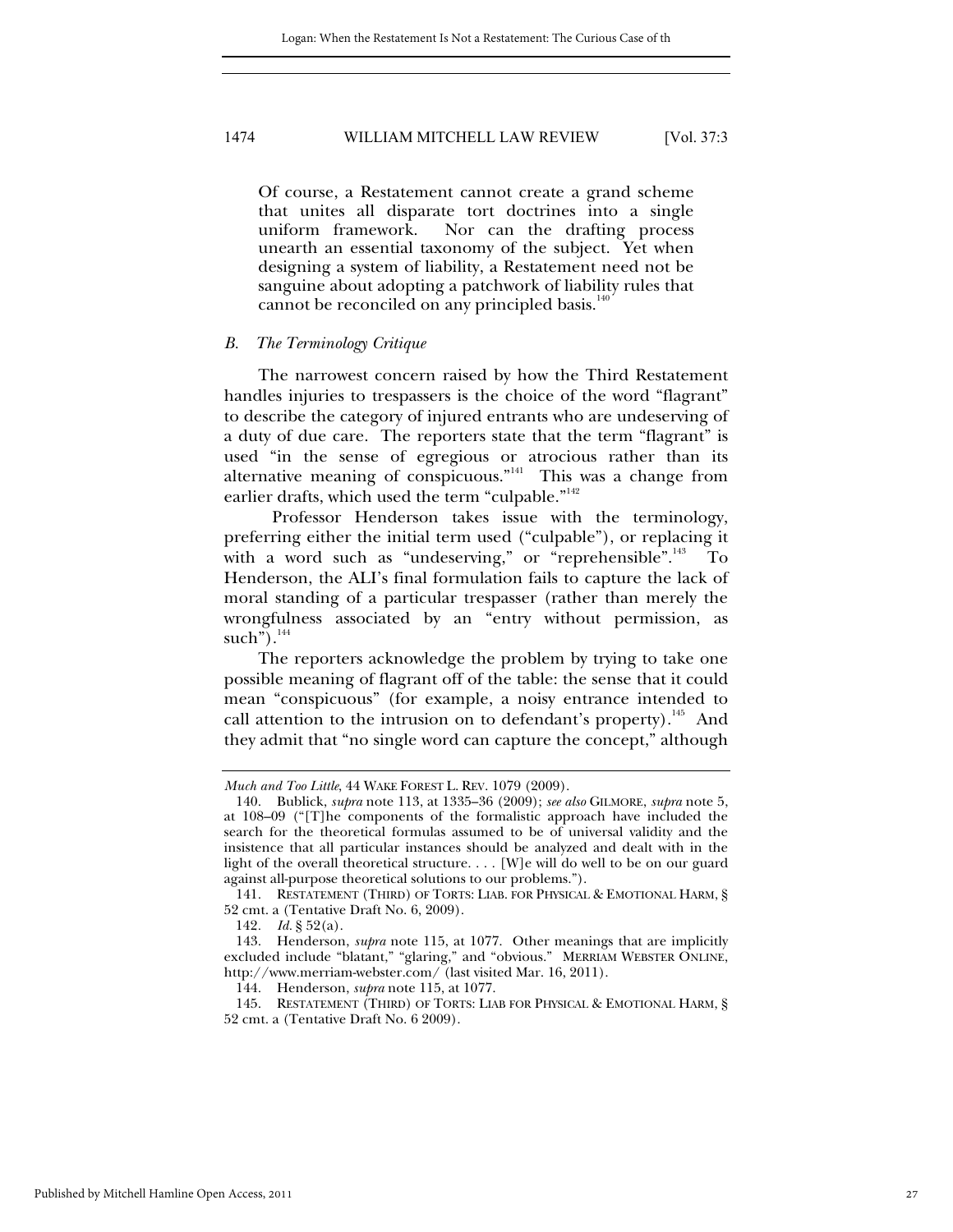Of course, a Restatement cannot create a grand scheme that unites all disparate tort doctrines into a single uniform framework. Nor can the drafting process unearth an essential taxonomy of the subject. Yet when designing a system of liability, a Restatement need not be sanguine about adopting a patchwork of liability rules that cannot be reconciled on any principled basis.<sup>1</sup>

#### *B. The Terminology Critique*

The narrowest concern raised by how the Third Restatement handles injuries to trespassers is the choice of the word "flagrant" to describe the category of injured entrants who are undeserving of a duty of due care. The reporters state that the term "flagrant" is used "in the sense of egregious or atrocious rather than its alternative meaning of conspicuous."<sup>141</sup> This was a change from earlier drafts, which used the term "culpable."<sup>142</sup>

 Professor Henderson takes issue with the terminology, preferring either the initial term used ("culpable"), or replacing it with a word such as "undeserving," or "reprehensible".<sup>143</sup> To Henderson, the ALI's final formulation fails to capture the lack of moral standing of a particular trespasser (rather than merely the wrongfulness associated by an "entry without permission, as such"). $144$ 

The reporters acknowledge the problem by trying to take one possible meaning of flagrant off of the table: the sense that it could mean "conspicuous" (for example, a noisy entrance intended to call attention to the intrusion on to defendant's property).<sup>145</sup> And they admit that "no single word can capture the concept," although

*Much and Too Little*, 44 WAKE FOREST L. REV. 1079 (2009).

 <sup>140.</sup> Bublick, *supra* note 113, at 1335–36 (2009); *see also* GILMORE, *supra* note 5, at 108–09 ("[T]he components of the formalistic approach have included the search for the theoretical formulas assumed to be of universal validity and the insistence that all particular instances should be analyzed and dealt with in the light of the overall theoretical structure. . . . [W]e will do well to be on our guard against all-purpose theoretical solutions to our problems.").

 <sup>141.</sup> RESTATEMENT (THIRD) OF TORTS: LIAB. FOR PHYSICAL & EMOTIONAL HARM, § 52 cmt. a (Tentative Draft No. 6, 2009).

<sup>142</sup>*. Id.* § 52(a).

 <sup>143.</sup> Henderson, *supra* note 115, at 1077. Other meanings that are implicitly excluded include "blatant," "glaring," and "obvious." MERRIAM WEBSTER ONLINE, http://www.merriam-webster.com/ (last visited Mar. 16, 2011).

 <sup>144.</sup> Henderson, *supra* note 115, at 1077.

 <sup>145.</sup> RESTATEMENT (THIRD) OF TORTS: LIAB FOR PHYSICAL & EMOTIONAL HARM, § 52 cmt. a (Tentative Draft No. 6 2009).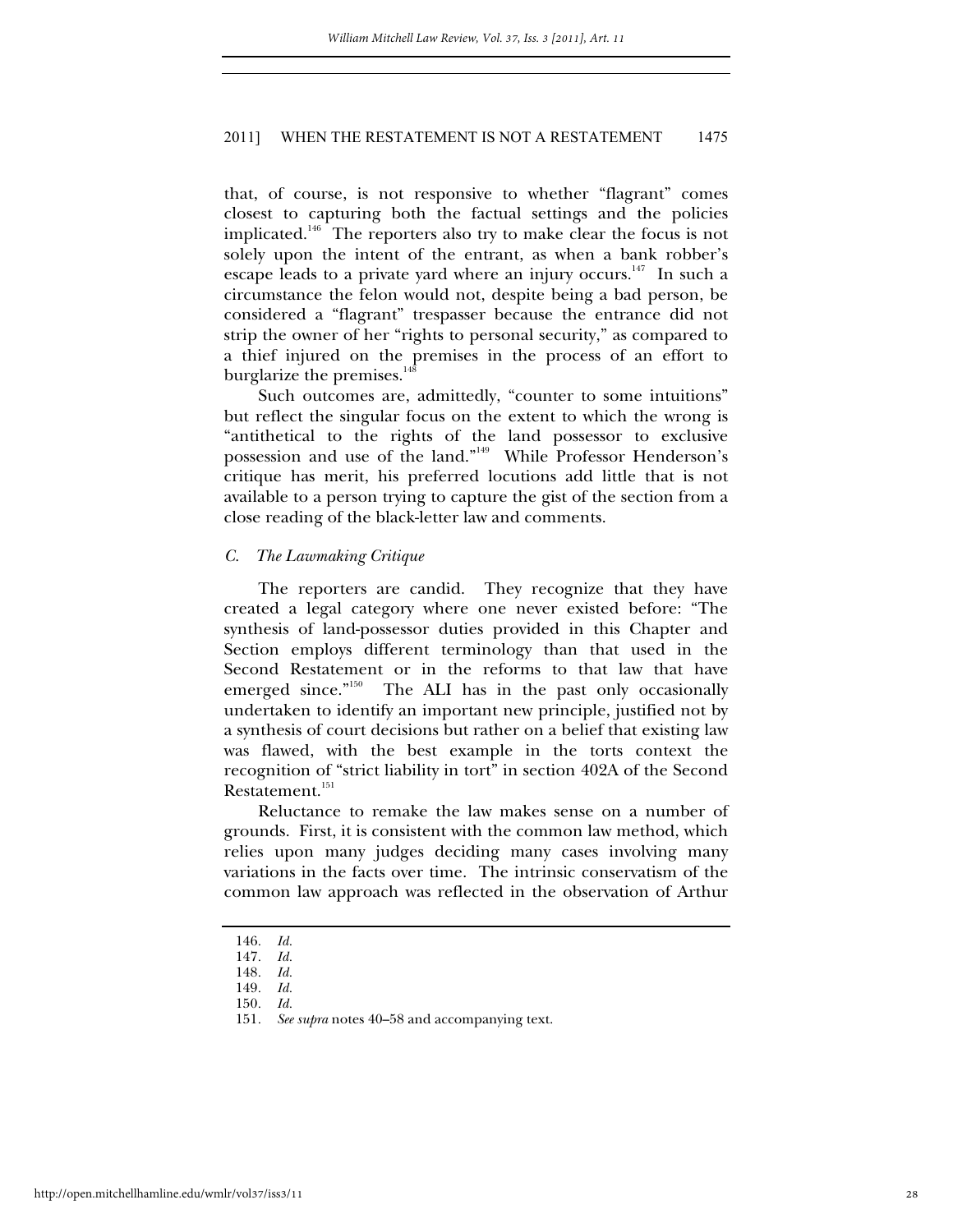that, of course, is not responsive to whether "flagrant" comes closest to capturing both the factual settings and the policies implicated.<sup>146</sup> The reporters also try to make clear the focus is not solely upon the intent of the entrant, as when a bank robber's escape leads to a private yard where an injury occurs.<sup>147</sup> In such a circumstance the felon would not, despite being a bad person, be considered a "flagrant" trespasser because the entrance did not strip the owner of her "rights to personal security," as compared to a thief injured on the premises in the process of an effort to burglarize the premises.<sup>148</sup>

Such outcomes are, admittedly, "counter to some intuitions" but reflect the singular focus on the extent to which the wrong is "antithetical to the rights of the land possessor to exclusive possession and use of the land."149 While Professor Henderson's critique has merit, his preferred locutions add little that is not available to a person trying to capture the gist of the section from a close reading of the black-letter law and comments.

#### *C. The Lawmaking Critique*

The reporters are candid. They recognize that they have created a legal category where one never existed before: "The synthesis of land-possessor duties provided in this Chapter and Section employs different terminology than that used in the Second Restatement or in the reforms to that law that have emerged since."<sup>150</sup> The ALI has in the past only occasionally undertaken to identify an important new principle, justified not by a synthesis of court decisions but rather on a belief that existing law was flawed, with the best example in the torts context the recognition of "strict liability in tort" in section 402A of the Second Restatement.<sup>151</sup>

Reluctance to remake the law makes sense on a number of grounds. First, it is consistent with the common law method, which relies upon many judges deciding many cases involving many variations in the facts over time. The intrinsic conservatism of the common law approach was reflected in the observation of Arthur

148*. Id.*

<sup>146</sup>*. Id.*

<sup>147</sup>*. Id.*

<sup>149</sup>*. Id.*

<sup>150</sup>*. Id.*

<sup>151</sup>*. See supra* notes 40–58 and accompanying text.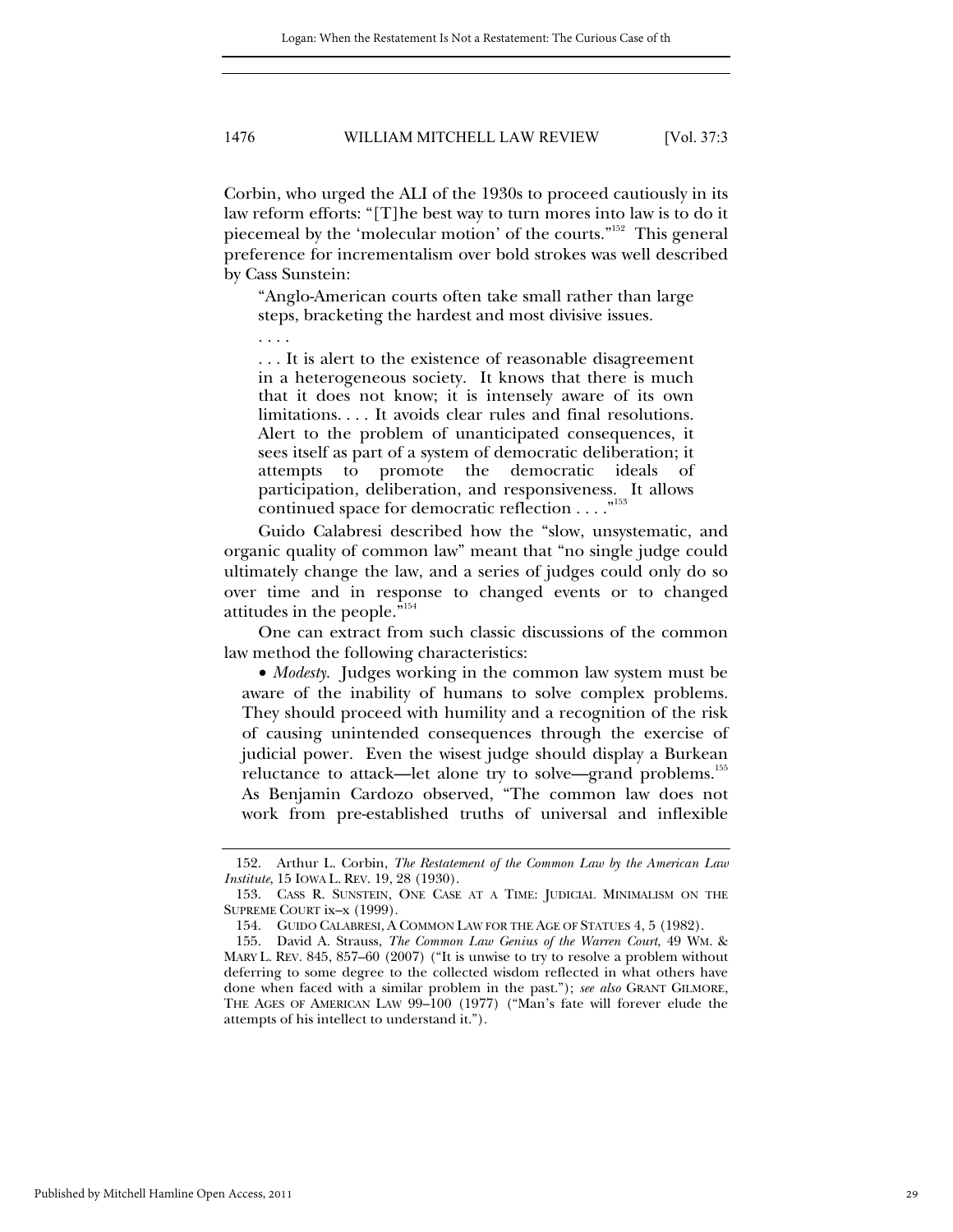Corbin, who urged the ALI of the 1930s to proceed cautiously in its law reform efforts: "[T]he best way to turn mores into law is to do it piecemeal by the 'molecular motion' of the courts."152 This general preference for incrementalism over bold strokes was well described by Cass Sunstein:

"Anglo-American courts often take small rather than large steps, bracketing the hardest and most divisive issues.

. . . .

. . . It is alert to the existence of reasonable disagreement in a heterogeneous society. It knows that there is much that it does not know; it is intensely aware of its own limitations. . . . It avoids clear rules and final resolutions. Alert to the problem of unanticipated consequences, it sees itself as part of a system of democratic deliberation; it attempts to promote the democratic ideals of participation, deliberation, and responsiveness. It allows continued space for democratic reflection . . . ."153

Guido Calabresi described how the "slow, unsystematic, and organic quality of common law" meant that "no single judge could ultimately change the law, and a series of judges could only do so over time and in response to changed events or to changed attitudes in the people."154

One can extract from such classic discussions of the common law method the following characteristics:

 *Modesty*. Judges working in the common law system must be aware of the inability of humans to solve complex problems. They should proceed with humility and a recognition of the risk of causing unintended consequences through the exercise of judicial power. Even the wisest judge should display a Burkean reluctance to attack—let alone try to solve—grand problems.<sup>155</sup> As Benjamin Cardozo observed, "The common law does not work from pre-established truths of universal and inflexible

 <sup>152.</sup> Arthur L. Corbin, *The Restatement of the Common Law by the American Law Institute*, 15 IOWA L. REV. 19, 28 (1930).

 <sup>153.</sup> CASS R. SUNSTEIN, ONE CASE AT A TIME: JUDICIAL MINIMALISM ON THE SUPREME COURT ix–x (1999).

 <sup>154.</sup> GUIDO CALABRESI, A COMMON LAW FOR THE AGE OF STATUES 4, 5 (1982).

 <sup>155.</sup> David A. Strauss, *The Common Law Genius of the Warren Court*, 49 WM. & MARY L. REV. 845, 857–60 (2007) ("It is unwise to try to resolve a problem without deferring to some degree to the collected wisdom reflected in what others have done when faced with a similar problem in the past."); *see also* GRANT GILMORE, THE AGES OF AMERICAN LAW 99–100 (1977) ("Man's fate will forever elude the attempts of his intellect to understand it.").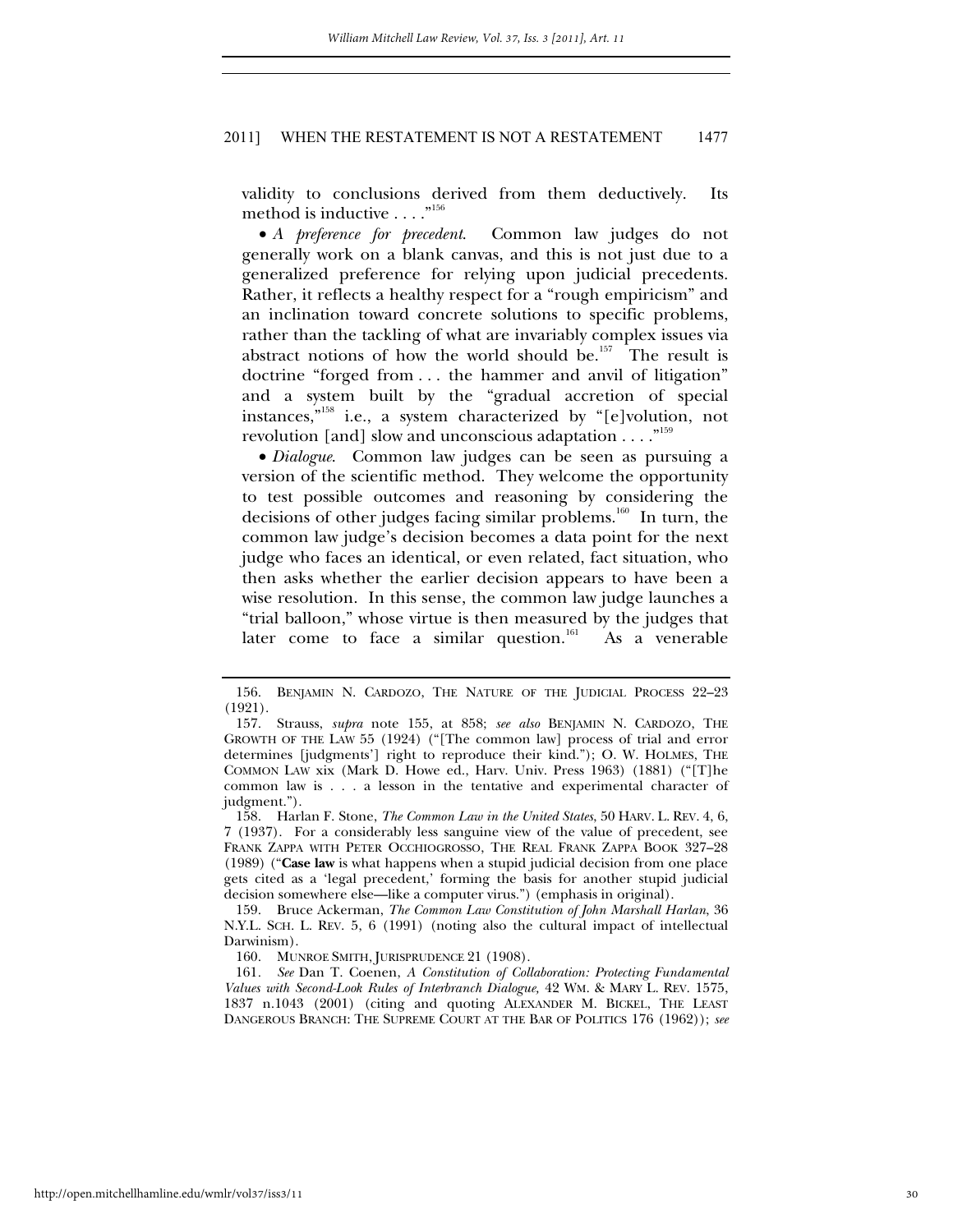validity to conclusions derived from them deductively. Its method is inductive  $\dots$ ."<sup>156</sup>

 *A preference for precedent*. Common law judges do not generally work on a blank canvas, and this is not just due to a generalized preference for relying upon judicial precedents. Rather, it reflects a healthy respect for a "rough empiricism" and an inclination toward concrete solutions to specific problems, rather than the tackling of what are invariably complex issues via abstract notions of how the world should be.<sup>157</sup> The result is doctrine "forged from . . . the hammer and anvil of litigation" and a system built by the "gradual accretion of special instances,"158 i.e., a system characterized by "[e]volution, not revolution [and] slow and unconscious adaptation  $\dots$ ."<sup>159</sup>

 *Dialogue*. Common law judges can be seen as pursuing a version of the scientific method. They welcome the opportunity to test possible outcomes and reasoning by considering the decisions of other judges facing similar problems.<sup>160</sup> In turn, the common law judge's decision becomes a data point for the next judge who faces an identical, or even related, fact situation, who then asks whether the earlier decision appears to have been a wise resolution. In this sense, the common law judge launches a "trial balloon," whose virtue is then measured by the judges that later come to face a similar question.<sup>161</sup> As a venerable

 159. Bruce Ackerman, *The Common Law Constitution of John Marshall Harlan*, 36 N.Y.L. SCH. L. REV. 5, 6 (1991) (noting also the cultural impact of intellectual Darwinism).

160. MUNROE SMITH, JURISPRUDENCE 21 (1908).

161*. See* Dan T. Coenen, *A Constitution of Collaboration: Protecting Fundamental Values with Second-Look Rules of Interbranch Dialogue,* 42 WM. & MARY L. REV. 1575, 1837 n.1043 (2001) (citing and quoting ALEXANDER M. BICKEL, THE LEAST DANGEROUS BRANCH: THE SUPREME COURT AT THE BAR OF POLITICS 176 (1962)); *see* 

 <sup>156.</sup> BENJAMIN N. CARDOZO, THE NATURE OF THE JUDICIAL PROCESS 22–23 (1921).

 <sup>157.</sup> Strauss, *supra* note 155, at 858; *see also* BENJAMIN N. CARDOZO, THE GROWTH OF THE LAW 55 (1924) ("[The common law] process of trial and error determines [judgments'] right to reproduce their kind."); O. W. HOLMES, THE COMMON LAW xix (Mark D. Howe ed., Harv. Univ. Press 1963) (1881) ("[T]he common law is . . . a lesson in the tentative and experimental character of judgment.").

 <sup>158.</sup> Harlan F. Stone, *The Common Law in the United States*, 50 HARV. L. REV. 4, 6, 7 (1937). For a considerably less sanguine view of the value of precedent, see FRANK ZAPPA WITH PETER OCCHIOGROSSO, THE REAL FRANK ZAPPA BOOK 327–28 (1989) ("**Case law** is what happens when a stupid judicial decision from one place gets cited as a 'legal precedent,' forming the basis for another stupid judicial decision somewhere else—like a computer virus.") (emphasis in original).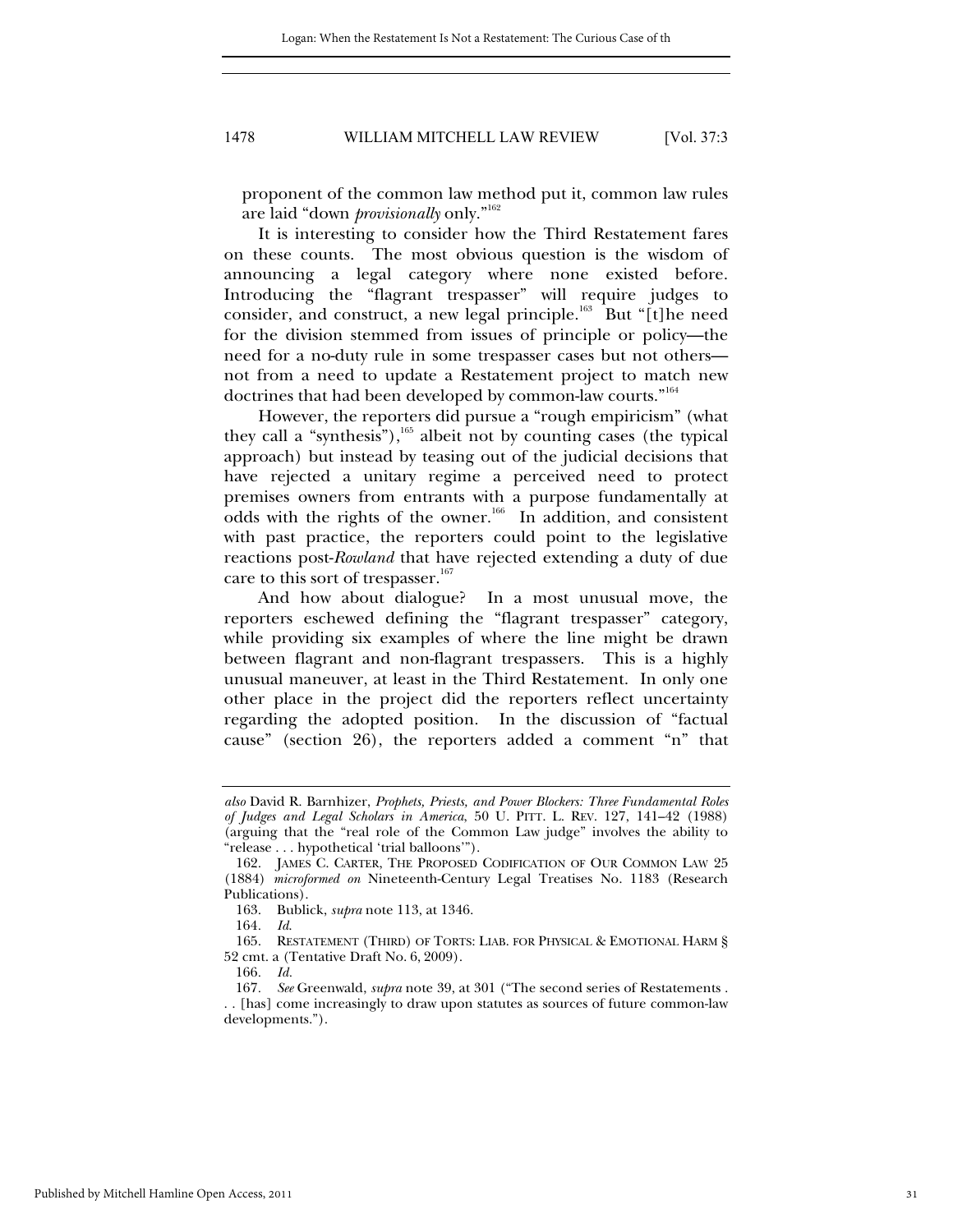proponent of the common law method put it, common law rules are laid "down *provisionally* only."162

It is interesting to consider how the Third Restatement fares on these counts. The most obvious question is the wisdom of announcing a legal category where none existed before. Introducing the "flagrant trespasser" will require judges to consider, and construct, a new legal principle.<sup>163</sup> But "[t]he need for the division stemmed from issues of principle or policy—the need for a no-duty rule in some trespasser cases but not others not from a need to update a Restatement project to match new doctrines that had been developed by common-law courts."<sup>164</sup>

However, the reporters did pursue a "rough empiricism" (what they call a "synthesis"), $165$  albeit not by counting cases (the typical approach) but instead by teasing out of the judicial decisions that have rejected a unitary regime a perceived need to protect premises owners from entrants with a purpose fundamentally at odds with the rights of the owner.<sup>166</sup> In addition, and consistent with past practice, the reporters could point to the legislative reactions post-*Rowland* that have rejected extending a duty of due care to this sort of trespasser. $167$ 

And how about dialogue? In a most unusual move, the reporters eschewed defining the "flagrant trespasser" category, while providing six examples of where the line might be drawn between flagrant and non-flagrant trespassers. This is a highly unusual maneuver, at least in the Third Restatement. In only one other place in the project did the reporters reflect uncertainty regarding the adopted position. In the discussion of "factual cause" (section 26), the reporters added a comment "n" that

*also* David R. Barnhizer, *Prophets, Priests, and Power Blockers: Three Fundamental Roles of Judges and Legal Scholars in America*, 50 U. PITT. L. REV. 127, 141–42 (1988) (arguing that the "real role of the Common Law judge" involves the ability to "release . . . hypothetical 'trial balloons'").

 <sup>162.</sup> JAMES C. CARTER, THE PROPOSED CODIFICATION OF OUR COMMON LAW 25 (1884) *microformed on* Nineteenth-Century Legal Treatises No. 1183 (Research Publications).

 <sup>163.</sup> Bublick, *supra* note 113, at 1346.

<sup>164</sup>*. Id*.

 <sup>165.</sup> RESTATEMENT (THIRD) OF TORTS: LIAB. FOR PHYSICAL & EMOTIONAL HARM § 52 cmt. a (Tentative Draft No. 6, 2009).

<sup>166</sup>*. Id.*

<sup>167</sup>*. See* Greenwald, *supra* note 39, at 301 ("The second series of Restatements . . . [has] come increasingly to draw upon statutes as sources of future common-law developments.").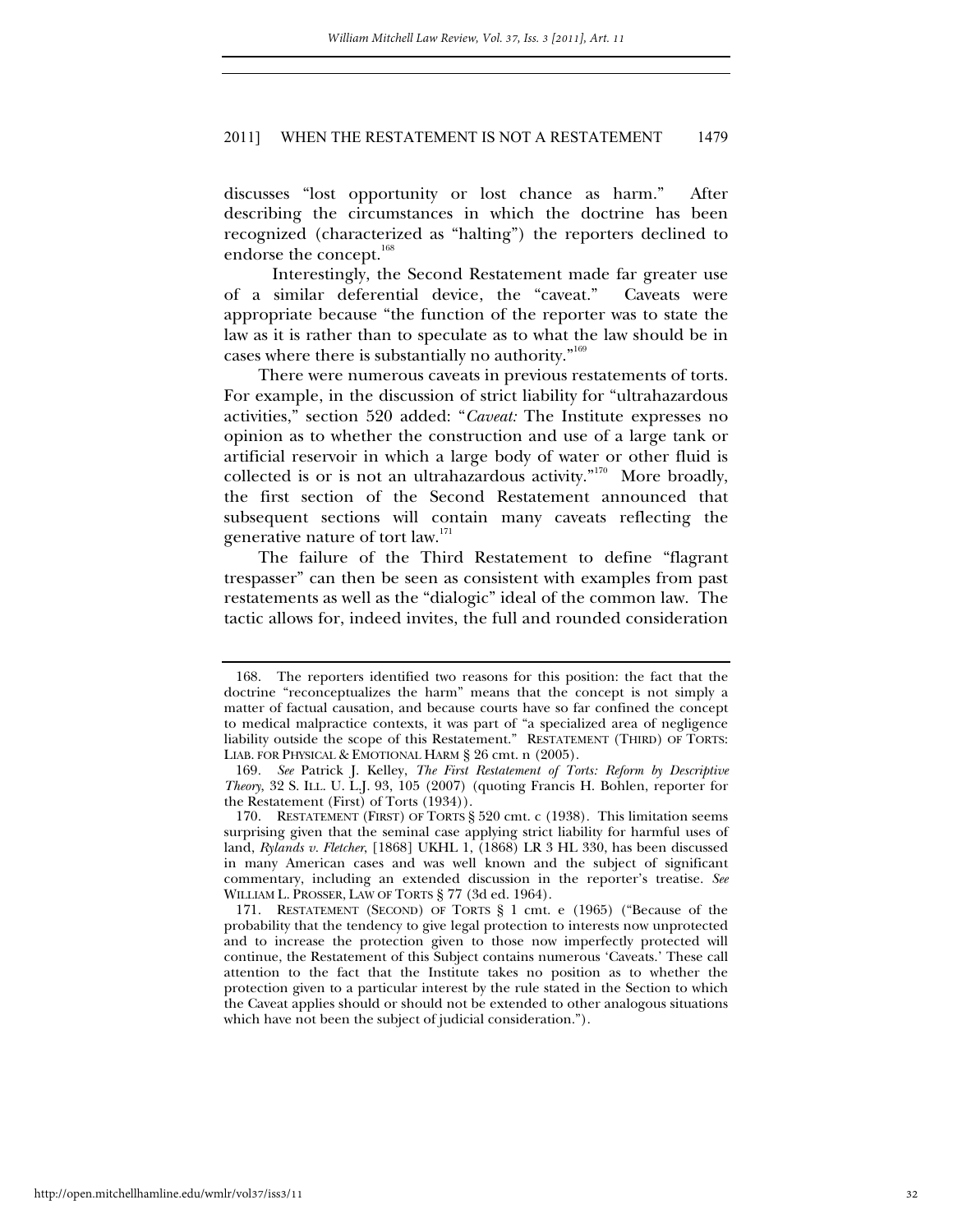discusses "lost opportunity or lost chance as harm." After describing the circumstances in which the doctrine has been recognized (characterized as "halting") the reporters declined to endorse the concept.<sup>168</sup>

 Interestingly, the Second Restatement made far greater use of a similar deferential device, the "caveat." Caveats were appropriate because "the function of the reporter was to state the law as it is rather than to speculate as to what the law should be in cases where there is substantially no authority."169

There were numerous caveats in previous restatements of torts. For example, in the discussion of strict liability for "ultrahazardous activities," section 520 added: "*Caveat:* The Institute expresses no opinion as to whether the construction and use of a large tank or artificial reservoir in which a large body of water or other fluid is collected is or is not an ultrahazardous activity."<sup>170</sup> More broadly, the first section of the Second Restatement announced that subsequent sections will contain many caveats reflecting the generative nature of tort law.<sup>171</sup>

The failure of the Third Restatement to define "flagrant trespasser" can then be seen as consistent with examples from past restatements as well as the "dialogic" ideal of the common law. The tactic allows for, indeed invites, the full and rounded consideration

 <sup>168.</sup> The reporters identified two reasons for this position: the fact that the doctrine "reconceptualizes the harm" means that the concept is not simply a matter of factual causation, and because courts have so far confined the concept to medical malpractice contexts, it was part of "a specialized area of negligence liability outside the scope of this Restatement." RESTATEMENT (THIRD) OF TORTS: LIAB. FOR PHYSICAL & EMOTIONAL HARM § 26 cmt. n (2005).

<sup>169</sup>*. See* Patrick J. Kelley, *The First Restatement of Torts: Reform by Descriptive Theory*, 32 S. ILL. U. L.J. 93, 105 (2007) (quoting Francis H. Bohlen, reporter for the Restatement (First) of Torts (1934)).

 <sup>170.</sup> RESTATEMENT (FIRST) OF TORTS § 520 cmt. c (1938). This limitation seems surprising given that the seminal case applying strict liability for harmful uses of land, *Rylands v. Fletcher*, [1868] UKHL 1, (1868) LR 3 HL 330, has been discussed in many American cases and was well known and the subject of significant commentary, including an extended discussion in the reporter's treatise. *See* WILLIAM L. PROSSER, LAW OF TORTS § 77 (3d ed. 1964).

 <sup>171.</sup> RESTATEMENT (SECOND) OF TORTS § 1 cmt. e (1965) ("Because of the probability that the tendency to give legal protection to interests now unprotected and to increase the protection given to those now imperfectly protected will continue, the Restatement of this Subject contains numerous 'Caveats.' These call attention to the fact that the Institute takes no position as to whether the protection given to a particular interest by the rule stated in the Section to which the Caveat applies should or should not be extended to other analogous situations which have not been the subject of judicial consideration.").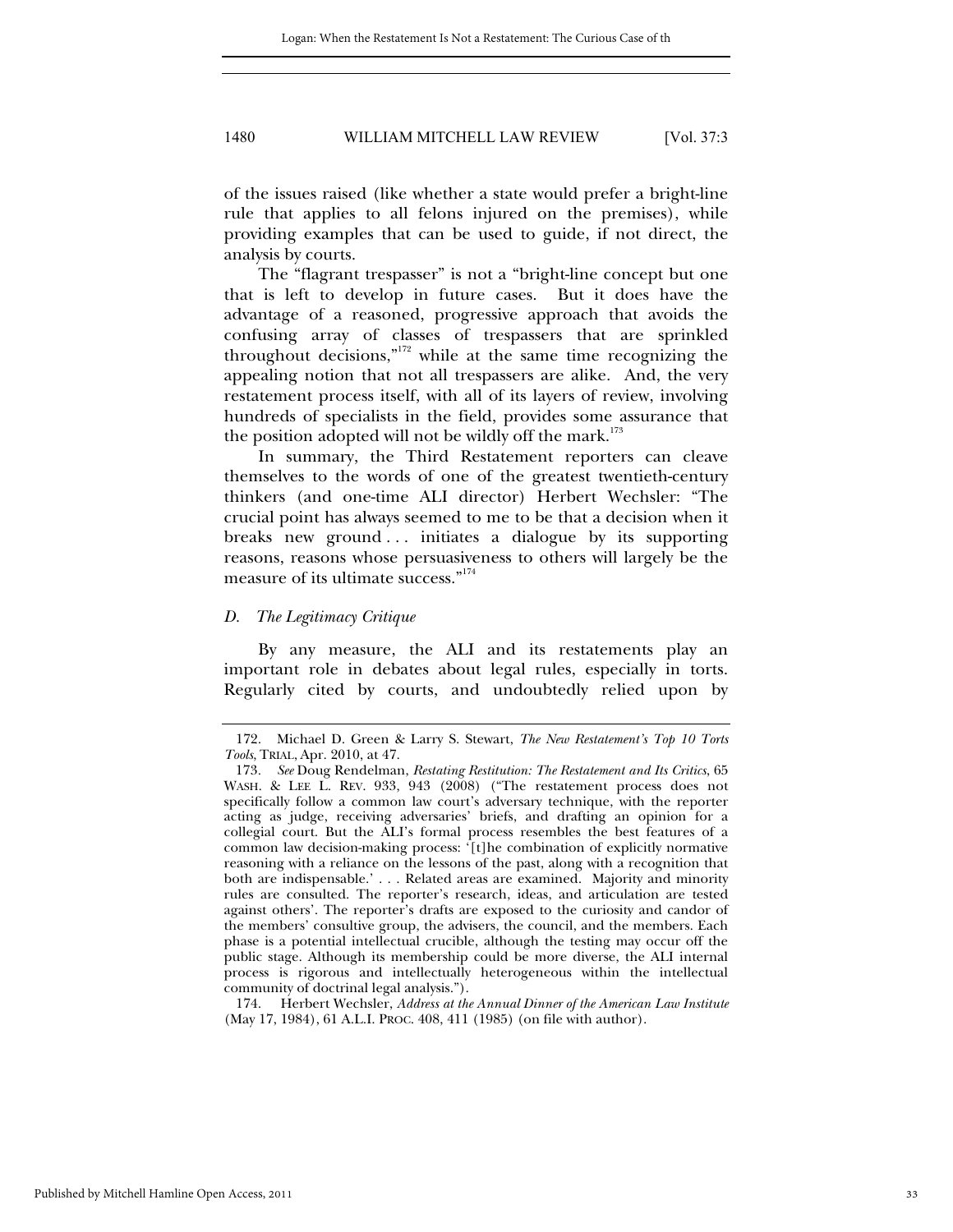of the issues raised (like whether a state would prefer a bright-line rule that applies to all felons injured on the premises), while providing examples that can be used to guide, if not direct, the analysis by courts.

The "flagrant trespasser" is not a "bright-line concept but one that is left to develop in future cases. But it does have the advantage of a reasoned, progressive approach that avoids the confusing array of classes of trespassers that are sprinkled throughout decisions,"172 while at the same time recognizing the appealing notion that not all trespassers are alike. And, the very restatement process itself, with all of its layers of review, involving hundreds of specialists in the field, provides some assurance that the position adopted will not be wildly off the mark.<sup>173</sup>

In summary, the Third Restatement reporters can cleave themselves to the words of one of the greatest twentieth-century thinkers (and one-time ALI director) Herbert Wechsler: "The crucial point has always seemed to me to be that a decision when it breaks new ground ... initiates a dialogue by its supporting reasons, reasons whose persuasiveness to others will largely be the measure of its ultimate success."<sup>174</sup>

#### *D. The Legitimacy Critique*

By any measure, the ALI and its restatements play an important role in debates about legal rules, especially in torts. Regularly cited by courts, and undoubtedly relied upon by

 174. Herbert Wechsler, *Address at the Annual Dinner of the American Law Institute* (May 17, 1984), 61 A.L.I. PROC. 408, 411 (1985) (on file with author).

 <sup>172.</sup> Michael D. Green & Larry S. Stewart, *The New Restatement's Top 10 Torts Tools*, TRIAL, Apr. 2010, at 47.

<sup>173</sup>*. See* Doug Rendelman, *Restating Restitution: The Restatement and Its Critics*, 65 WASH. & LEE L. REV. 933, 943 (2008) ("The restatement process does not specifically follow a common law court's adversary technique, with the reporter acting as judge, receiving adversaries' briefs, and drafting an opinion for a collegial court. But the ALI's formal process resembles the best features of a common law decision-making process: '[t]he combination of explicitly normative reasoning with a reliance on the lessons of the past, along with a recognition that both are indispensable.' . . . Related areas are examined. Majority and minority rules are consulted. The reporter's research, ideas, and articulation are tested against others'. The reporter's drafts are exposed to the curiosity and candor of the members' consultive group, the advisers, the council, and the members. Each phase is a potential intellectual crucible, although the testing may occur off the public stage. Although its membership could be more diverse, the ALI internal process is rigorous and intellectually heterogeneous within the intellectual community of doctrinal legal analysis.").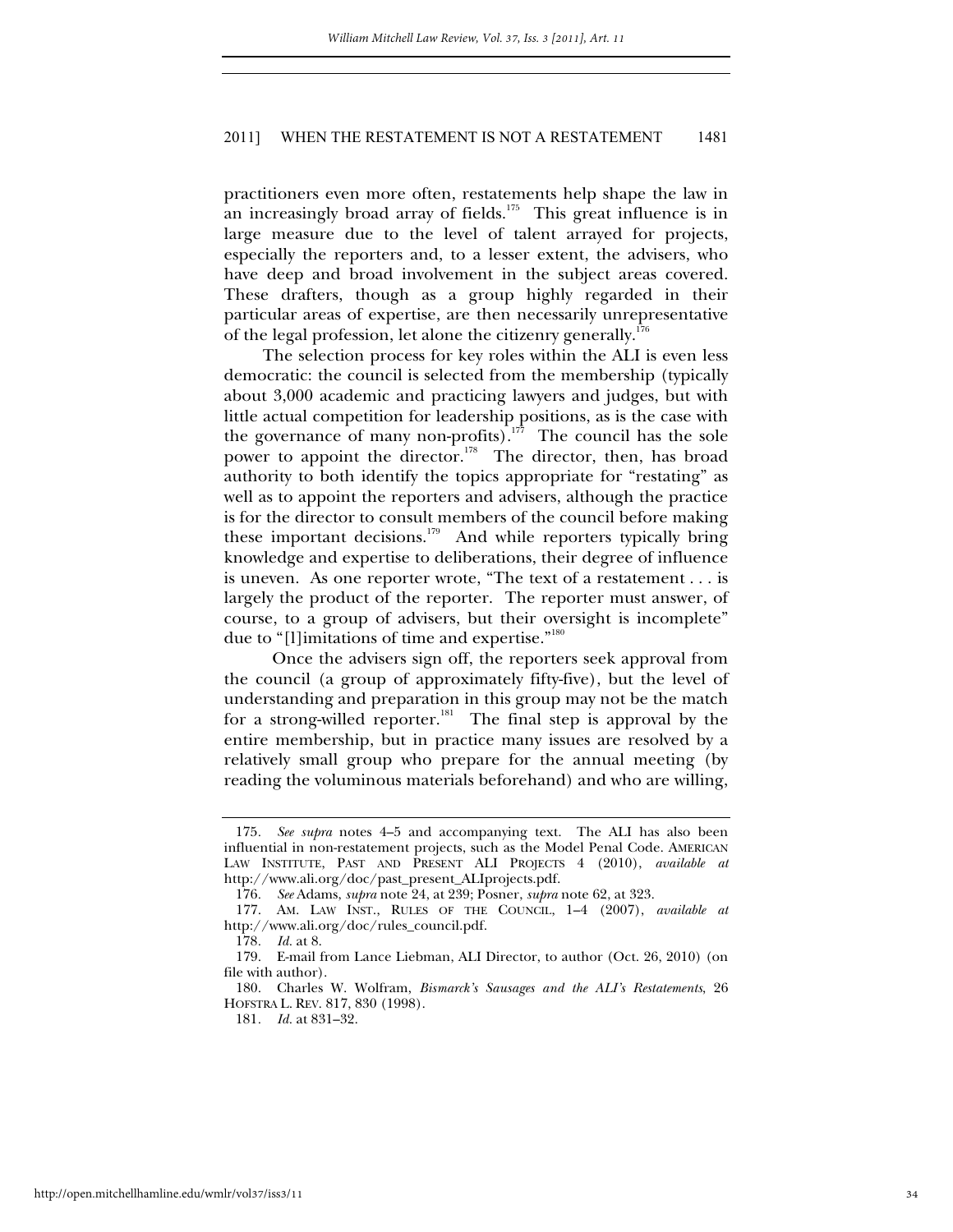practitioners even more often, restatements help shape the law in an increasingly broad array of fields.<sup>175</sup> This great influence is in large measure due to the level of talent arrayed for projects, especially the reporters and, to a lesser extent, the advisers, who have deep and broad involvement in the subject areas covered. These drafters, though as a group highly regarded in their particular areas of expertise, are then necessarily unrepresentative of the legal profession, let alone the citizenry generally.<sup>176</sup>

 The selection process for key roles within the ALI is even less democratic: the council is selected from the membership (typically about 3,000 academic and practicing lawyers and judges, but with little actual competition for leadership positions, as is the case with the governance of many non-profits).<sup>177</sup> The council has the sole power to appoint the director.<sup>178</sup> The director, then, has broad authority to both identify the topics appropriate for "restating" as well as to appoint the reporters and advisers, although the practice is for the director to consult members of the council before making these important decisions.<sup>179</sup> And while reporters typically bring knowledge and expertise to deliberations, their degree of influence is uneven. As one reporter wrote, "The text of a restatement . . . is largely the product of the reporter. The reporter must answer, of course, to a group of advisers, but their oversight is incomplete" due to "[l]imitations of time and expertise."<sup>180</sup>

 Once the advisers sign off, the reporters seek approval from the council (a group of approximately fifty-five), but the level of understanding and preparation in this group may not be the match for a strong-willed reporter.<sup>181</sup> The final step is approval by the entire membership, but in practice many issues are resolved by a relatively small group who prepare for the annual meeting (by reading the voluminous materials beforehand) and who are willing,

<sup>175</sup>*. See supra* notes 4–5 and accompanying text. The ALI has also been influential in non-restatement projects, such as the Model Penal Code. AMERICAN LAW INSTITUTE, PAST AND PRESENT ALI PROJECTS 4 (2010), *available at*  http://www.ali.org/doc/past\_present\_ALIprojects.pdf.

<sup>176</sup>*. See* Adams, *supra* note 24, at 239; Posner, *supra* note 62, at 323.

 <sup>177.</sup> AM. LAW INST., RULES OF THE COUNCIL, 1–4 (2007), *available at*  http://www.ali.org/doc/rules\_council.pdf.

<sup>178</sup>*. Id.* at 8.

 <sup>179.</sup> E-mail from Lance Liebman, ALI Director, to author (Oct. 26, 2010) (on file with author).

 <sup>180.</sup> Charles W. Wolfram, *Bismarck's Sausages and the ALI's Restatements*, 26 HOFSTRA L. REV. 817, 830 (1998).

<sup>181</sup>*. Id.* at 831–32.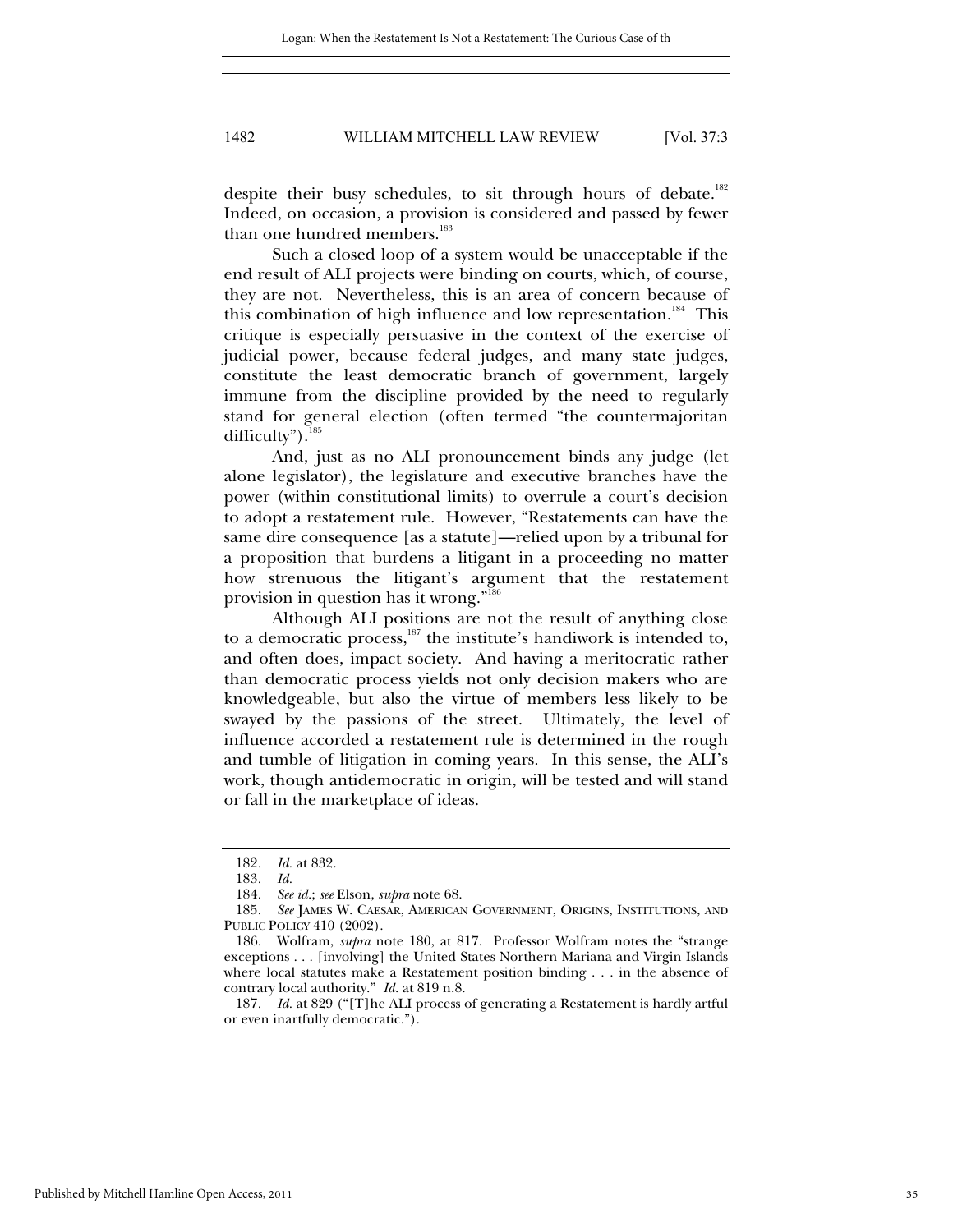despite their busy schedules, to sit through hours of debate.<sup>182</sup> Indeed, on occasion, a provision is considered and passed by fewer than one hundred members.<sup>183</sup>

 Such a closed loop of a system would be unacceptable if the end result of ALI projects were binding on courts, which, of course, they are not. Nevertheless, this is an area of concern because of this combination of high influence and low representation.<sup>184</sup> This critique is especially persuasive in the context of the exercise of judicial power, because federal judges, and many state judges, constitute the least democratic branch of government, largely immune from the discipline provided by the need to regularly stand for general election (often termed "the countermajoritan difficulty").<sup>185</sup>

 And, just as no ALI pronouncement binds any judge (let alone legislator), the legislature and executive branches have the power (within constitutional limits) to overrule a court's decision to adopt a restatement rule. However, "Restatements can have the same dire consequence [as a statute]—relied upon by a tribunal for a proposition that burdens a litigant in a proceeding no matter how strenuous the litigant's argument that the restatement provision in question has it wrong."186

 Although ALI positions are not the result of anything close to a democratic process, $187$  the institute's handiwork is intended to, and often does, impact society. And having a meritocratic rather than democratic process yields not only decision makers who are knowledgeable, but also the virtue of members less likely to be swayed by the passions of the street. Ultimately, the level of influence accorded a restatement rule is determined in the rough and tumble of litigation in coming years. In this sense, the ALI's work, though antidemocratic in origin, will be tested and will stand or fall in the marketplace of ideas.

187*. Id.* at 829 ("[T]he ALI process of generating a Restatement is hardly artful or even inartfully democratic.").

<sup>182</sup>*. Id.* at 832.

<sup>183</sup>*. Id.* 

<sup>184</sup>*. See id.*; *see* Elson, *supra* note 68.

<sup>185</sup>*. See* JAMES W. CAESAR, AMERICAN GOVERNMENT, ORIGINS, INSTITUTIONS, AND PUBLIC POLICY 410 (2002).

 <sup>186.</sup> Wolfram, *supra* note 180, at 817. Professor Wolfram notes the "strange exceptions . . . [involving] the United States Northern Mariana and Virgin Islands where local statutes make a Restatement position binding . . . in the absence of contrary local authority." *Id.* at 819 n.8.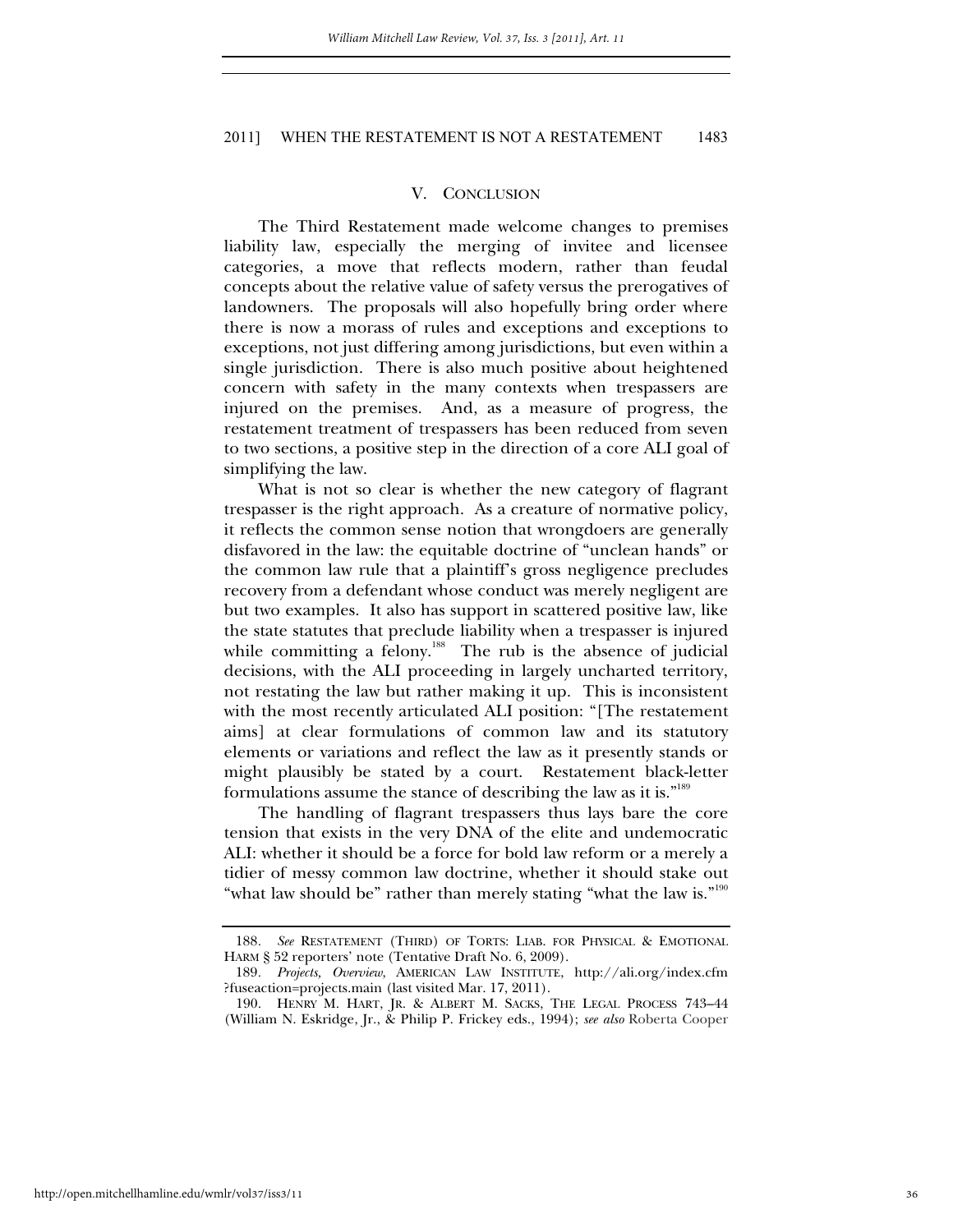#### V. CONCLUSION

The Third Restatement made welcome changes to premises liability law, especially the merging of invitee and licensee categories, a move that reflects modern, rather than feudal concepts about the relative value of safety versus the prerogatives of landowners. The proposals will also hopefully bring order where there is now a morass of rules and exceptions and exceptions to exceptions, not just differing among jurisdictions, but even within a single jurisdiction. There is also much positive about heightened concern with safety in the many contexts when trespassers are injured on the premises. And, as a measure of progress, the restatement treatment of trespassers has been reduced from seven to two sections, a positive step in the direction of a core ALI goal of simplifying the law.

What is not so clear is whether the new category of flagrant trespasser is the right approach. As a creature of normative policy, it reflects the common sense notion that wrongdoers are generally disfavored in the law: the equitable doctrine of "unclean hands" or the common law rule that a plaintiff's gross negligence precludes recovery from a defendant whose conduct was merely negligent are but two examples. It also has support in scattered positive law, like the state statutes that preclude liability when a trespasser is injured while committing a felony.<sup>188</sup> The rub is the absence of judicial decisions, with the ALI proceeding in largely uncharted territory, not restating the law but rather making it up. This is inconsistent with the most recently articulated ALI position: "[The restatement aims] at clear formulations of common law and its statutory elements or variations and reflect the law as it presently stands or might plausibly be stated by a court. Restatement black-letter formulations assume the stance of describing the law as it is."<sup>189</sup>

The handling of flagrant trespassers thus lays bare the core tension that exists in the very DNA of the elite and undemocratic ALI: whether it should be a force for bold law reform or a merely a tidier of messy common law doctrine, whether it should stake out "what law should be" rather than merely stating "what the law is."<sup>190</sup>

<sup>188</sup>*. See* RESTATEMENT (THIRD) OF TORTS: LIAB. FOR PHYSICAL & EMOTIONAL HARM § 52 reporters' note (Tentative Draft No. 6, 2009).

<sup>189</sup>*. Projects, Overview*, AMERICAN LAW INSTITUTE, http://ali.org/index.cfm ?fuseaction=projects.main (last visited Mar. 17, 2011).

 <sup>190.</sup> HENRY M. HART, JR. & ALBERT M. SACKS, THE LEGAL PROCESS 743–44 (William N. Eskridge, Jr., & Philip P. Frickey eds., 1994); *see also* Roberta Cooper